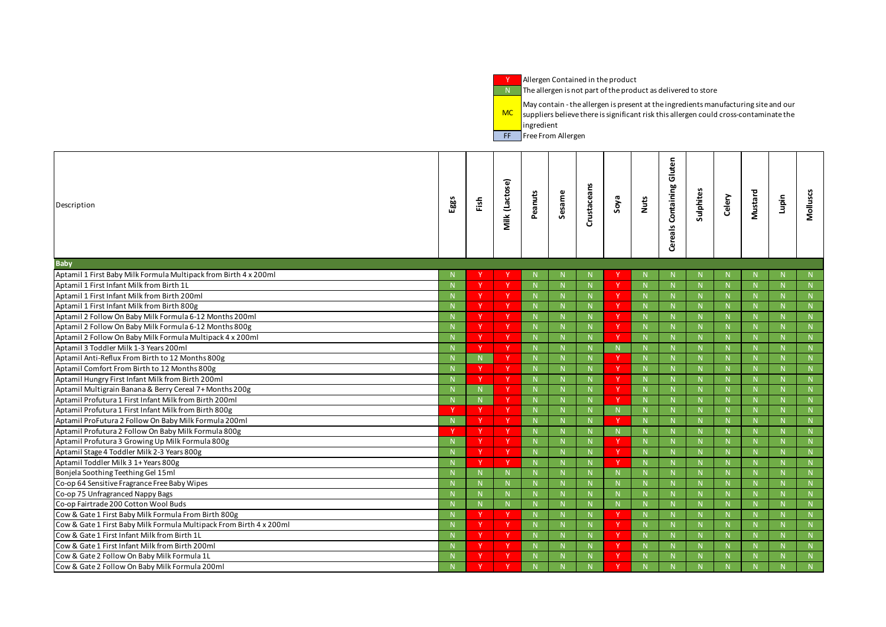**Y** Allergen Contained in the product

N The allergen is not part of the product as delivered to store

MC suppliers believe there is significant risk this allergen could cross-contaminate the  $\blacksquare$  May contain - the allergen is present at the ingredients manufacturing site and our **i**ngredient

**FF** Free From Allergen

| Description                                                         | Eggs         | Fish | <b>Milk (Lactose)</b>                | Peanuts        | Sesame       | Crustaceans  | Soya         | Nuts         | Gluten<br>Containing<br>Cereals | ulphites     | Celery | Mustard      | Lupin | Molluscs    |
|---------------------------------------------------------------------|--------------|------|--------------------------------------|----------------|--------------|--------------|--------------|--------------|---------------------------------|--------------|--------|--------------|-------|-------------|
| <b>Baby</b>                                                         |              |      |                                      |                |              |              |              |              |                                 |              |        |              |       |             |
| Aptamil 1 First Baby Milk Formula Multipack from Birth 4 x 200ml    |              |      |                                      |                |              | N.           |              |              | N.                              |              |        |              |       | N           |
| Aptamil 1 First Infant Milk from Birth 1L                           |              |      |                                      | -N             |              | N            |              |              | N                               |              |        | N            |       | N           |
| Aptamil 1 First Infant Milk from Birth 200ml                        |              |      | Y                                    | $\mathbb{N}$   | N            | N            |              | N            | N                               |              | N      | N            |       | N           |
| Aptamil 1 First Infant Milk from Birth 800g                         | -N           |      | Y.                                   | - N            |              | N            |              | N            | N.                              |              |        | $\mathbb N$  |       | N           |
| Aptamil 2 Follow On Baby Milk Formula 6-12 Months 200ml             |              |      |                                      | -N             |              | N            |              | N            | N                               |              |        | N            |       | N           |
| Aptamil 2 Follow On Baby Milk Formula 6-12 Months 800g              |              |      | Y                                    | $\mathbb N$    | $\mathsf{N}$ | ${\sf N}$    |              | N            | N                               |              | N      | N            |       | N           |
| Aptamil 2 Follow On Baby Milk Formula Multipack 4 x 200ml           |              |      | Y.                                   | $\blacksquare$ |              | N            | -V           | $\mathsf{N}$ | N.                              |              |        | N            |       | N           |
| Aptamil 3 Toddler Milk 1-3 Years 200ml                              |              |      | Y.                                   | - N            |              | N            | -N.          |              | N                               |              |        | N            |       | N           |
| Aptamil Anti-Reflux From Birth to 12 Months 800g                    |              |      | Y                                    | $\mathsf{N}$   |              | ${\sf N}$    |              | N            | ${\sf N}$                       |              |        | N            |       | N           |
| Aptamil Comfort From Birth to 12 Months 800g                        |              |      | Y.                                   | $\blacksquare$ |              | N            | -V           | $\mathsf{N}$ | N                               |              |        | $\mathbb N$  |       | N           |
| Aptamil Hungry First Infant Milk from Birth 200ml                   |              |      | Y.                                   | -N             |              | N            |              | N            | N                               |              |        | N            |       | N           |
| Aptamil Multigrain Banana & Berry Cereal 7+ Months 200g             |              |      | $\overline{\mathsf{I}^{\mathsf{V}}}$ | $\mathbb N$    |              | ${\sf N}$    |              | N            | N                               |              | N      | N            |       | N           |
| Aptamil Profutura 1 First Infant Milk from Birth 200ml              |              |      | Y.                                   | $\blacksquare$ |              | N            | -V           | $\mathsf{N}$ | N.                              |              |        | N            |       | N           |
| Aptamil Profutura 1 First Infant Milk from Birth 800g               |              |      | Y                                    | $\overline{N}$ |              | N            | -N.          |              | N                               |              |        | N            |       | N           |
| Aptamil ProFutura 2 Follow On Baby Milk Formula 200ml               | -N           |      | Y                                    | $\mathbb N$    |              | N            |              | N            | ${\sf N}$                       |              |        | N            |       | N           |
| Aptamil Profutura 2 Follow On Baby Milk Formula 800g                |              |      | Y.                                   | $\blacksquare$ |              | N.           | - N          |              | N                               |              |        | $\mathbb N$  |       | N           |
| Aptamil Profutura 3 Growing Up Milk Formula 800g                    |              |      | Y                                    | -N             |              | N            |              | $\mathsf{N}$ | N                               |              |        | N            |       | N           |
| Aptamil Stage 4 Toddler Milk 2-3 Years 800g                         |              |      | Y                                    | $\mathbb N$    |              | ${\sf N}$    |              | N            | N                               |              | N      | N            |       | N           |
| Aptamil Toddler Milk 3 1+ Years 800g                                |              |      | Y.                                   | - N            |              | N            | - V          | $\mathsf{N}$ | $\mathbb N$                     |              |        | $\mathbb N$  |       | N           |
| Bonjela Soothing Teething Gel 15ml                                  |              |      | N                                    | $\mathbb N$    |              | N            |              |              | N                               |              |        | N            |       | N           |
| Co-op 64 Sensitive Fragrance Free Baby Wipes                        | N            | N    | $\mathbb N$                          | $\mathbb{N}$   | $\mathbb{N}$ | $\mathbb{N}$ | $\mathbb{N}$ | N<br>- I V   | $\mathbb N$                     | $\mathbb{N}$ | N      | $\mathbb{N}$ | N     | N           |
| Co-op 75 Unfragranced Nappy Bags                                    | $\mathsf N$  |      | N                                    | - N            |              | N            |              |              | N                               |              |        | N            |       | N           |
| Co-op Fairtrade 200 Cotton Wool Buds                                | -N           |      | N                                    |                |              | N            | $\mathbb N$  |              | N                               |              |        | N            |       | $\mathbb N$ |
| Cow & Gate 1 First Baby Milk Formula From Birth 800g                | $\mathsf{N}$ |      |                                      | $\overline{N}$ |              | N            |              | N            | ${\sf N}$                       |              |        | N            |       |             |
| Cow & Gate 1 First Baby Milk Formula Multipack From Birth 4 x 200ml | -N           |      | Y.                                   | - N            |              | N            |              | $\mathsf{N}$ | N.                              |              |        | N            |       | N           |
| Cow & Gate 1 First Infant Milk from Birth 1L                        | -N           |      |                                      | $\overline{N}$ |              | N            |              | $\mathsf{N}$ | N                               |              |        | N            |       | N           |
| Cow & Gate 1 First Infant Milk from Birth 200ml                     |              |      | Y                                    | $\overline{N}$ |              | N            |              | N            | N                               |              |        | N            |       |             |
| Cow & Gate 2 Follow On Baby Milk Formula 1L                         | -N           |      | Y.                                   | $\blacksquare$ |              | N            |              | $\mathsf{N}$ | N.                              |              |        | $\mathbb N$  |       | N           |
| Cow & Gate 2 Follow On Baby Milk Formula 200ml                      | -N           |      |                                      |                |              | N            |              |              | N                               |              |        | N            |       | N           |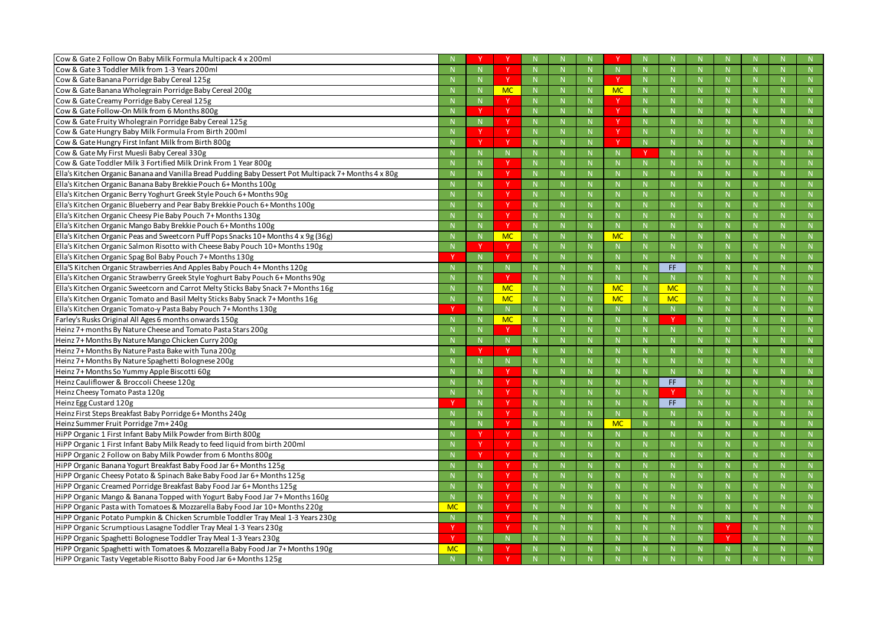| Cow & Gate 2 Follow On Baby Milk Formula Multipack 4 x 200ml                                         |           |              |              |              |              |              |             |                |              |              |              |           |
|------------------------------------------------------------------------------------------------------|-----------|--------------|--------------|--------------|--------------|--------------|-------------|----------------|--------------|--------------|--------------|-----------|
| Cow & Gate 3 Toddler Milk from 1-3 Years 200ml                                                       |           |              | <b>Y</b>     |              | $\mathbb N$  |              |             | -N             | $\mathsf{N}$ |              |              |           |
| Cow & Gate Banana Porridge Baby Cereal 125g                                                          |           | $\mathbb N$  | <sup>Y</sup> |              | $\mathbb{N}$ |              |             | $\mathbb N$    | N            | $\mathbb N$  | $\mathsf{N}$ | N         |
| Cow & Gate Banana Wholegrain Porridge Baby Cereal 200g                                               |           | $\mathbb N$  | <b>MC</b>    |              | $\mathbb N$  | N.           | <b>MC</b>   | $\mathbb N$    | N            | -N           | $\mathsf{N}$ |           |
| Cow & Gate Creamy Porridge Baby Cereal 125g                                                          |           |              | Y            |              | $\mathbb N$  |              |             | $\mathbb{N}$   | $\mathsf{N}$ |              | $\mathsf{N}$ |           |
| Cow & Gate Follow-On Milk from 6 Months 800g                                                         |           | - V          | <b>Y</b>     |              | N            |              |             | $\mathbb N$    | N            | -N           | $\mathbb N$  | N         |
| Cow & Gate Fruity Wholegrain Porridge Baby Cereal 125g                                               |           |              | <u>v</u>     |              | $\mathbb N$  |              |             | $\mathbb{N}$   | $\mathsf{N}$ | -N           | $\mathsf{N}$ |           |
| Cow & Gate Hungry Baby Milk Formula From Birth 200ml                                                 |           |              | <sup>Y</sup> |              | $\mathbb N$  |              |             | -N             | $\mathsf{N}$ |              | $\mathsf{N}$ |           |
| Cow & Gate Hungry First Infant Milk from Birth 800g                                                  |           | - V          | <b>Y</b>     |              | N            | N.           |             | $\mathbb N$    | N            | $\mathbb N$  | $\mathsf{N}$ | N         |
| Cow & Gate My First Muesli Baby Cereal 330g                                                          |           |              |              |              | $\mathbb N$  |              |             |                | $\mathsf{N}$ | -N           | $\mathsf{N}$ |           |
| Cow & Gate Toddler Milk 3 Fortified Milk Drink From 1 Year 800g                                      |           |              | Y            |              |              |              |             |                | $\mathsf{N}$ |              | $\mathsf{N}$ |           |
| Ella's Kitchen Organic Banana and Vanilla Bread Pudding Baby Dessert Pot Multipack 7+ Months 4 x 80g |           | $\mathbb N$  | <b>Y</b>     |              | N            |              |             | $\mathbb{N}$   | N            | -N           | $\mathbb N$  | N         |
| Ella's Kitchen Organic Banana Baby Brekkie Pouch 6+ Months 100g                                      |           | $\mathbb N$  | v            |              | $\mathbb N$  |              |             | -N             | $\mathsf{N}$ |              | $\mathsf{N}$ |           |
| Ella's Kitchen Organic Berry Yoghurt Greek Style Pouch 6+ Months 90g                                 |           |              | <sup>Y</sup> |              | $\mathbb N$  | N            |             | -N             | $\mathsf{N}$ |              | $\mathsf{N}$ |           |
| Ella's Kitchen Organic Blueberry and Pear Baby Brekkie Pouch 6+ Months 100g                          |           | $\mathbb N$  | <sup>Y</sup> |              | N            | N.           |             | $\mathbb N$    | N            | $\mathbb N$  | $\mathsf{N}$ | N         |
| Ella's Kitchen Organic Cheesy Pie Baby Pouch 7+ Months 130g                                          |           |              | v            |              | $\mathbb N$  |              |             |                | N            |              | $\mathsf{N}$ |           |
| Ella's Kitchen Organic Mango Baby Brekkie Pouch 6+ Months 100g                                       |           |              | <sup>Y</sup> |              | $\mathbb N$  |              |             |                | $\mathsf{N}$ |              | $\mathsf{N}$ |           |
| Ella's Kitchen Organic Peas and Sweetcorn Puff Pops Snacks 10+ Months 4 x 9g (36g)                   |           | -N           | <b>MC</b>    |              | N            |              | <b>MC</b>   | $\mathbb N$    | $\mathbb N$  | -N           | $\mathsf{N}$ | N         |
| Ella's Kitchen Organic Salmon Risotto with Cheese Baby Pouch 10+ Months 190g                         |           |              | <b>V</b>     |              | $\mathbb N$  |              |             | $\mathsf{N}$   | N            |              | $\mathsf{N}$ |           |
| Ella's Kitchen Organic Spag Bol Baby Pouch 7+ Months 130g                                            |           |              | <sup>Y</sup> |              | $\mathbb N$  | N            |             | -N             | $\mathsf{N}$ |              | $\mathsf{N}$ |           |
| Ella'S Kitchen Organic Strawberries And Apples Baby Pouch 4+ Months 120g                             |           | -N           | N            |              | N            |              |             | $\mathbb N$    | FF.          | -N           | $\mathsf{N}$ | N         |
| Ella's Kitchen Organic Strawberry Greek Style Yoghurt Baby Pouch 6+ Months 90g                       |           |              |              |              |              |              |             |                | N            |              | $\mathsf{N}$ |           |
| Ella's Kitchen Organic Sweetcorn and Carrot Melty Sticks Baby Snack 7+ Months 16g                    |           |              | <b>MC</b>    |              | $\mathbb N$  |              | <b>MC</b>   |                | <b>MC</b>    |              | $\mathsf{N}$ |           |
| Ella's Kitchen Organic Tomato and Basil Melty Sticks Baby Snack 7+ Months 16g                        |           | $\mathbb N$  | <b>MC</b>    |              | N            |              | <b>MC</b>   | $\mathbb N$    | <b>MC</b>    | $\mathbb N$  | $\mathsf{N}$ | N         |
| Ella's Kitchen Organic Tomato-y Pasta Baby Pouch 7+ Months 130g                                      |           | $\mathbf N$  | N.           |              | $\mathbb N$  |              |             | -N             | N            | $\mathbf N$  | N            | N         |
| Farley's Rusks Original All Ages 6 months onwards 150g                                               |           |              | <b>MC</b>    |              | N            |              |             | -N             | <b>V</b>     |              | $\mathsf{N}$ |           |
| Heinz 7+ months By Nature Cheese and Tomato Pasta Stars 200g                                         |           | $\mathbb N$  | <b>V</b>     |              | N            |              |             | -N             | N            | -N           | $\mathbb N$  | N         |
| Heinz 7+ Months By Nature Mango Chicken Curry 200g                                                   |           |              |              |              | $\mathbb N$  |              |             | -N             | $\mathsf{N}$ |              | $\mathsf{N}$ |           |
| Heinz 7+ Months By Nature Pasta Bake with Tuna 200g                                                  |           |              |              |              | $\mathbb N$  |              |             | -N             | $\mathsf{N}$ |              | $\mathsf{N}$ |           |
| Heinz 7+ Months By Nature Spaghetti Bolognese 200g                                                   |           |              |              |              | $\mathbb{N}$ | N            |             | $\mathbb N$    | N            |              | $\mathsf{N}$ | N         |
| Heinz 7+ Months So Yummy Apple Biscotti 60g                                                          |           | $\mathbb N$  | N            |              |              |              |             |                |              | $\mathbb N$  |              |           |
|                                                                                                      |           |              |              |              | $\mathbb N$  |              |             |                | N            |              | N            | N         |
| Heinz Cauliflower & Broccoli Cheese 120g                                                             |           |              |              |              | N            |              |             |                | FF.          |              |              |           |
| Heinz Cheesy Tomato Pasta 120g                                                                       |           | $\mathbb N$  | N            |              | $\mathbb N$  |              |             |                |              |              |              |           |
| Heinz Egg Custard 120g                                                                               |           | $\mathsf{N}$ |              |              | $\mathbb N$  |              |             |                | FF.          |              | N            | N         |
| Heinz First Steps Breakfast Baby Porridge 6+ Months 240g                                             |           | $\mathsf{N}$ | Y            | N.           | N            | $\mathsf{N}$ | $\mathbb N$ | -N             | N            | $\mathsf{N}$ | $\mathsf{N}$ | N         |
| Heinz Summer Fruit Porridge 7m+240g                                                                  |           | $\mathbb{N}$ | Y.           | N            | N            | N            | <b>MC</b>   | $\mathbb{N}$   | N            | $\mathsf{N}$ | N            | N         |
| HiPP Organic 1 First Infant Baby Milk Powder from Birth 800g                                         |           |              | <b>Y</b>     | N.           | N            | N            |             | $\mathbb N$    | N            | N            | N            | N         |
| HiPP Organic 1 First Infant Baby Milk Ready to feed liquid from birth 200ml                          |           | -Y           | <sup>Y</sup> | N.           | N            | N.           |             | N              | N            | $\mathsf{N}$ | $\mathsf{N}$ | N         |
| HiPP Organic 2 Follow on Baby Milk Powder from 6 Months 800g                                         |           | -Y           | Y.           | $\mathbb N$  | $\mathbb{N}$ | N            |             | $\mathbb{N}$   | N            | $\mathbb N$  | N            | N         |
| HiPP Organic Banana Yogurt Breakfast Baby Food Jar 6+ Months 125g                                    |           |              | <b>V</b>     |              | $\mathbb N$  | N            |             | $\mathsf{N}$   | N            | $\mathbf N$  | N            | N         |
| HiPP Organic Cheesy Potato & Spinach Bake Baby Food Jar 6+ Months 125g                               |           | $\mathbb N$  | <sup>Y</sup> | N.           | N            | N            |             | $\overline{N}$ | N            | $\mathbb N$  | $\mathsf{N}$ | N         |
| HiPP Organic Creamed Porridge Breakfast Baby Food Jar 6+ Months 125g                                 |           | N            | Y            | $\mathbb{N}$ | N            | N            |             | N              | N            | $\mathbb{N}$ | N            | ${\sf N}$ |
| HiPP Organic Mango & Banana Topped with Yogurt Baby Food Jar 7+ Months 160g                          |           | N            | Y            | N.           | N            | N            |             | N              | N            | N            | N            | N         |
| HiPP Organic Pasta with Tomatoes & Mozzarella Baby Food Jar 10+ Months 220g                          | <b>MC</b> | N            | Y            |              | N            | N            |             | N              | N            | $\mathsf{N}$ | $\mathsf{N}$ | N         |
| HiPP Organic Potato Pumpkin & Chicken Scrumble Toddler Tray Meal 1-3 Years 230g                      |           | $\mathbb{N}$ | Y.           | N            | N            | N            |             | N              | N            | $\mathbb{N}$ | N            | N         |
| HiPP Organic Scrumptious Lasagne Toddler Tray Meal 1-3 Years 230g                                    |           | N            | <u>v</u>     |              | N            | N            |             | $\mathbb N$    | N            |              | N            | N         |
| HiPP Organic Spaghetti Bolognese Toddler Tray Meal 1-3 Years 230g                                    | <b>Y</b>  | N            | N            |              | N            | N            |             | N              | N            |              | N            | N         |
| HiPP Organic Spaghetti with Tomatoes & Mozzarella Baby Food Jar 7+ Months 190g                       | <b>MC</b> | N            |              | $\mathbb N$  | $\mathbb{N}$ | N            |             | $\mathbb{N}$   | N            | $\mathbb{N}$ | N            | N         |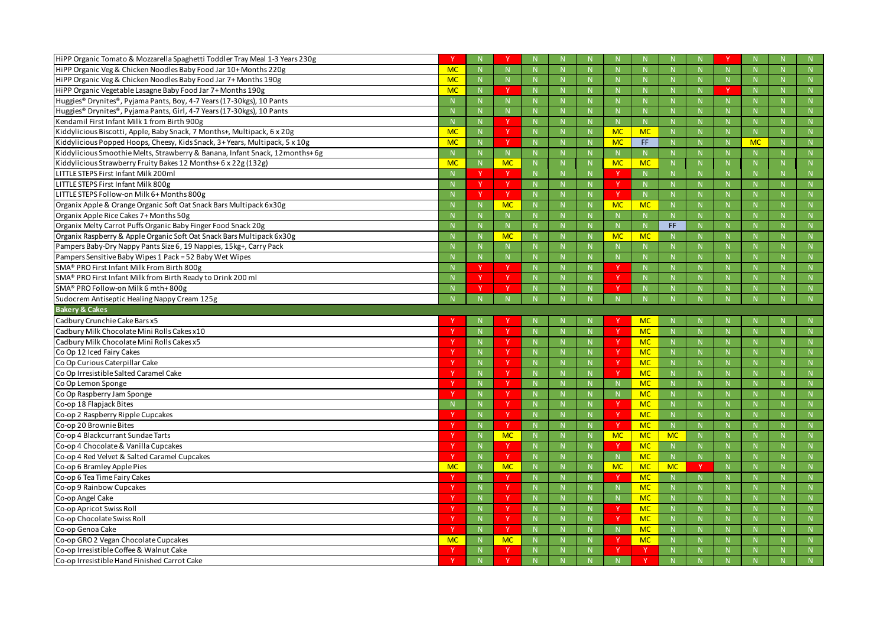| HiPP Organic Tomato & Mozzarella Spaghetti Toddler Tray Meal 1-3 Years 230g             |           |              |              |              |    |           |             |             |          |              |           | -N             |
|-----------------------------------------------------------------------------------------|-----------|--------------|--------------|--------------|----|-----------|-------------|-------------|----------|--------------|-----------|----------------|
| HiPP Organic Veg & Chicken Noodles Baby Food Jar 10+ Months 220g                        | <b>MC</b> | $\mathsf{N}$ | N            |              | N  |           | $\mathbf N$ | N           |          | $\mathbb N$  |           | N              |
| HiPP Organic Veg & Chicken Noodles Baby Food Jar 7+ Months 190g                         | <b>MC</b> | N            | N            | N            | N  |           | N           | N           |          | N            | N         | N              |
| HiPP Organic Vegetable Lasagne Baby Food Jar 7+ Months 190g                             | <b>MC</b> |              | $\vee$       |              | N. |           |             |             |          |              |           | N              |
| Huggies® Drynites®, Pyjama Pants, Boy, 4-7 Years (17-30kgs), 10 Pants                   |           |              | N            |              | N  |           |             | N           |          |              |           | N              |
| Huggies® Drynites®, Pyjama Pants, Girl, 4-7 Years (17-30kgs), 10 Pants                  |           |              | N            |              | N  |           | N           | N           |          | $\mathbb N$  |           | N              |
| Kendamil First Infant Milk 1 from Birth 900g                                            |           |              | $\vee$       |              | N. |           |             |             |          |              |           | N              |
| Kiddylicious Biscotti, Apple, Baby Snack, 7 Months+, Multipack, 6 x 20g                 | <b>MC</b> | $\mathsf{N}$ | $\mathsf{Y}$ | $\mathbf N$  | N  | <b>MC</b> | <b>MC</b>   | N           |          | N            | N         | N              |
| Kiddylicious Popped Hoops, Cheesy, Kids Snack, 3+ Years, Multipack, 5 x 10g             | <b>MC</b> | N            | $\mathbf v$  | N            | N  | <b>MC</b> | FF          | N           |          | N            | <b>MC</b> | N              |
| Kiddylicious Smoothie Melts, Strawberry & Banana, Infant Snack, 12months+ 6g            |           |              | $\mathbb N$  | -N           | N. |           |             | N.          |          | -N           |           | N              |
| Kiddylicious Strawberry Fruity Bakes 12 Months+ 6 x 22g (132g)                          | <b>MC</b> | $\mathbb N$  | <b>MC</b>    |              | N  | <b>MC</b> | <b>MC</b>   | N           |          |              | N.        | N              |
| LITTLE STEPS First Infant Milk 200ml                                                    |           | $\mathbf v$  | <b>V</b>     |              | N  |           | N           | N           |          |              |           | $\mathbb N$    |
| LITTLE STEPS First Infant Milk 800g                                                     |           | -V           | $\mathsf{Y}$ |              | N. |           | N           | N           |          | $\mathbb N$  |           | $\overline{N}$ |
| LITTLE STEPS Follow-on Milk 6+ Months 800g                                              |           | $\mathbf v$  | Y            | $\mathbf N$  | N  |           | N           | N           |          | $\mathbb N$  |           | N              |
| Organix Apple & Orange Organic Soft Oat Snack Bars Multipack 6x30g                      |           |              | <b>MC</b>    | N            | N  | <b>MC</b> | <b>MC</b>   | N           |          | N            |           | N              |
| Organix Apple Rice Cakes 7+ Months 50g                                                  |           |              | $\mathbb N$  |              | N. |           | $\mathbf N$ |             |          |              |           | N              |
| Organix Melty Carrot Puffs Organic Baby Finger Food Snack 20g                           |           |              | ${\sf N}$    |              | N  |           |             | FF.         |          | $\mathbb N$  |           | N              |
| Organix Raspberry & Apple Organic Soft Oat Snack Bars Multipack 6x30g                   |           |              | <b>MC</b>    | $\mathbb N$  | N  | <b>MC</b> | <b>MC</b>   | N           |          | N            |           | N              |
| Pampers Baby-Dry Nappy Pants Size 6, 19 Nappies, 15kg+, Carry Pack                      |           |              | $\mathbb N$  |              | N. |           | $\mathbf N$ | N           |          | -N           |           | N              |
| Pampers Sensitive Baby Wipes 1 Pack = 52 Baby Wet Wipes                                 |           | $\mathsf{N}$ | N            |              | N  |           | N           | N           |          | $\mathbb N$  |           | N              |
| SMA <sup>®</sup> PRO First Infant Milk From Birth 800g                                  |           |              |              |              | N  |           | N           | N           |          | N            |           | N              |
| SMA® PRO First Infant Milk from Birth Ready to Drink 200 ml                             |           |              | Y.           |              | N. |           | $\mathbf N$ |             |          |              |           | N              |
| SMA <sup>®</sup> PRO Follow-on Milk 6 mth+800g                                          |           |              | $\mathsf{Y}$ |              | N. |           |             |             |          |              |           | N              |
| Sudocrem Antiseptic Healing Nappy Cream 125g                                            |           |              |              |              |    |           |             |             |          |              |           | N              |
|                                                                                         |           |              |              |              |    |           |             |             |          |              |           |                |
| <b>Bakery &amp; Cakes</b>                                                               |           |              |              |              |    |           |             |             |          |              |           |                |
| Cadbury Crunchie Cake Bars x5                                                           |           |              |              |              |    |           | <b>MC</b>   |             |          |              |           | N.             |
| Cadbury Milk Chocolate Mini Rolls Cakes x10                                             |           | $\mathsf{N}$ | $\mathbf v$  |              | N. |           | <b>MC</b>   | N           |          |              |           | $\mathsf{N}$   |
| Cadbury Milk Chocolate Mini Rolls Cakes x5                                              |           | N            | $\mathsf{Y}$ |              | N. |           | <b>MC</b>   | N           |          | $\mathbb N$  |           | N              |
| Co Op 12 Iced Fairy Cakes                                                               |           | N            | <b>V</b>     |              | N. |           | <b>MC</b>   | N           |          | N            |           | N              |
| Co Op Curious Caterpillar Cake                                                          |           | $\mathsf{N}$ | <b>V</b>     |              | N. |           | <b>MC</b>   | N.          |          |              |           | $\mathbb N$    |
| Co Op Irresistible Salted Caramel Cake                                                  |           | N            | <b>Y</b>     |              | N. |           | <b>MC</b>   | N           |          |              |           | N              |
| Co Op Lemon Sponge                                                                      |           |              |              |              |    |           | <b>MC</b>   | N.          |          |              |           | N              |
| Co Op Raspberry Jam Sponge                                                              |           | $\mathbb N$  | <sup>V</sup> | -N           | N. |           | <b>MC</b>   | N           |          | N            |           | $\mathbb{N}$   |
| Co-op 18 Flapjack Bites                                                                 |           | N            | $\mathsf{Y}$ | $\mathsf{N}$ | N. | <b>Y</b>  | <b>MC</b>   | N           |          | N            |           | N              |
| Co-op 2 Raspberry Ripple Cupcakes                                                       |           | ${\sf N}$    | Y            | N            | N  | Y         | <b>MC</b>   | N           |          | N            | N         | N              |
| Co-op 20 Brownie Bites                                                                  |           | $\mathsf{N}$ | Y            | -N           | N. |           | <b>MC</b>   | N.          |          | $\mathbb N$  |           | N              |
| Co-op 4 Blackcurrant Sundae Tarts                                                       |           | $\mathsf{N}$ | <b>MC</b>    | $\mathbb N$  | N  | <b>MC</b> | <b>MC</b>   | <b>MC</b>   |          | N            |           | N              |
| Co-op 4 Chocolate & Vanilla Cupcakes                                                    |           | N            | <sup>V</sup> | N            | N  |           | <b>MC</b>   | N           |          | N            |           | N              |
| Co-op 4 Red Velvet & Salted Caramel Cupcakes                                            |           | N            | Y            | $\mathbf N$  | N. |           | <b>MC</b>   | N           |          | $\mathbb{N}$ |           | N              |
| Co-op 6 Bramley Apple Pies                                                              | <b>MC</b> | N            | <b>MC</b>    | $\mathbb N$  | N  | <b>MC</b> | <b>MC</b>   | <b>MC</b>   | <b>V</b> | N            | N.        | N              |
| Co-op 6 Tea Time Fairy Cakes                                                            |           | N            | <sup>V</sup> | N            | N  |           | <b>MC</b>   | N           |          | N            | N         | N              |
| Co-op 9 Rainbow Cupcakes                                                                |           | $\mathsf{N}$ | Y            | -N           | N. |           | <b>MC</b>   | N.          |          | $\mathbb N$  |           | N              |
| Co-op Angel Cake                                                                        |           | N            | Y.           | $\mathbb N$  | N. |           | <b>MC</b>   | $N_{\odot}$ |          | N            |           | N              |
| Co-op Apricot Swiss Roll                                                                |           | N            | Y            | $\mathbb N$  | N  |           | <b>MC</b>   | N           |          | N            | N         | N              |
| Co-op Chocolate Swiss Roll                                                              |           | $\mathsf{N}$ | Y            | -N           | N. |           | <b>MC</b>   | N           |          | $\mathsf{N}$ |           | N              |
| Co-op Genoa Cake                                                                        |           | N            | Y.           | $\mathbb N$  | N. |           | <b>MC</b>   | N           |          | N            |           | N              |
| Co-op GRO 2 Vegan Chocolate Cupcakes                                                    | <b>MC</b> | N            | <b>MC</b>    | N            | N. |           | <b>MC</b>   | N           |          | N            |           | N              |
| Co-op Irresistible Coffee & Walnut Cake<br>Co-op Irresistible Hand Finished Carrot Cake |           | $\mathsf{N}$ | Y            |              | N  |           | -Y          | N.          |          |              |           | N<br>N         |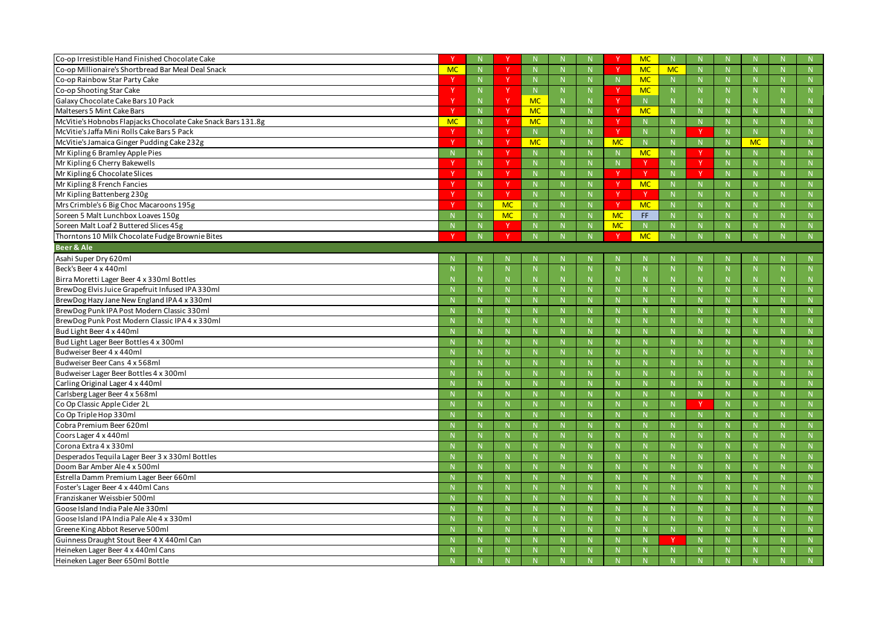| Co-op Irresistible Hand Finished Chocolate Cake              |                           |              |              |                |              |              |           | <b>MC</b>    | N            |    |              |              |
|--------------------------------------------------------------|---------------------------|--------------|--------------|----------------|--------------|--------------|-----------|--------------|--------------|----|--------------|--------------|
| Co-op Millionaire's Shortbread Bar Meal Deal Snack           | <b>MC</b>                 | N            | <b>V</b>     | N <sub>1</sub> | N            | N            |           | <b>MC</b>    | <b>MC</b>    | N  | N            | $\mathsf{N}$ |
| Co-op Rainbow Star Party Cake                                |                           | N            | Y.           | $\mathbf N$    | $\mathbf N$  | N            |           | <b>MC</b>    | $\mathbb N$  |    | $\mathbb N$  | N            |
| Co-op Shooting Star Cake                                     |                           | $\mathbb N$  | <b>V</b>     | N              | N            | N.           |           | <b>MC</b>    | N            |    | N            | N            |
| Galaxy Chocolate Cake Bars 10 Pack                           |                           | N            | <b>V</b>     | <b>MC</b>      | N            | N            |           | N            | N            |    | $\mathsf{N}$ |              |
| Maltesers 5 Mint Cake Bars                                   | $\boldsymbol{\mathsf{v}}$ | N            | Y.           | <b>MC</b>      | N            |              |           | <b>MC</b>    | N            |    | N            | N            |
| McVitie's Hobnobs Flapjacks Chocolate Cake Snack Bars 131.8g | <b>MC</b>                 | N            | <b>Y</b>     | <b>MC</b>      | N            | N.           |           | <b>N</b>     | N            |    | N            | N.           |
| McVitie's Jaffa Mini Rolls Cake Bars 5 Pack                  |                           | N            | <b>V</b>     | N <sub>1</sub> | N            | N            |           | N            | N            | N  | N            | N            |
| McVitie's Jamaica Ginger Pudding Cake 232g                   |                           | N            | <b>V</b>     | <b>MC</b>      | $\mathbf N$  | N            | <b>MC</b> | -N           | $\mathbb N$  |    | <b>MC</b>    | $\mathsf{N}$ |
| Mr Kipling 6 Bramley Apple Pies                              |                           | N            | v            | <sup>N</sup>   | N            | N            |           | <b>MC</b>    | N            |    | $\mathbb N$  | N            |
| Mr Kipling 6 Cherry Bakewells                                |                           | N            | <b>V</b>     | N              | N            | N            |           |              | N            | N  | N            | N            |
| Mr Kipling 6 Chocolate Slices                                |                           | $\mathbb N$  | <b>Y</b>     |                | -N           |              | v         | - V          | N            |    | $\mathbb N$  | $\mathbf N$  |
| Mr Kipling 8 French Fancies                                  |                           | N            | <sup>Y</sup> | N              | $\mathsf{N}$ | N            |           | <b>MC</b>    | N            |    | $\mathsf{N}$ | $\mathsf{N}$ |
| Mr Kipling Battenberg 230g                                   |                           | N            | <b>V</b>     | N              | N            | N            |           | $\mathsf{v}$ | N            |    | N            | N            |
| Mrs Crimble's 6 Big Choc Macaroons 195g                      |                           | $\mathbb N$  | <b>MC</b>    |                | $\mathbf N$  | N            | v         | <b>MC</b>    | N            |    | $\mathbb N$  | $\mathsf{N}$ |
| Soreen 5 Malt Lunchbox Loaves 150g                           |                           | $\mathbb N$  | <b>MC</b>    |                |              | N            | <b>MC</b> | FF.          | N            |    | $\mathsf{N}$ | $\mathsf{N}$ |
| Soreen Malt Loaf 2 Buttered Slices 45g                       |                           | N            | N            |                | N            | N            | <b>MC</b> | N            | N            |    | N            | N            |
| Thorntons 10 Milk Chocolate Fudge Brownie Bites              |                           |              | <b>V</b>     |                |              |              |           | <b>MC</b>    |              |    |              | N            |
| <b>Beer &amp; Ale</b>                                        |                           |              |              |                |              |              |           |              |              |    |              |              |
| Asahi Super Dry 620ml                                        |                           |              |              |                | -N           |              |           |              |              |    | -N           | $\mathbb N$  |
| Beck's Beer 4 x 440ml                                        |                           | -N           |              |                | $\mathbf N$  | N            |           |              | N            |    | N            |              |
| Birra Moretti Lager Beer 4 x 330ml Bottles                   |                           | $\mathsf{N}$ |              |                | $\mathsf{N}$ | N            |           | N            | $\mathbb N$  |    | $\mathsf{N}$ |              |
| BrewDog Elvis Juice Grapefruit Infused IPA 330ml             |                           | $\mathbb N$  |              |                | $\mathbf N$  | <b>N</b>     |           | -N           | N            |    | $\mathbb N$  | N            |
| BrewDog Hazy Jane New England IPA 4 x 330ml                  |                           | $\mathbb N$  | N            |                | $\mathsf{N}$ | N            |           | $\mathbf N$  | N            |    | $\mathsf{N}$ | $\mathsf{N}$ |
| BrewDog Punk IPA Post Modern Classic 330ml                   |                           | $\mathbb N$  | $\mathsf{N}$ |                | N            | N            |           | N            | N            |    | N            | N            |
| BrewDog Punk Post Modern Classic IPA 4 x 330ml               |                           | -N           |              |                | $\mathbf N$  |              |           |              | $\mathbb N$  |    | $\mathsf N$  | $\mathsf{N}$ |
| Bud Light Beer 4 x 440ml                                     |                           | $\mathbb N$  |              |                | $\mathbf N$  | N            |           |              | N            |    | $\mathsf{N}$ | $\mathsf{N}$ |
| Bud Light Lager Beer Bottles 4 x 300ml                       |                           | $\mathsf{N}$ | $\mathsf{N}$ |                | N            | N            |           | N            | N            | N  | N            | N            |
| Budweiser Beer 4 x 440ml                                     |                           | $\mathbb N$  |              |                | -N           | <b>N</b>     |           | -N           | N            |    | $\mathbb N$  | N            |
| Budweiser Beer Cans 4 x 568ml                                |                           | $\mathbb N$  | N            |                | $\mathbf N$  | N            |           | -N           | N            |    | $\mathsf{N}$ | $\mathsf{N}$ |
| Budweiser Lager Beer Bottles 4 x 300ml                       |                           |              |              |                | $\mathsf{N}$ |              |           |              | N            |    | $\mathbb N$  | N            |
| Carling Original Lager 4 x 440ml                             |                           |              |              |                |              |              |           |              |              |    |              |              |
| Carlsberg Lager Beer 4 x 568ml                               |                           | $\mathbb{N}$ |              |                | N            | $\mathsf{N}$ |           |              | N            |    | $\mathsf{N}$ | N            |
| Co Op Classic Apple Cider 2L                                 |                           | N            | N            |                | N            | N            |           | N            | N            | N  | ${\sf N}$    | N            |
| Co Op Triple Hop 330ml                                       |                           | N            | N.           | $\mathbf N$    | N            | N            |           | $\mathbb N$  | N            | N  | N            | N            |
| Cobra Premium Beer 620ml                                     |                           | $\mathbb N$  | N            |                | N            | N            |           | $\mathbb N$  | N            |    | N            | ${\sf N}$    |
| Coors Lager 4 x 440ml                                        |                           | N            | N            |                | ${\sf N}$    | N            |           | N            | ${\sf N}$    | N  | ${\sf N}$    | ${\sf N}$    |
| Corona Extra 4 x 330ml                                       |                           | N            | N.           |                | N            | N            |           | $\mathbb N$  | N            | -N | N            | N            |
| Desperados Tequila Lager Beer 3 x 330ml Bottles              |                           | N            | N            |                | N            | N            |           | $\mathbb{N}$ | ${\sf N}$    |    | ${\sf N}$    | ${\sf N}$    |
| Doom Bar Amber Ale 4 x 500ml                                 |                           | N            | N            |                | ${\sf N}$    | ${\sf N}$    |           | N            | ${\sf N}$    | N  | ${\sf N}$    | ${\sf N}$    |
| Estrella Damm Premium Lager Beer 660ml                       |                           | N            | N.           |                | N            | N            |           | $\mathbb{N}$ | N            | N  | N            | N            |
| Foster's Lager Beer 4 x 440ml Cans                           |                           | $\mathbb N$  | N.           |                | N            | N            |           | $\mathbb N$  | N            |    | N            | ${\sf N}$    |
| Franziskaner Weissbier 500ml                                 |                           | N            | N            |                | N            | N            |           | N            | ${\sf N}$    | N  | ${\sf N}$    | N            |
| Goose Island India Pale Ale 330ml                            |                           | N            | N.           |                | N            | N            |           | $\mathbb{N}$ | N            |    | N            | N            |
| Goose Island IPA India Pale Ale 4 x 330ml                    |                           | N            | N            |                | N            | N            |           | $\mathbb{N}$ | ${\sf N}$    | N  | N            | ${\sf N}$    |
| Greene King Abbot Reserve 500ml                              |                           | N            | N            |                | ${\sf N}$    | ${\sf N}$    |           | N            | ${\sf N}$    | N  | ${\sf N}$    | N            |
| Guinness Draught Stout Beer 4 X 440ml Can                    |                           | N            | N.           |                | N            | N            |           | $\mathbb{N}$ | <sup>V</sup> | N  | N            | N            |
| Heineken Lager Beer 4 x 440ml Cans                           |                           | $\mathsf{N}$ |              |                | $\mathsf{N}$ | N            |           |              | N            |    | N            | ${\sf N}$    |
| Heineken Lager Beer 650ml Bottle                             |                           | N            |              |                | N            |              |           | $\mathbb N$  | N            |    | N            | N            |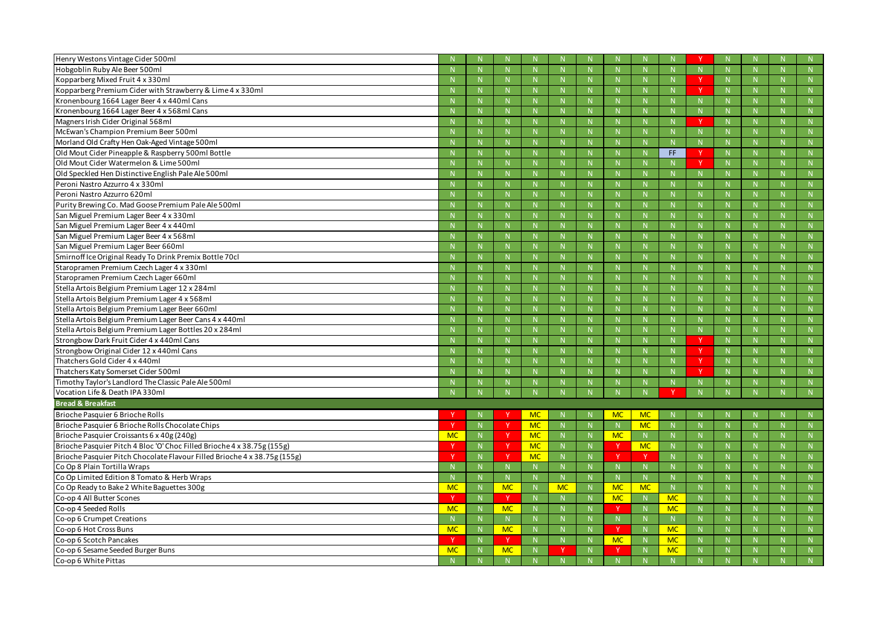| Henry Westons Vintage Cider 500ml                                         |                |              |                 |           |             |              |                        |              |                |              |              |                |
|---------------------------------------------------------------------------|----------------|--------------|-----------------|-----------|-------------|--------------|------------------------|--------------|----------------|--------------|--------------|----------------|
| Hobgoblin Ruby Ale Beer 500ml                                             |                |              |                 |           | $\mathbb N$ |              |                        | -N           | $\mathsf{N}$   |              | $\mathsf{N}$ |                |
| Kopparberg Mixed Fruit 4 x 330ml                                          |                | -N           |                 |           | N           |              |                        | -N           | N              | -N           | $\mathbb N$  | N              |
| Kopparberg Premium Cider with Strawberry & Lime 4 x 330ml                 |                |              |                 |           | $\mathbf N$ |              |                        |              | N              |              | N            | N              |
| Kronenbourg 1664 Lager Beer 4 x 440ml Cans                                |                |              |                 |           | $\mathbb N$ |              |                        | -N           | $\mathsf{N}$   |              | N            |                |
| Kronenbourg 1664 Lager Beer 4 x 568ml Cans                                |                | $\mathbf N$  | N.              |           | N           | N.           |                        | $\mathbb{N}$ | N              | $\mathsf{N}$ | N            | N              |
| Magners Irish Cider Original 568ml                                        |                | $\mathbb N$  | $\mathsf{N}$    |           | N           | N            |                        | $\mathbf N$  | N              |              | N            | N              |
| McEwan's Champion Premium Beer 500ml                                      |                |              |                 |           | $\mathbb N$ | $\mathsf{N}$ |                        | -N           | $\mathsf{N}$   |              | N            |                |
| Morland Old Crafty Hen Oak-Aged Vintage 500ml                             |                | $\mathbf N$  |                 |           | N           |              |                        | $\mathbf N$  | $\mathbb N$    | -N           | $\mathbb N$  | N              |
| Old Mout Cider Pineapple & Raspberry 500ml Bottle                         |                |              |                 |           | $\mathbf N$ |              |                        |              | FF.            |              | N            | N              |
| Old Mout Cider Watermelon & Lime 500ml                                    |                |              |                 |           | $\mathbb N$ |              |                        | -N           | N              |              | N            |                |
| Old Speckled Hen Distinctive English Pale Ale 500ml                       |                | $\mathbf N$  | N.              |           | N           | N.           |                        | $\mathbb{N}$ | $\mathsf{N}$   | -N           | N            | N              |
| Peroni Nastro Azzurro 4 x 330ml                                           |                |              | N.              |           | $\mathbf N$ | N            |                        |              | N              |              | N            | N              |
| Peroni Nastro Azzurro 620ml                                               |                |              |                 |           | $\mathbb N$ |              |                        | -N           | $\mathsf{N}$   |              | N            |                |
| Purity Brewing Co. Mad Goose Premium Pale Ale 500ml                       |                | $\mathbf N$  |                 |           | N           |              |                        | $\mathbb{N}$ | N              | -N           | $\mathbb N$  | N              |
| San Miguel Premium Lager Beer 4 x 330ml                                   |                |              |                 |           |             | N            |                        |              | N              |              | N            | N              |
| San Miguel Premium Lager Beer 4 x 440ml                                   |                |              |                 |           | $\mathbb N$ |              |                        | -N           | $\mathsf{N}$   |              | N            |                |
| San Miguel Premium Lager Beer 4 x 568ml                                   |                | $\mathbf N$  |                 |           | N           |              |                        | $\mathbb{N}$ | N              | -N           | N            | N              |
| San Miguel Premium Lager Beer 660ml                                       |                |              | N.              |           | $\mathbf N$ | N            |                        | -N           | N              |              | N            | N              |
| Smirnoff Ice Original Ready To Drink Premix Bottle 70cl                   |                |              |                 |           | $\mathbb N$ |              |                        | -N           | $\mathsf{N}$   |              | $\mathsf{N}$ |                |
| Staropramen Premium Czech Lager 4 x 330ml                                 |                | $\mathbf N$  |                 |           | N           |              |                        | $\mathbb{N}$ | N              | -N           | $\mathbb N$  | N              |
| Staropramen Premium Czech Lager 660ml                                     |                |              |                 |           |             |              |                        |              | N              |              | N            | N              |
| Stella Artois Belgium Premium Lager 12 x 284ml                            |                |              |                 |           | $\mathbb N$ |              |                        | -N           | $\mathsf{N}$   |              | N            | $\mathsf{N}$   |
| Stella Artois Belgium Premium Lager 4 x 568ml                             |                | $\mathbf N$  |                 |           | $\mathbb N$ |              |                        | -N           | N              |              | N            | N              |
| Stella Artois Belgium Premium Lager Beer 660ml                            |                |              | $\mathsf{N}$    |           | $\mathbb N$ | N            |                        | -N           | N              |              | N            | N              |
| Stella Artois Belgium Premium Lager Beer Cans 4 x 440ml                   |                |              |                 |           | $\mathbb N$ | $\mathbb N$  |                        | -N           | N              |              | N            | N              |
| Stella Artois Belgium Premium Lager Bottles 20 x 284ml                    |                | -N           |                 |           | N           |              |                        | -N           | $\mathsf{N}$   | -N           | $\mathbb N$  | N              |
| Strongbow Dark Fruit Cider 4 x 440ml Cans                                 |                |              | N.              |           | $\mathbb N$ | N            |                        |              | N              |              | N            | N              |
| Strongbow Original Cider 12 x 440ml Cans                                  |                | $\mathsf{N}$ | $\mathsf{N}$    |           | N           | $\mathsf{N}$ |                        | N            | N              | $\mathsf{N}$ | N            | N              |
| Thatchers Gold Cider 4 x 440ml                                            |                | -N           |                 |           | $\mathbb N$ |              |                        | -N           | N              | -N           | N            | N              |
| Thatchers Katy Somerset Cider 500ml                                       |                |              |                 |           |             |              |                        |              | N              |              | N            | N              |
| Timothy Taylor's Landlord The Classic Pale Ale 500ml                      |                |              |                 |           | N           |              |                        | $\mathbb N$  |                |              |              | $\mathsf{N}$   |
| Vocation Life & Death IPA 330ml                                           |                | N            |                 |           | N           |              |                        | N            |                |              | $\mathbb{N}$ | N              |
| <b>Bread &amp; Breakfast</b>                                              |                |              |                 |           |             |              |                        |              |                |              |              |                |
| Brioche Pasquier 6 Brioche Rolls                                          |                | -N           |                 | <b>MC</b> | -N          |              | MC                     | <b>MC</b>    |                |              |              | $\mathbb{N}$   |
| Brioche Pasquier 6 Brioche Rolls Chocolate Chips                          |                | N            |                 | <b>MC</b> | N           | N.           |                        | <b>MC</b>    | N              |              | N            | N              |
| Brioche Pasquier Croissants 6 x 40g (240g)                                | <b>MC</b>      | ${\sf N}$    |                 | <b>MC</b> | N           | N            | <b>MC</b>              | N            | ${\sf N}$      | $\mathsf{N}$ | N            | ${\sf N}$      |
| Brioche Pasquier Pitch 4 Bloc 'O' Choc Filled Brioche 4 x 38.75g (155g)   |                | N            | <b>Y</b>        | <b>MC</b> | N           | N            |                        | <b>MC</b>    | N              | $\mathsf{N}$ | N            | $\mathsf N$    |
| Brioche Pasquier Pitch Chocolate Flavour Filled Brioche 4 x 38.75g (155g) |                | N            |                 | <b>MC</b> | N           | N            |                        |              | N              |              | N            | ${\sf N}$      |
| Co Op 8 Plain Tortilla Wraps                                              |                | N            | N.              |           | ${\sf N}$   | N            |                        | N            | N              | N            | N            | ${\sf N}$      |
| Co Op Limited Edition 8 Tomato & Herb Wraps                               |                | N            | N               |           | N           | N            |                        | N            | N              | $\mathbf N$  | N            | N              |
| Co Op Ready to Bake 2 White Baguettes 300g                                | <b>MC</b><br>Y | N            | <b>MC</b><br>Y  |           | <b>MC</b>   | N            | <b>MC</b><br><b>MC</b> | <b>MC</b>    | N<br><b>MC</b> |              | N            | N              |
| Co-op 4 All Butter Scones                                                 |                | N            |                 |           | N           | N            |                        | N            |                | N            | N            | ${\sf N}$      |
| Co-op 4 Seeded Rolls<br>Co-op 6 Crumpet Creations                         | <b>MC</b>      | N            | <b>MC</b>       |           | N<br>N      | N<br>N       |                        | N<br>N       | <b>MC</b>      | N            | N<br>N       | N<br>${\sf N}$ |
| Co-op 6 Hot Cross Buns                                                    | <b>MC</b>      | N<br>N       | N.<br><b>MC</b> |           | N           |              |                        | N            | N<br><b>MC</b> | N            | N            | ${\sf N}$      |
| Co-op 6 Scotch Pancakes                                                   |                | N            | <sup>Y</sup>    |           | N           | N            | MC                     | N            | <b>MC</b>      | $\mathbf N$  | N            | N              |
| Co-op 6 Sesame Seeded Burger Buns                                         | <b>MC</b>      | $\mathsf{N}$ | <b>MC</b>       |           |             | N            |                        | $\mathbb N$  | <b>MC</b>      |              | N            | N              |
|                                                                           |                |              |                 |           |             |              |                        |              |                |              |              |                |
| Co-op 6 White Pittas                                                      |                | N            | N               |           | N           | N            |                        | N            | N              |              | N            | N              |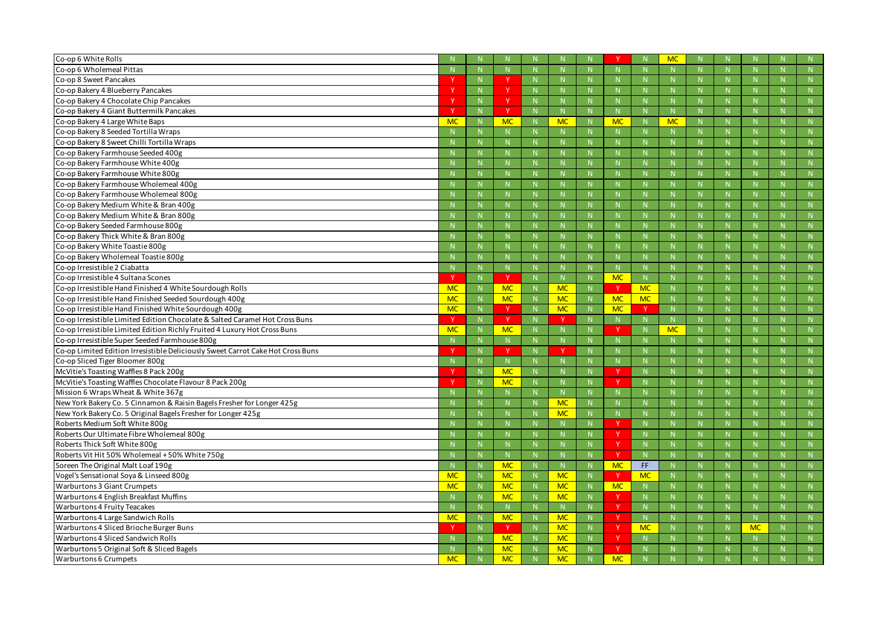| Co-op 6 White Rolls                                                             |              |                |                        |    |                        |              |           |              | <b>MC</b>    |              |             |              |
|---------------------------------------------------------------------------------|--------------|----------------|------------------------|----|------------------------|--------------|-----------|--------------|--------------|--------------|-------------|--------------|
| Co-op 6 Wholemeal Pittas                                                        |              | N              | N                      |    | N                      | $\mathbb N$  |           | N            | N            | N            | N           | N            |
| Co-op 8 Sweet Pancakes                                                          |              | -N             | <b>v</b>               |    | -N                     |              |           | -N           | $\mathsf{N}$ |              | $\mathbb N$ | N            |
| Co-op Bakery 4 Blueberry Pancakes                                               |              | $\mathbb N$    |                        |    | -N                     | <b>N</b>     |           |              | N            |              | $\mathbb N$ | N            |
| Co-op Bakery 4 Chocolate Chip Pancakes                                          |              | N              | <b>V</b>               |    | N                      | N            |           | N            | N            | $\mathbf N$  | N           | N            |
| Co-op Bakery 4 Giant Buttermilk Pancakes                                        |              | N              | <b>Y</b>               |    | -N                     |              |           | -N           | N            |              | $\mathbb N$ |              |
| Co-op Bakery 4 Large White Baps                                                 | <b>MC</b>    | N              | <b>MC</b>              |    | <b>MC</b>              | N            | <b>MC</b> | -N           | <b>MC</b>    |              | N           |              |
| Co-op Bakery 8 Seeded Tortilla Wraps                                            |              | N              | N                      |    | N                      | N            |           | N            | N            | $\mathsf{N}$ | N           | N            |
| Co-op Bakery 8 Sweet Chilli Tortilla Wraps                                      |              | -N             |                        |    | -N                     |              |           |              |              |              | -N          | N            |
| Co-op Bakery Farmhouse Seeded 400g                                              |              | $\mathbb N$    |                        |    | -N                     | $\mathbb N$  |           | -N           | N            |              | $\mathbb N$ | N            |
| Co-op Bakery Farmhouse White 400g                                               |              | N              |                        |    | N                      | N            |           | $\mathbb{N}$ | N            | $\mathbf N$  | N           | N            |
| Co-op Bakery Farmhouse White 800g                                               |              | $\mathbb N$    |                        |    | -N                     |              |           | -N           | $\mathsf{N}$ |              | $\mathbb N$ |              |
| Co-op Bakery Farmhouse Wholemeal 400g                                           |              | $\mathbb N$    |                        |    |                        | N            |           |              | N            |              | N           | N            |
| Co-op Bakery Farmhouse Wholemeal 800g                                           |              | N              | $\mathsf{N}$           |    | N                      | N            |           | N            | N            | $\mathsf{N}$ | N           | N            |
| Co-op Bakery Medium White & Bran 400g                                           |              | -N             |                        |    |                        |              |           |              |              |              |             |              |
| Co-op Bakery Medium White & Bran 800g                                           |              | N              |                        |    | -N                     | N            |           |              | N            |              | N           | N            |
| Co-op Bakery Seeded Farmhouse 800g                                              |              | N              |                        |    | N                      | $\mathsf{N}$ |           | N            | N            | $\mathbf N$  | N           | N            |
| Co-op Bakery Thick White & Bran 800g                                            |              | $\mathbb N$    |                        |    | -N                     | N            |           | -N           | $\mathsf{N}$ |              | $\mathbb N$ | N            |
| Co-op Bakery White Toastie 800g                                                 |              | $\mathbb N$    |                        |    | -N                     | N            |           |              | N            |              | N           | N            |
| Co-op Bakery Wholemeal Toastie 800g                                             |              | N              | N                      |    | N                      | N            |           | N            | N            | $\mathsf{N}$ | N           | N            |
| Co-op Irresistible 2 Ciabatta                                                   |              | $\mathbb N$    |                        |    | -N                     |              |           | -N           |              |              |             |              |
| Co-op Irresistible 4 Sultana Scones                                             |              | N              | $\vee$                 |    | N                      | N            | <b>MC</b> | $\mathbb{N}$ | N            |              | N           | N            |
| Co-op Irresistible Hand Finished 4 White Sourdough Rolls                        | <b>MC</b>    | N              | <b>MC</b>              |    | <b>MC</b>              | N            |           | <b>MC</b>    | N            | $\mathsf{N}$ | N           | N            |
| Co-op Irresistible Hand Finished Seeded Sourdough 400g                          | <b>MC</b>    | $\mathbb N$    | <b>MC</b>              |    | <b>MC</b>              | N            | <b>MC</b> | <b>MC</b>    | $\mathsf{N}$ |              | $\mathbb N$ | N            |
| Co-op Irresistible Hand Finished White Sourdough 400g                           | <b>MC</b>    | N              |                        |    | <b>MC</b>              | N            |           |              | N            |              | N           | N            |
|                                                                                 |              |                | Y.                     |    |                        |              | <b>MC</b> |              |              |              |             |              |
| Co-op Irresistible Limited Edition Chocolate & Salted Caramel Hot Cross Buns    |              | N              | <b>V</b>               |    |                        | N            |           | -N           | ${\sf N}$    | $\mathsf{N}$ | N           | N            |
| Co-op Irresistible Limited Edition Richly Fruited 4 Luxury Hot Cross Buns       | <b>MC</b>    | $\mathbb N$    | <b>MC</b>              |    | -N                     |              |           |              | <b>MC</b>    |              |             |              |
| Co-op Irresistible Super Seeded Farmhouse 800g                                  |              | N              | N                      |    | N                      | N            |           |              | N            |              | N           | N            |
| Co-op Limited Edition Irresistible Deliciously Sweet Carrot Cake Hot Cross Buns |              | N              | <b>V</b>               |    |                        | N            |           | N            | N            | $\mathbf N$  | N           | N            |
| Co-op Sliced Tiger Bloomer 800g                                                 |              | -N             |                        |    | -N                     |              |           | -N           | <b>N</b>     |              | -N          | <b>N</b>     |
| McVitie's Toasting Waffles 8 Pack 200g                                          |              | $\mathbb N$    | <b>MC</b>              |    |                        |              |           |              | $\mathsf{N}$ |              | N           | N            |
| McVitie's Toasting Waffles Chocolate Flavour 8 Pack 200g                        |              | N              | <b>MC</b>              |    | N                      |              |           | N            |              | N            |             | N            |
| Mission 6 Wraps Wheat & White 367g                                              |              | $\mathsf{N}$   |                        |    | N                      |              |           | -N           | -N           | -N           | $\mathbb N$ | <sup>N</sup> |
| New York Bakery Co. 5 Cinnamon & Raisin Bagels Fresher for Longer 425g          |              | N              |                        |    | <b>MC</b>              | N            |           | $\mathsf{N}$ | N            |              | N           | N            |
| New York Bakery Co. 5 Original Bagels Fresher for Longer 425g                   |              | N              | N                      |    | <b>MC</b>              | N            | N         | N            | N            | N            | N           | N            |
| Roberts Medium Soft White 800g                                                  |              | N              | <b>N</b>               |    | N                      | <b>N</b>     |           | $\mathbb N$  | N            | -N           | $\mathbb N$ | N            |
| Roberts Our Ultimate Fibre Wholemeal 800g                                       |              | $\mathbb{N}$   | N                      |    | $\mathbb{N}$           | N            |           | $\mathbb{N}$ | N            | $\mathsf{N}$ | N           | ${\sf N}$    |
| Roberts Thick Soft White 800g                                                   |              | N              | N                      |    | N                      | N            |           | N            | ${\sf N}$    | N            | N           | N            |
| Roberts Vit Hit 50% Wholemeal +50% White 750g                                   |              | $\overline{N}$ | N.                     |    | N                      | N            |           | N            | N            | $\mathbb N$  | N           | N            |
| Soreen The Original Malt Loaf 190g                                              |              | N              | <b>MC</b>              |    | N                      | N            | <b>MC</b> | FF.          | N            | $\mathsf{N}$ | N           | N            |
| Vogel's Sensational Soya & Linseed 800g                                         | <b>MC</b>    | N              | <b>MC</b>              |    | <b>MC</b>              | N            |           | <b>MC</b>    | N            | N            | N           | N            |
| <b>Warburtons 3 Giant Crumpets</b>                                              | <b>MC</b>    | N              | <b>MC</b>              |    | <b>MC</b>              | N            | MC        | $\mathbb N$  | N            | $\mathbf N$  | $\mathbb N$ | N            |
| Warburtons 4 English Breakfast Muffins                                          | <sup>N</sup> | $\mathbb{N}$   | <b>MC</b>              |    | <b>MC</b>              | N            |           | N            | N            | $\mathsf{N}$ | N           | N            |
| <b>Warburtons 4 Fruity Teacakes</b>                                             | N            | N              | N                      | N  | N                      | N            |           | N            | ${\sf N}$    | N            | N           | N            |
| Warburtons 4 Large Sandwich Rolls                                               | <b>MC</b>    | N              | <b>MC</b>              | -N | <b>MC</b>              | N            |           | N            | N            | $\mathbb{N}$ | N           | N            |
| Warburtons 4 Sliced Brioche Burger Buns                                         |              | $\mathbb N$    | Y.                     | N. | <b>MC</b>              | N            |           | <b>MC</b>    | N            | N            | <b>MC</b>   | N            |
| Warburtons 4 Sliced Sandwich Rolls                                              |              | N              | <b>MC</b>              |    | <b>MC</b>              | N            |           | N            | N            | N            | N           | N            |
| Warburtons 5 Original Soft & Sliced Bagels<br><b>Warburtons 6 Crumpets</b>      | <b>MC</b>    | $\mathsf{N}$   | <b>MC</b><br><b>MC</b> |    | <b>MC</b><br><b>MC</b> |              | <b>MC</b> | $\mathbb N$  |              |              | $\mathbb N$ | N<br>N       |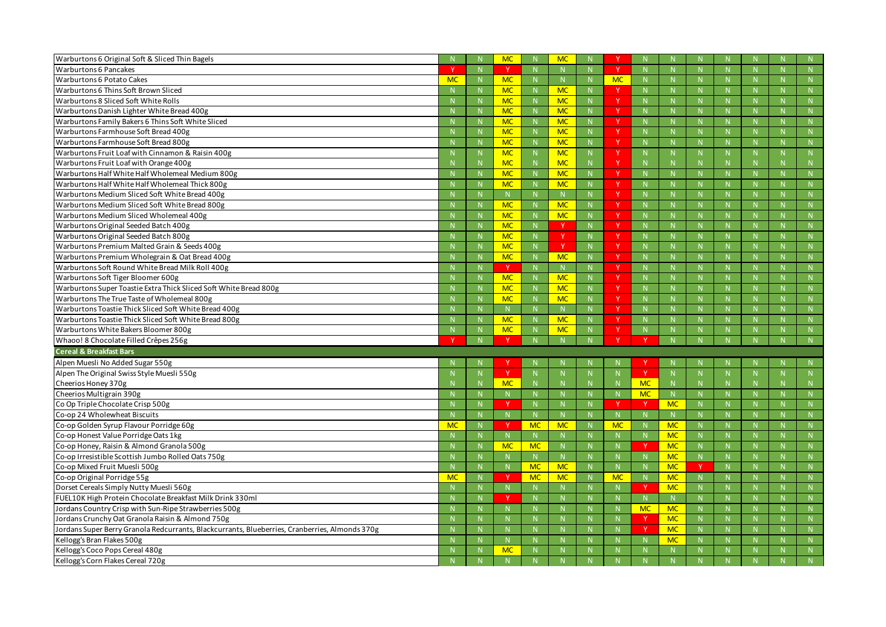| Warburtons 6 Original Soft & Sliced Thin Bagels                                                |           |              | <b>MC</b>    |             | <b>MC</b>   |              |              |                |              |    |              |              |           |
|------------------------------------------------------------------------------------------------|-----------|--------------|--------------|-------------|-------------|--------------|--------------|----------------|--------------|----|--------------|--------------|-----------|
| <b>Warburtons 6 Pancakes</b>                                                                   |           |              | Y.           |             | N           |              | <sup>Y</sup> | -N             | $\mathsf{N}$ |    |              | $\mathsf{N}$ |           |
| <b>Warburtons 6 Potato Cakes</b>                                                               | <b>MC</b> | $\mathsf{N}$ | <b>MC</b>    | N.          | $\mathbb N$ | N.           | <b>MC</b>    | $\mathbb{N}$   | N            |    | $\mathbb N$  | $\mathsf{N}$ | N         |
| Warburtons 6 Thins Soft Brown Sliced                                                           |           | $\mathbb N$  | <b>MC</b>    |             | <b>MC</b>   |              |              | N              | $\mathsf{N}$ |    | $\mathbf N$  | N            | N         |
| Warburtons 8 Sliced Soft White Rolls                                                           |           | -N           | <b>MC</b>    |             | <b>MC</b>   | N.           | <b>V</b>     | -N             | $\mathsf{N}$ |    |              | $\mathsf{N}$ |           |
| Warburtons Danish Lighter White Bread 400g                                                     |           | -N           | <b>MC</b>    |             | <b>MC</b>   | N            | -V           | $\mathbb N$    | N            |    | -N           | $\mathbb N$  | N         |
| Warburtons Family Bakers 6 Thins Soft White Sliced                                             |           | -N           | <b>MC</b>    |             | <b>MC</b>   | N            |              | $\mathbb{N}$   | $\mathsf{N}$ |    | $\Lambda$    | $\mathsf{N}$ | N         |
| Warburtons Farmhouse Soft Bread 400g                                                           |           | -N           | <b>MC</b>    |             | <b>MC</b>   | N.           | V            | -N             | $\mathsf{N}$ |    |              | $\mathsf{N}$ |           |
| Warburtons Farmhouse Soft Bread 800g                                                           |           | $\mathbb N$  | <b>MC</b>    |             | <b>MC</b>   | N            | V            | $\mathbb N$    | N            |    | $\mathbb N$  | N            | N         |
| Warburtons Fruit Loaf with Cinnamon & Raisin 400g                                              |           | $\mathbb N$  | <b>MC</b>    |             | <b>MC</b>   | N.           |              | N              | N            |    | -N           | N            | N         |
| Warburtons Fruit Loaf with Orange 400g                                                         |           | $\mathbb N$  | <b>MC</b>    |             | <b>MC</b>   | N.           |              | $\mathsf{N}$   | N            |    |              | $\mathsf{N}$ |           |
| Warburtons Half White Half Wholemeal Medium 800g                                               |           | -N           | <b>MC</b>    | N.          | <b>MC</b>   | N            | -V           | $\mathbb N$    | N            |    | $\mathbb{N}$ | N            | N         |
| Warburtons Half White Half Wholemeal Thick 800g                                                |           |              | <b>MC</b>    |             | <b>MC</b>   | N.           |              | $\mathbb N$    | $\mathsf{N}$ |    | -N           | $\mathsf{N}$ |           |
| Warburtons Medium Sliced Soft White Bread 400g                                                 |           |              | N            |             | N           | N.           | $\vee$       | -N             | $\mathsf{N}$ |    |              | $\mathsf{N}$ |           |
| Warburtons Medium Sliced Soft White Bread 800g                                                 |           | $\mathbb N$  | <b>MC</b>    |             | <b>MC</b>   | N            | <b>V</b>     | $\mathbb N$    | N            |    | N            | $\mathsf{N}$ | N         |
| Warburtons Medium Sliced Wholemeal 400g                                                        |           | -N           | <b>MC</b>    |             | <b>MC</b>   |              |              | $\mathsf{N}$   | N            |    |              | $\mathsf{N}$ |           |
| Warburtons Original Seeded Batch 400g                                                          |           | -N           | <b>MC</b>    |             | - V         | N            | Y            | -N             | $\mathsf{N}$ |    |              | $\mathsf{N}$ |           |
| Warburtons Original Seeded Batch 800g                                                          |           | -N           | <b>MC</b>    |             | - V         | N.           | <b>v</b>     | $\mathbb N$    | N            |    | -N           | $\mathsf{N}$ | N         |
| Warburtons Premium Malted Grain & Seeds 400g                                                   |           | $\mathbb N$  | <b>MC</b>    |             |             | N            |              | N              | $\mathsf{N}$ |    |              | $\mathsf{N}$ |           |
| Warburtons Premium Wholegrain & Oat Bread 400g                                                 |           |              | <b>MC</b>    |             | <b>MC</b>   | N.           | v            | -N             | $\mathsf{N}$ |    |              | $\mathsf{N}$ |           |
| Warburtons Soft Round White Bread Milk Roll 400g                                               |           | -N           | <sup>Y</sup> |             | N           | N.           |              | $\mathbb N$    | N            |    | -N           | $\mathsf{N}$ | N         |
| Warburtons Soft Tiger Bloomer 600g                                                             |           |              | <b>MC</b>    |             | <b>MC</b>   |              |              | $\mathsf{N}$   | $\mathsf{N}$ |    |              | $\mathsf{N}$ |           |
| Warburtons Super Toastie Extra Thick Sliced Soft White Bread 800g                              |           | -N           | <b>MC</b>    |             | <b>MC</b>   | N.           | Y            | -N             | $\mathsf{N}$ |    |              | $\mathsf{N}$ |           |
| Warburtons The True Taste of Wholemeal 800g                                                    |           | -N           | <b>MC</b>    | $\mathbb N$ | <b>MC</b>   | N            |              | $\mathbb N$    | N            |    | $\mathbb N$  | $\mathsf{N}$ | N         |
| Warburtons Toastie Thick Sliced Soft White Bread 400g                                          |           | -N           | N.           |             | N           | N.           |              | N              | N            |    | $\mathbf N$  | N            | N         |
| Warburtons Toastie Thick Sliced Soft White Bread 800g                                          |           |              | <b>MC</b>    |             | <b>MC</b>   |              | v            | $\mathbf N$    | $\mathsf{N}$ |    |              |              |           |
| Warburtons White Bakers Bloomer 800g                                                           |           | -N           | <b>MC</b>    |             | <b>MC</b>   |              |              | $\mathbb N$    | N            |    |              | N            | N.        |
| Whaoo! 8 Chocolate Filled Crêpes 256g                                                          |           | N            |              |             | N           | $\mathbf{N}$ |              |                | $\mathbf{N}$ |    |              | N            | N         |
| <b>Cereal &amp; Breakfast Bars</b>                                                             |           |              |              |             |             |              |              |                |              |    |              |              |           |
| Alpen Muesli No Added Sugar 550g                                                               |           |              |              |             |             |              |              |                |              |    |              |              |           |
| Alpen The Original Swiss Style Muesli 550g                                                     |           |              |              |             | -N          |              |              |                | N            |    |              |              | N.        |
| Cheerios Honey 370g                                                                            |           |              | <b>MC</b>    |             |             |              |              | <b>MC</b>      |              |    |              |              |           |
| Cheerios Multigrain 390g                                                                       |           |              |              |             |             |              |              | MC             | $\mathsf{N}$ |    |              |              | N.        |
| Co Op Triple Chocolate Crisp 500g                                                              |           | $\mathbb N$  | <b>Y</b>     |             | N           | $\mathbb N$  |              |                | <b>MC</b>    |    | $\mathbb N$  | N            | N         |
| Co-op 24 Wholewheat Biscuits                                                                   |           | N            | N            |             | $\mathsf N$ | N            | N            | $\mathbb{N}$   | N            |    | $\mathsf{N}$ | N            | N         |
| Co-op Golden Syrup Flavour Porridge 60g                                                        | <b>MC</b> | N            | v            | <b>MC</b>   | <b>MC</b>   | N            | <b>MC</b>    | N              | <b>MC</b>    |    | N            | N            | N         |
| Co-op Honest Value Porridge Oats 1kg                                                           |           | N            | N.           | N.          | N           | N            |              | N              | <b>MC</b>    |    | N            | $\mathsf{N}$ | N         |
| Co-op Honey, Raisin & Almond Granola 500g                                                      |           | $\mathbb N$  | <b>MC</b>    | <b>MC</b>   | N           | N            |              | - Y            | <b>MC</b>    | N. | $\mathbb{N}$ | N            | N         |
| Co-op Irresistible Scottish Jumbo Rolled Oats 750g                                             |           | $\mathbb N$  |              |             | N           | N            |              | $\mathbb N$    | <b>MC</b>    |    | $\mathbb N$  | N            | N         |
| Co-op Mixed Fruit Muesli 500g                                                                  |           | N            | N            | <b>MC</b>   | <b>MC</b>   | N            | $\mathbb N$  | $\overline{N}$ | <b>MC</b>    | Y  | N            | N            | N         |
| Co-op Original Porridge 55g                                                                    | <b>MC</b> | N            | <b>Y</b>     | <b>MC</b>   | <b>MC</b>   | N            | <b>MC</b>    | N              | <b>MC</b>    | N  | N            | N            | ${\sf N}$ |
| Dorset Cereals Simply Nutty Muesli 560g                                                        |           | N            | N.           |             | N           | N            |              |                | <b>MC</b>    |    | N            | N            | N         |
| FUEL10K High Protein Chocolate Breakfast Milk Drink 330ml                                      |           | N            |              |             | N           | N            |              | $\mathbb{N}$   | N            |    | N            | $\mathsf{N}$ | N         |
| Jordans Country Crisp with Sun-Ripe Strawberries 500g                                          |           | $\mathbb{N}$ | N            |             | N           | N            |              | <b>MC</b>      | <b>MC</b>    | N  | N            | N            | N         |
| Jordans Crunchy Oat Granola Raisin & Almond 750g                                               |           | $\mathbb N$  | N            |             | N           | N            |              |                | <b>MC</b>    |    | N            | N            | N         |
| Jordans Super Berry Granola Redcurrants, Blackcurrants, Blueberries, Cranberries, Almonds 370g |           | N            | N            |             | N           | N            |              |                | <b>MC</b>    | N. | N            | N            | N         |
| Kellogg's Bran Flakes 500g                                                                     |           | N            | N            |             | N           | N            |              | N              | <b>MC</b>    | N. | N            | N            | ${\sf N}$ |
| Kellogg's Coco Pops Cereal 480g                                                                |           |              |              |             |             |              |              |                |              |    |              |              |           |
| Kellogg's Corn Flakes Cereal 720g                                                              |           | $\mathbb N$  | <b>MC</b>    |             | $\mathbb N$ |              |              | -N             | N            |    | $\mathbf N$  | N            | N         |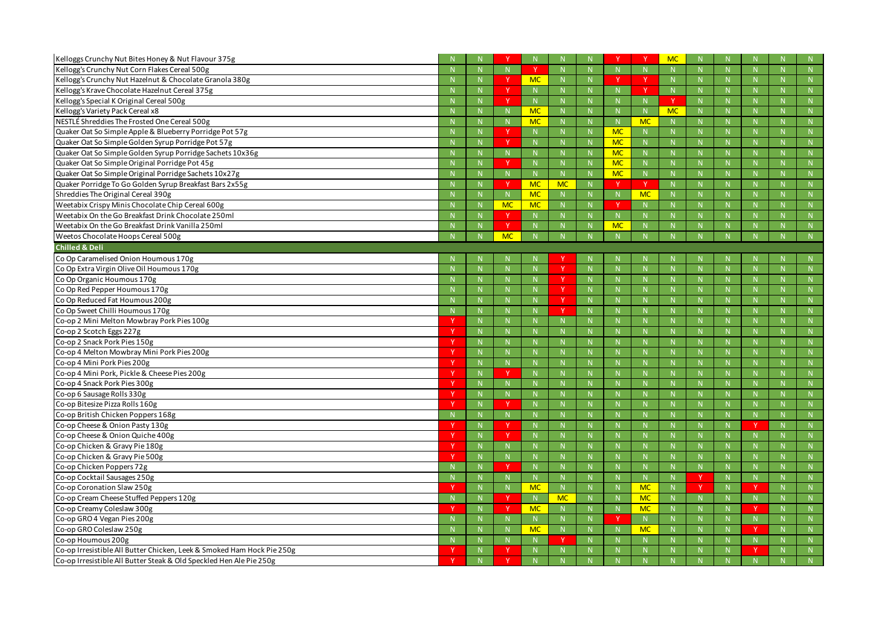| Kelloggs Crunchy Nut Bites Honey & Nut Flavour 375g                    |          |              |             |           |             |              |           |              | <b>MC</b>    |    |              |              |              |
|------------------------------------------------------------------------|----------|--------------|-------------|-----------|-------------|--------------|-----------|--------------|--------------|----|--------------|--------------|--------------|
| Kellogg's Crunchy Nut Corn Flakes Cereal 500g                          |          | $\mathsf{N}$ |             |           | N           | $\mathsf{N}$ |           |              | N            |    | N            | N            | $\mathsf{N}$ |
| Kellogg's Crunchy Nut Hazelnut & Chocolate Granola 380g                |          |              |             | <b>MC</b> | $\mathbb N$ |              |           |              | $\mathsf{N}$ |    |              | $\mathbb N$  | N            |
| Kellogg's Krave Chocolate Hazelnut Cereal 375g                         |          |              |             |           | N           | N.           |           |              | N            |    |              | N            | N            |
| Kellogg's Special K Original Cereal 500g                               |          | $\mathsf{N}$ |             |           | N           | N            |           | $\mathbb{N}$ | <sup>V</sup> |    | N            | N            | N            |
| Kellogg's Variety Pack Cereal x8                                       |          |              |             | <b>MC</b> | $\mathbb N$ |              |           |              | <b>MC</b>    |    |              | $\mathbb N$  | $\mathsf{N}$ |
| NESTLÉ Shreddies The Frosted One Cereal 500g                           |          |              | N           | <b>MC</b> | N           | N.           |           | <b>MC</b>    | N            |    |              | N            | N            |
| Quaker Oat So Simple Apple & Blueberry Porridge Pot 57g                |          | $\mathsf{N}$ |             |           | N           | N            | <b>MC</b> | N            | N            |    | N            | N            | $\mathsf{N}$ |
| Quaker Oat So Simple Golden Syrup Porridge Pot 57g                     |          |              | <b>V</b>    |           | $\mathbb N$ | N            | <b>MC</b> | -N           | N            |    |              | $\mathbb N$  | N            |
| Quaker Oat So Simple Golden Syrup Porridge Sachets 10x36g              |          |              | N           |           | $\mathbb N$ | N            | <b>MC</b> | $\mathbb{N}$ | N            |    |              | N            | N            |
| Quaker Oat So Simple Original Porridge Pot 45g                         |          | N            |             |           | N           | N            | <b>MC</b> | N            | N            |    | N            | N            | N            |
| Quaker Oat So Simple Original Porridge Sachets 10x27g                  |          |              |             |           | N           |              | <b>MC</b> | -N           | $\mathbb N$  |    |              | $\mathbb N$  | $\mathsf{N}$ |
| Quaker Porridge To Go Golden Syrup Breakfast Bars 2x55g                |          | $\mathbf N$  | $\mathbf v$ | <b>MC</b> | <b>MC</b>   | N            |           |              | N            |    |              | N            | $\mathsf{N}$ |
| Shreddies The Original Cereal 390g                                     |          | $\mathsf{N}$ | N           | <b>MC</b> | N           | N            |           | <b>MC</b>    | N            |    |              | N            | N            |
| Weetabix Crispy Minis Chocolate Chip Cereal 600g                       |          |              | <b>MC</b>   | <b>MC</b> | $\mathbb N$ |              |           | -N           | $\mathbb N$  |    |              | $\mathbb N$  | N            |
| Weetabix On the Go Breakfast Drink Chocolate 250ml                     |          |              | <b>Y</b>    |           | $\mathbb N$ | N.           |           |              | $\mathsf{N}$ |    |              | N            | $\mathsf{N}$ |
| Weetabix On the Go Breakfast Drink Vanilla 250ml                       |          | N            |             |           | N           | N            | <b>MC</b> | N            | N            |    |              | $\mathbb N$  | $\mathsf{N}$ |
| Weetos Chocolate Hoops Cereal 500g                                     |          |              | <b>MC</b>   |           |             |              |           |              |              |    |              |              |              |
| <b>Chilled &amp; Deli</b>                                              |          |              |             |           |             |              |           |              |              |    |              |              |              |
| Co Op Caramelised Onion Houmous 170g                                   |          |              |             |           |             |              |           |              |              |    |              |              |              |
| Co Op Extra Virgin Olive Oil Houmous 170g                              |          |              |             |           |             | $\mathsf{N}$ |           |              | $\mathsf{N}$ |    |              | N            | $\mathsf{N}$ |
| Co Op Organic Houmous 170g                                             |          | $\mathsf{N}$ | N           |           |             | N            |           | N            | N            |    | N            | N            | N            |
| Co Op Red Pepper Houmous 170g                                          |          |              |             |           |             | N            |           | -N           | $\mathsf{N}$ |    |              | $\mathbb N$  | $\mathsf{N}$ |
| Co Op Reduced Fat Houmous 200g                                         |          | $\mathsf{N}$ | N           |           |             | N            |           | $\mathsf{N}$ | N            |    |              | N            | $\mathsf{N}$ |
| Co Op Sweet Chilli Houmous 170g                                        |          | N            | N           |           |             | N            |           | N            | N            |    | N            | N            | $\mathsf{N}$ |
| Co-op 2 Mini Melton Mowbray Pork Pies 100g                             |          | $\mathsf{N}$ |             |           | $\mathbb N$ |              |           | -N           | $\mathsf{N}$ |    |              | $\mathbb N$  | $\mathsf{N}$ |
| Co-op 2 Scotch Eggs 227g                                               |          | N            | N           |           | $\mathbb N$ | N            |           | -N           | N            |    |              | N            | $\mathsf{N}$ |
| Co-op 2 Snack Pork Pies 150g                                           |          | N            | N           |           | N           | N            |           | N            | N            |    | $\mathsf{N}$ | N            | N            |
| Co-op 4 Melton Mowbray Mini Pork Pies 200g                             |          | N            | N           |           | $\mathbb N$ |              |           | -N           | N            |    |              | $\mathbb N$  | N            |
| Co-op 4 Mini Pork Pies 200g                                            |          | N            | N           |           | $\mathbb N$ | N            |           | -N           | N            |    |              | N            | $\mathbb N$  |
| Co-op 4 Mini Pork, Pickle & Cheese Pies 200g                           |          | $\mathsf{N}$ |             |           | $\mathbb N$ |              |           | $\mathsf{N}$ | N            |    |              | $\mathbb N$  | N            |
| Co-op 4 Snack Pork Pies 300g                                           | <b>V</b> |              |             |           |             |              |           |              |              |    |              |              |              |
| Co-op 6 Sausage Rolls 330g                                             |          | N            | N           |           | $\mathbb N$ |              |           |              | $\mathsf{N}$ |    |              | $\mathsf{N}$ | N            |
| Co-op Bitesize Pizza Rolls 160g                                        |          | N            |             |           | N           | N            |           | N            | ${\sf N}$    |    | $\mathsf{N}$ | ${\sf N}$    | N            |
| Co-op British Chicken Poppers 168g                                     |          | N            | N.          |           | N           | N            |           | $\mathbb N$  | $\mathsf{N}$ |    | $\mathsf{N}$ | N            | N            |
| Co-op Cheese & Onion Pasty 130g                                        |          | N            | Y.          |           | N           | N            |           | $\mathbb{N}$ | N            |    | $\mathsf{N}$ | Y            | ${\sf N}$    |
| Co-op Cheese & Onion Quiche 400g                                       |          | ${\sf N}$    | <b>V</b>    |           | N           | N            |           | N            | ${\sf N}$    |    | N            | N            | N            |
| Co-op Chicken & Gravy Pie 180g                                         |          | N            | N.          |           | N           | N            |           | $\mathbb N$  | $\mathsf{N}$ |    | -N           | N            | N            |
| Co-op Chicken & Gravy Pie 500g                                         |          | N            | N           |           | N           | N            |           | N            | ${\sf N}$    |    | $\mathsf N$  | ${\sf N}$    | ${\sf N}$    |
| Co-op Chicken Poppers 72g                                              |          | N            | Y           |           | N           | ${\sf N}$    |           | N            | ${\sf N}$    | N. | N            | ${\sf N}$    | ${\sf N}$    |
| Co-op Cocktail Sausages 250g                                           |          | N            | N           |           | N           | N            |           | N            | N            |    | $\mathsf{N}$ | N            | N            |
| Co-op Coronation Slaw 250g                                             |          | N            | $N_{\odot}$ | <b>MC</b> | N           | N            |           | <b>MC</b>    | N            |    | $\mathsf{N}$ | Y            | ${\sf N}$    |
| Co-op Cream Cheese Stuffed Peppers 120g                                |          | N            |             |           | <b>MC</b>   | ${\sf N}$    |           | <b>MC</b>    | ${\sf N}$    |    | N            | N            | N            |
| Co-op Creamy Coleslaw 300g                                             |          | N            | -V          | <b>MC</b> | N           | N            |           | <b>MC</b>    | N            |    | -N           | Y            | N            |
| Co-op GRO 4 Vegan Pies 200g                                            |          | N            | N           |           | N           | N            |           | N            | ${\sf N}$    |    | N            | ${\sf N}$    | ${\sf N}$    |
| Co-op GRO Coleslaw 250g                                                |          | N            | N           | <b>MC</b> | ${\sf N}$   | ${\sf N}$    |           | <b>MC</b>    | ${\sf N}$    |    | N            | Y            | ${\sf N}$    |
| Co-op Houmous 200g                                                     |          | $\mathbf N$  | N.          |           |             | N            |           | $\mathbb{N}$ | N            |    |              | N            | N            |
| Co-op Irresistible All Butter Chicken, Leek & Smoked Ham Hock Pie 250g |          | N            | Y           |           | N           |              |           |              | $\mathsf{N}$ |    |              | -Y           | N            |
| Co-op Irresistible All Butter Steak & Old Speckled Hen Ale Pie 250g    |          | N.           |             |           | $\mathbb N$ |              |           | $\mathbb N$  | N.           |    |              | N.           | N            |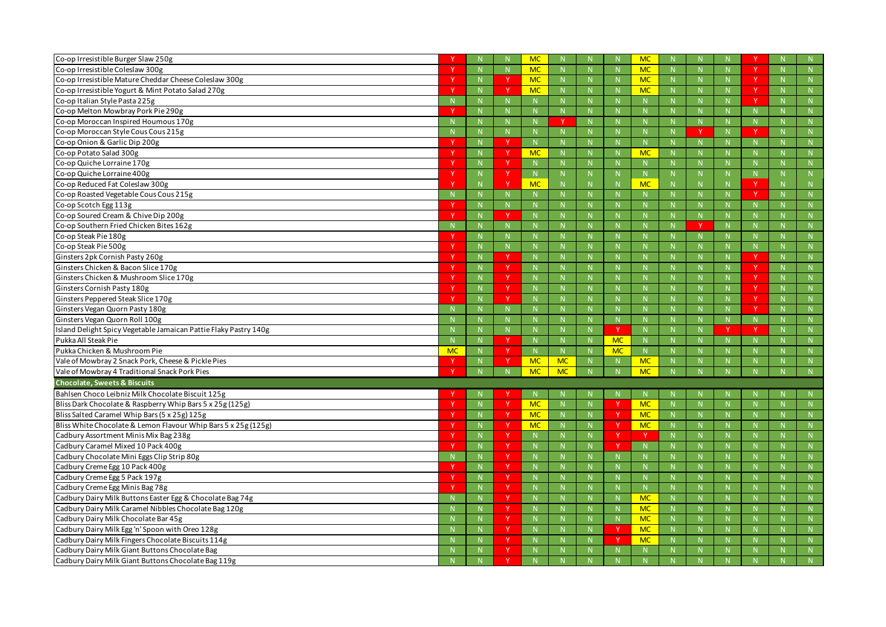| Co-op Irresistible Burger Slaw 250g                                                                   |             |                |              | <b>MC</b>      |                   |             |           | MC                |              |              |              |              |
|-------------------------------------------------------------------------------------------------------|-------------|----------------|--------------|----------------|-------------------|-------------|-----------|-------------------|--------------|--------------|--------------|--------------|
| Co-op Irresistible Coleslaw 300g                                                                      |             | N              |              | <b>MC</b>      | N                 | N           |           | <b>MC</b>         | N            | N            | <sup>V</sup> | N            |
| Co-op Irresistible Mature Cheddar Cheese Coleslaw 300g                                                |             | $\mathbb N$    |              | <b>MC</b>      | -N                | -N          |           | <b>MC</b>         | $\mathsf{N}$ |              | <sub>Y</sub> | N            |
| Co-op Irresistible Yogurt & Mint Potato Salad 270g                                                    |             | $\mathbb N$    |              | MC             | $\mathbb N$       | N           |           | <b>MC</b>         | N            |              | -V           | N            |
| Co-op Italian Style Pasta 225g                                                                        |             | N              |              |                | N                 | N           |           | N                 | N            | N            | <sup>V</sup> | N            |
| Co-op Melton Mowbray Pork Pie 290g                                                                    |             | $\mathbb N$    |              |                |                   |             |           | -N                | $\mathsf{N}$ |              | $\mathbb N$  |              |
| Co-op Moroccan Inspired Houmous 170g                                                                  |             | $\mathbb N$    |              |                |                   | $\mathbb N$ |           |                   | N            |              | N            |              |
| Co-op Moroccan Style Cous Cous 215g                                                                   |             | N              | N            |                | N                 | N           |           | N                 | N            | N            | <b>V</b>     | N            |
| Co-op Onion & Garlic Dip 200g                                                                         |             | -N             | <b>V</b>     |                | -N                |             |           |                   | <b>N</b>     |              | -N           | <b>N</b>     |
| Co-op Potato Salad 300g                                                                               |             | $\mathbb N$    | <b>Y</b>     | <b>MC</b>      | $\mathbb N$       | N           |           | <b>MC</b>         | N            |              | N            | N            |
| Co-op Quiche Lorraine 170g                                                                            |             | N              | <b>Y</b>     | N              | N                 | N           |           | N                 | N            | $\mathbb N$  | N            | N            |
| Co-op Quiche Lorraine 400g                                                                            | -V          | N              | Y.           | N              | $\mathbb N$       | N           |           | N                 | N            | $\mathbb N$  | $\mathbb N$  | N.           |
| Co-op Reduced Fat Coleslaw 300g                                                                       |             | N              | v            | <b>MC</b>      | -N                | N           |           | MC                | N            |              | Y            |              |
| Co-op Roasted Vegetable Cous Cous 215g                                                                |             | N              | $\mathsf{N}$ |                | N                 | N           |           | N                 | N            | N            | <b>V</b>     | ${\sf N}$    |
| Co-op Scotch Egg 113g                                                                                 |             | -N             |              |                | -N                |             |           |                   |              |              | -N           | <b>N</b>     |
| Co-op Soured Cream & Chive Dip 200g                                                                   |             | N              | $\mathbf v$  |                | -N                | N           |           | -N                | N            |              | N            | N            |
| Co-op Southern Fried Chicken Bites 162g                                                               |             | N              | N            |                | N                 | N           |           | $\mathbb N$       | N            | N            | N            | N            |
| Co-op Steak Pie 180g                                                                                  |             | $\mathbb N$    |              |                | -N                | <b>N</b>    |           | -N                | $\mathsf{N}$ | -N           | $\mathbb N$  | N            |
| Co-op Steak Pie 500g                                                                                  |             | N              | N            |                | -N                | N           |           |                   | N            |              | N            | N            |
| Ginsters 2pk Cornish Pasty 260g                                                                       |             | N              | N            |                | N                 | N           |           | N                 | N            | N            | <sup>V</sup> | N            |
| Ginsters Chicken & Bacon Slice 170g                                                                   |             | $\mathbb N$    | <b>Y</b>     |                | -N                |             |           |                   |              |              | <sub>Y</sub> | N            |
| Ginsters Chicken & Mushroom Slice 170g                                                                |             | N              | <sup>Y</sup> |                | -N                | N           |           |                   | N            |              | <b>Y</b>     | N            |
| Ginsters Cornish Pasty 180g                                                                           |             | N              | Y            |                | N                 | N           |           | N                 | N            | N            | <sup>V</sup> | N            |
| Ginsters Peppered Steak Slice 170g                                                                    |             | N              | -V           |                | -N                | <b>N</b>    |           | -N                | $\mathsf{N}$ | -N           | -Y           | N            |
| Ginsters Vegan Quorn Pasty 180g                                                                       |             | N              | N            |                | -N                | N           |           | -N                | N            | $\mathbf N$  | <sup>V</sup> | N            |
| Ginsters Vegan Quorn Roll 100g                                                                        |             | N              | $\mathsf{N}$ |                | N                 | N           |           | N                 | N            | N            | N            | N            |
|                                                                                                       |             |                |              |                |                   |             |           |                   |              |              |              |              |
| Island Delight Spicy Vegetable Jamaican Pattie Flaky Pastry 140g                                      |             | $\mathbb N$    |              |                |                   |             | v         | -N                |              | - V          | <b>v</b>     |              |
| Pukka All Steak Pie                                                                                   |             | N              | $\vee$       |                | -N                | N           | <b>MC</b> | -N                | N            |              | N            | N            |
| Pukka Chicken & Mushroom Pie                                                                          | <b>MC</b>   | N              | N            | N <sub>1</sub> | N                 | N           | <b>MC</b> | N                 | N            | $\mathbf N$  | $\mathsf{N}$ | N            |
| Vale of Mowbray 2 Snack Pork, Cheese & Pickle Pies                                                    |             | -N             | -V           | <b>MC</b>      | <b>MC</b>         |             |           | <b>MC</b>         |              |              |              | <sup>N</sup> |
| Vale of Mowbray 4 Traditional Snack Pork Pies                                                         |             | N              | N            | <b>MC</b>      | <b>MC</b>         | N           |           | <b>MC</b>         | N            |              | $\mathbb N$  | N            |
| <b>Chocolate, Sweets &amp; Biscuits</b>                                                               |             |                |              |                |                   |             |           |                   |              |              |              |              |
| Bahlsen Choco Leibniz Milk Chocolate Biscuit 125g                                                     |             | N              | <b>V</b>     | N              | $\mathbb N$       |             |           | N                 | N            |              | N            | N            |
| Bliss Dark Chocolate & Raspberry Whip Bars 5 x 25g (125g)                                             |             | ${\sf N}$      | <b>Y</b>     | <b>MC</b>      | N                 | N           |           | <b>MC</b>         | ${\sf N}$    | N            | N            | N            |
| Bliss Salted Caramel Whip Bars (5 x 25g) 125g                                                         |             | N              | Y.           | MC             | N                 | N           |           | <b>MC</b>         | N            | $\mathbb N$  | $\mathbb N$  | N            |
| Bliss White Chocolate & Lemon Flavour Whip Bars 5 x 25g (125g)                                        |             | ${\sf N}$      | Y.           | MC             | $\mathbb{N}$      | N           |           | <b>MC</b>         | ${\sf N}$    | $\mathsf{N}$ | N            | ${\sf N}$    |
| Cadbury Assortment Minis Mix Bag 238g                                                                 |             | ${\sf N}$      | Y            | <sup>N</sup>   | N                 | ${\sf N}$   |           |                   | ${\sf N}$    | N            | ${\sf N}$    | N            |
| Cadbury Caramel Mixed 10 Pack 400g                                                                    |             | N              | Y.           | N              | N                 | N           |           | $\mathbb N$       | N            | $\mathbb N$  | N            | N            |
| Cadbury Chocolate Mini Eggs Clip Strip 80g                                                            | $\mathbf N$ | N              | Y            | N              | N                 | N           |           | N                 | N            | $\mathsf{N}$ | N            | N            |
| Cadbury Creme Egg 10 Pack 400g                                                                        |             | N              | Y            | N              | N                 | N           |           | N                 | ${\sf N}$    | N            | N            | N            |
| Cadbury Creme Egg 5 Pack 197g                                                                         |             | $\mathbb{N}$   | <sub>Y</sub> | -N             | N                 | N           |           | $\mathbb N$       | N            | $\mathbb{N}$ | $\mathbb N$  | N            |
| Cadbury Creme Egg Minis Bag 78g                                                                       |             | ${\sf N}$      | Y            | N              | $\mathbb{N}$      | ${\sf N}$   |           | N                 | ${\sf N}$    | $\mathsf{N}$ | N            | N            |
| Cadbury Dairy Milk Buttons Easter Egg & Chocolate Bag 74g                                             |             | ${\sf N}$      | Y            | N              | N                 | ${\sf N}$   |           | <b>MC</b>         | ${\sf N}$    | N            | ${\sf N}$    | N            |
| Cadbury Dairy Milk Caramel Nibbles Chocolate Bag 120g                                                 |             | $\overline{N}$ | Y            | $\mathbb N$    | N                 | N           |           | <b>MC</b>         | N            | $\mathbb{N}$ | N            | $\mathbb N$  |
| Cadbury Dairy Milk Chocolate Bar 45g                                                                  |             | N              | Y            | N              | $\mathbb{N}$      | N           |           | <b>MC</b>         | ${\sf N}$    | $\mathsf{N}$ | N            | N            |
| Cadbury Dairy Milk Egg 'n' Spoon with Oreo 128g                                                       |             | ${\sf N}$      | Y            | N              | N                 | N           |           | <b>MC</b>         | ${\sf N}$    | N            | N            | N            |
| Cadbury Dairy Milk Fingers Chocolate Biscuits 114g                                                    |             | N              | <sub>Y</sub> | -N             | N                 | N           |           | <b>MC</b>         | N            | $\mathbb{N}$ | $\mathbb N$  | N            |
| Cadbury Dairy Milk Giant Buttons Chocolate Bag<br>Cadbury Dairy Milk Giant Buttons Chocolate Bag 119g |             | N<br>N         | Y.           | N<br>N         | $\mathbb{N}$<br>N | N<br>N      |           | $\mathbb{N}$<br>N | N<br>N       | N            | N<br>N       | N<br>N       |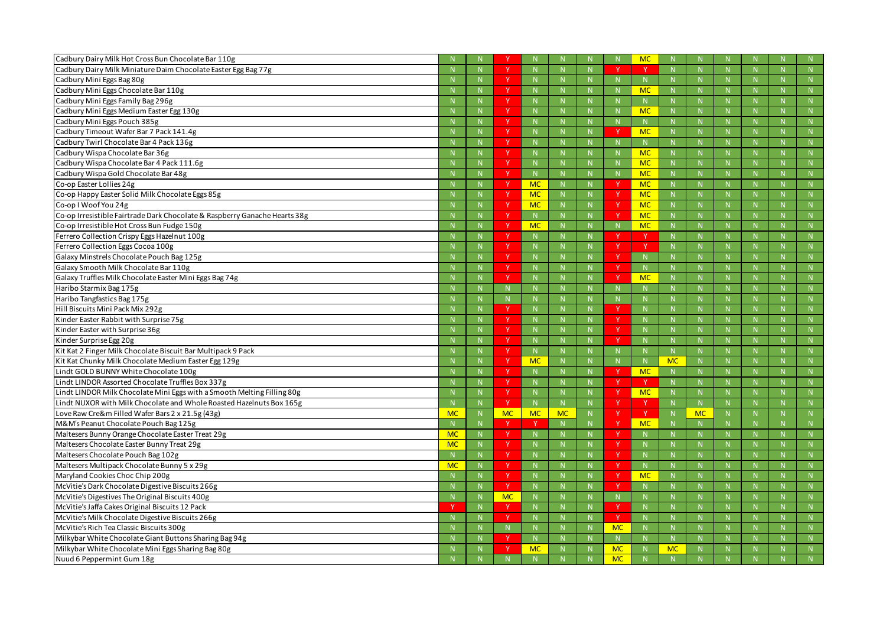| Cadbury Dairy Milk Hot Cross Bun Chocolate Bar 110g                        |           |              |              |                |             |              |             | <b>MC</b>    |              |           |              |              |              |
|----------------------------------------------------------------------------|-----------|--------------|--------------|----------------|-------------|--------------|-------------|--------------|--------------|-----------|--------------|--------------|--------------|
| Cadbury Dairy Milk Miniature Daim Chocolate Easter Egg Bag 77g             |           | $\mathsf{N}$ | $\mathbf v$  |                | N           |              |             |              | N            |           | N            | N            |              |
| Cadbury Mini Eggs Bag 80g                                                  |           |              | <b>V</b>     |                | -N          |              |             | -N           | <b>N</b>     |           |              | $\mathsf{N}$ | N            |
| Cadbury Mini Eggs Chocolate Bar 110g                                       |           |              |              |                | -N          |              |             | <b>MC</b>    | N            |           |              | $\mathbb N$  | N            |
| Cadbury Mini Eggs Family Bag 296g                                          |           | $\mathbb N$  | N            |                | N           | $\mathsf{N}$ |             | N            | N            |           | N            | N            | N            |
| Cadbury Mini Eggs Medium Easter Egg 130g                                   |           |              | <b>V</b>     |                | -N          |              |             | <b>MC</b>    |              |           |              |              |              |
| Cadbury Mini Eggs Pouch 385g                                               |           |              | v            |                | $\mathbf N$ | N            |             | $\mathbb{N}$ | N            |           |              | N            |              |
| Cadbury Timeout Wafer Bar 7 Pack 141.4g                                    |           | $\mathbb N$  | N            |                | N           |              |             | <b>MC</b>    | N            |           | $\mathbf N$  | N            | N            |
| Cadbury Twirl Chocolate Bar 4 Pack 136g                                    |           |              | <b>V</b>     |                | -N          |              |             | $\mathsf{N}$ | N            |           |              | $\mathsf{N}$ | N            |
| Cadbury Wispa Chocolate Bar 36g                                            |           |              |              |                |             |              |             | <b>MC</b>    | N            |           |              | N            | N            |
| Cadbury Wispa Chocolate Bar 4 Pack 111.6g                                  |           | N            | N            |                | N           | $\mathsf{N}$ |             | <b>MC</b>    | N            |           | N            | N            | N            |
| Cadbury Wispa Gold Chocolate Bar 48g                                       |           |              | <b>V</b>     |                | -N          |              |             | <b>MC</b>    | <b>N</b>     |           |              |              |              |
| Co-op Easter Lollies 24g                                                   |           | $\mathbb N$  | <b>Y</b>     | <b>MC</b>      | $\mathbb N$ | N.           |             | <b>MC</b>    | N            |           |              | $\mathsf{N}$ | N            |
| Co-op Happy Easter Solid Milk Chocolate Eggs 85g                           |           | $\mathbb N$  | N            | <b>MC</b>      | N           | N            |             | <b>MC</b>    | N            |           | $\mathbf N$  | N            | N            |
| Co-op I Woof You 24g                                                       |           |              |              | <b>MC</b>      | $\mathbb N$ |              |             | <b>MC</b>    | $\mathsf{N}$ |           |              | $\mathsf{N}$ | N            |
| Co-op Irresistible Fairtrade Dark Chocolate & Raspberry Ganache Hearts 38g |           |              |              |                | $\mathbb N$ |              |             | <b>MC</b>    | N            |           |              | N            | N            |
| Co-op Irresistible Hot Cross Bun Fudge 150g                                |           | N            |              | <b>MC</b>      | N           | N.           |             | <b>MC</b>    | N            |           | $\mathsf{N}$ | N            | N            |
| Ferrero Collection Crispy Eggs Hazelnut 100g                               |           |              | <b>V</b>     |                | -N          |              |             |              | <b>N</b>     |           |              |              |              |
| Ferrero Collection Eggs Cocoa 100g                                         |           |              | $\vee$       |                | $\mathbb N$ |              |             |              | N            |           |              | $\mathsf{N}$ | N            |
| Galaxy Minstrels Chocolate Pouch Bag 125g                                  |           | $\mathbb N$  | $\vee$       |                | N           |              |             | $\mathbb N$  | N            |           | $\mathbf N$  | N            | N            |
| Galaxy Smooth Milk Chocolate Bar 110g                                      |           |              | <b>V</b>     |                | -N          |              |             | -N           | <b>N</b>     |           |              | $\mathsf{N}$ | N            |
| Galaxy Truffles Milk Chocolate Easter Mini Eggs Bag 74g                    |           |              |              |                |             |              |             | <b>MC</b>    | N            |           |              | N            | N            |
| Haribo Starmix Bag 175g                                                    |           | $\mathbb N$  |              |                | N           | $\mathsf{N}$ |             | $\mathsf{N}$ | N            |           | $\mathsf{N}$ | N            | N            |
| Haribo Tangfastics Bag 175g                                                |           |              |              |                | -N          |              |             | -N           |              |           |              |              |              |
| Hill Biscuits Mini Pack Mix 292g                                           |           | $\mathbb N$  | $\mathbf{v}$ |                | $\mathbb N$ | N.           |             | -N           | N            |           |              | $\mathsf{N}$ | N            |
| Kinder Easter Rabbit with Surprise 75g                                     |           | N            | N            |                | N           | $\mathsf{N}$ |             | N            | N            |           | N            | N            | N            |
| Kinder Easter with Surprise 36g                                            |           |              | <b>V</b>     |                |             |              |             | -N           |              |           |              |              |              |
| Kinder Surprise Egg 20g                                                    |           |              | $\vee$       |                |             |              |             |              | N            |           |              | N            | N            |
| Kit Kat 2 Finger Milk Chocolate Biscuit Bar Multipack 9 Pack               |           | $\mathbb N$  |              |                | N           | N            |             | N            | N            |           | $\mathbf N$  | $\mathsf{N}$ | N            |
| Kit Kat Chunky Milk Chocolate Medium Easter Egg 129g                       |           |              | -V           | <b>MC</b>      | -N          |              |             | -N           | <b>MC</b>    |           |              |              |              |
| Lindt GOLD BUNNY White Chocolate 100g                                      |           |              |              |                |             |              |             | <b>MC</b>    | N            |           |              | $\mathsf{N}$ | N            |
| Lindt LINDOR Assorted Chocolate Truffles Box 337g                          |           |              |              |                | N           |              |             |              | $\mathsf{N}$ |           | N            |              | N            |
| Lindt LINDOR Milk Chocolate Mini Eggs with a Smooth Melting Filling 80g    |           | N            | <u>v</u>     |                | N           |              |             | <b>MC</b>    | $\mathsf{N}$ |           | -N           | $\mathsf{N}$ | $\mathsf{N}$ |
| Lindt NUXOR with Milk Chocolate and Whole Roasted Hazelnuts Box 165g       |           | $\mathbb N$  | Y.           | N              | N           | N            |             |              | N            | N         |              | ${\sf N}$    | N            |
| Love Raw Cre&m Filled Wafer Bars 2 x 21.5g (43g)                           | <b>MC</b> | N            | <b>MC</b>    | <b>MC</b>      | <b>MC</b>   | N            |             | - Y          | N            | <b>MC</b> | N            | ${\sf N}$    | N            |
| M&M's Peanut Chocolate Pouch Bag 125g                                      |           | $\mathbb{N}$ | Y            |                | N           |              |             | <b>MC</b>    | $\mathsf{N}$ |           |              |              |              |
| Maltesers Bunny Orange Chocolate Easter Treat 29g                          | <b>MC</b> | $\mathbb N$  | Y.           | N              | $\mathbb N$ | N            |             | N            | N            |           | $\mathbb{N}$ | N            | N            |
| Maltesers Chocolate Easter Bunny Treat 29g                                 | <b>MC</b> | N            | Y            | N <sub>1</sub> | N           | N            |             | N            | ${\sf N}$    |           | N            | ${\sf N}$    | N            |
| Maltesers Chocolate Pouch Bag 102g                                         |           | N            | Y.           | $\mathbb N$    | N           | N            |             | $\mathbb{N}$ | N            |           | $\mathbb N$  | $\mathsf{N}$ | N            |
| Maltesers Multipack Chocolate Bunny 5 x 29g                                | <b>MC</b> | $\mathbb N$  | Y.           |                | N           | N            |             | N            | ${\sf N}$    |           | $\mathsf{N}$ | ${\sf N}$    | ${\sf N}$    |
| Maryland Cookies Choc Chip 200g                                            |           | N            | Y            | N              | N           | N            |             | <b>MC</b>    | ${\sf N}$    |           | N            | N            | N            |
| McVitie's Dark Chocolate Digestive Biscuits 266g                           |           | N            | <sup>Y</sup> | $\mathbb N$    | N           | N            |             | $\mathbb N$  | N            |           | $\mathbb{N}$ | $\mathbb N$  | N            |
| McVitie's Digestives The Original Biscuits 400g                            |           | $\mathbb N$  | <b>MC</b>    |                | $\mathbb N$ | N            | $\mathbb N$ | $\mathbb{N}$ | N            |           | $\mathbb{N}$ | N            | ${\sf N}$    |
| McVitie's Jaffa Cakes Original Biscuits 12 Pack                            |           | N            | Y            |                | N           | N            |             | N            | ${\sf N}$    |           | N            | ${\sf N}$    | N            |
| McVitie's Milk Chocolate Digestive Biscuits 266g                           |           | N            | <b>Y</b>     |                | $\mathbb N$ | N            |             | $\mathbb N$  | N            |           | -N           | N            | N            |
| McVitie's Rich Tea Classic Biscuits 300g                                   |           | $\mathbb N$  | N            |                | $\mathbb N$ | N            | <b>MC</b>   | $\mathbb{N}$ | ${\sf N}$    |           | $\mathsf{N}$ | N            | N            |
| Milkybar White Chocolate Giant Buttons Sharing Bag 94g                     |           | N            | N            | N <sub>1</sub> | N           | N            |             | N            | ${\sf N}$    |           | N            | N            | N            |
| Milkybar White Chocolate Mini Eggs Sharing Bag 80g                         |           | $\mathbb N$  |              | <b>MC</b>      | $\mathbb N$ |              | <b>MC</b>   | $\mathbb{N}$ | <b>MC</b>    |           | -N           | $\mathsf{N}$ | N            |
| Nuud 6 Peppermint Gum 18g                                                  |           |              |              |                |             |              | <b>MC</b>   |              | N            |           |              | N            | N            |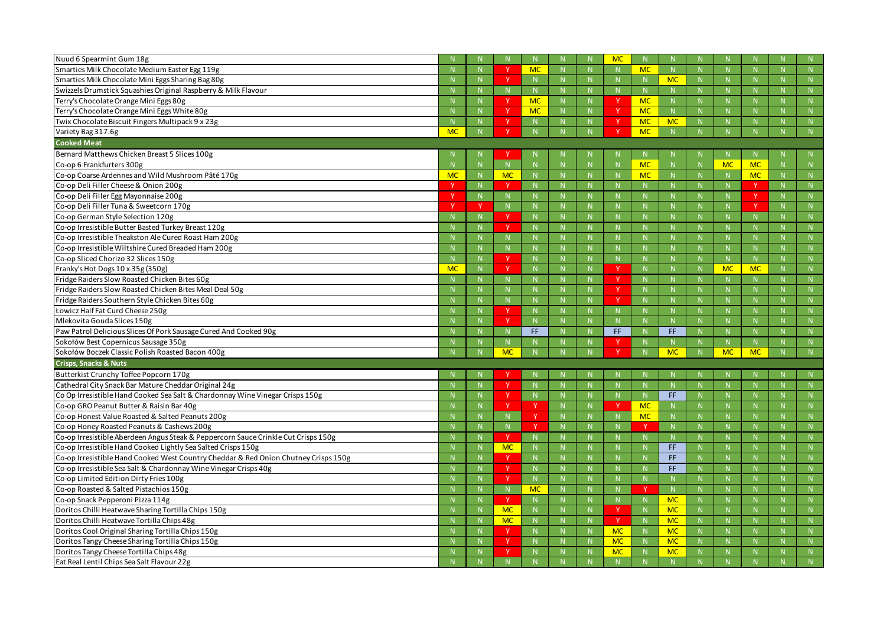| Nuud 6 Spearmint Gum 18g                                                            |           |              |                  |            |                |    | <b>MC</b>    |                |              |    |                |              |   |              |
|-------------------------------------------------------------------------------------|-----------|--------------|------------------|------------|----------------|----|--------------|----------------|--------------|----|----------------|--------------|---|--------------|
| Smarties Milk Chocolate Medium Easter Egg 119g                                      |           |              | $\mathcal{N}$    | <b>MC</b>  |                |    |              | <b>MC</b>      |              |    |                |              |   |              |
| Smarties Milk Chocolate Mini Eggs Sharing Bag 80g                                   |           |              |                  |            | $\mathbb N$    |    |              | N              | <b>MC</b>    |    | $\mathbb{N}$   | N            |   | N            |
| Swizzels Drumstick Squashies Original Raspberry & Milk Flavour                      |           |              | N                |            | N              | N  |              | N              |              |    | N              | N            |   | N            |
| Terry's Chocolate Orange Mini Eggs 80g                                              |           |              |                  | <b>MC</b>  | N              |    |              | <b>MC</b>      | N            |    | -N             |              |   |              |
| Terry's Chocolate Orange Mini Eggs White 80g                                        |           |              |                  | <b>MC</b>  | $\mathbb N$    | N  |              | <b>MC</b>      | N            |    | $\mathsf{N}$   | N            |   | N            |
| Twix Chocolate Biscuit Fingers Multipack 9 x 23g                                    |           |              |                  |            |                | N  |              | <b>MC</b>      | <b>MC</b>    |    | N              | $\mathsf{N}$ |   | N            |
| Variety Bag 317.6g                                                                  | <b>MC</b> |              |                  |            |                |    |              | <b>MC</b>      |              |    |                |              |   | N            |
| <b>Cooked Meat</b>                                                                  |           |              |                  |            |                |    |              |                |              |    |                |              |   |              |
| Bernard Matthews Chicken Breast 5 Slices 100g                                       |           |              |                  |            |                |    |              | -N             |              |    | -N             |              |   | N.           |
| Co-op 6 Frankfurters 300g                                                           |           | $\mathsf{N}$ | N                |            | $\mathbb N$    |    |              | <b>MC</b>      |              |    | MC             | <b>MC</b>    |   |              |
| Co-op Coarse Ardennes and Wild Mushroom Pâté 170g                                   | <b>MC</b> |              | <b>MC</b>        |            |                | N. |              | <b>MC</b>      | N.           |    | $\mathsf{N}$   | <b>MC</b>    |   | N            |
| Co-op Deli Filler Cheese & Onion 200g                                               |           | $\mathsf{N}$ | <b>v</b>         |            |                |    |              |                |              |    | -N             |              |   |              |
| Co-op Deli Filler Egg Mayonnaise 200g                                               |           | N            | N                |            | $\mathbb N$    | N. |              | $\mathbb N$    |              |    | $\mathbb N$    | Y.           |   | N            |
| Co-op Deli Filler Tuna & Sweetcorn 170g                                             |           | -V           | N                |            |                | N  |              | N              | $\mathsf{N}$ |    | N              | $\vee$       |   | N            |
| Co-op German Style Selection 120g                                                   |           |              | $\mathbf v$      |            | -N             | N  |              | $\mathbb N$    |              |    | -N             | <b>N</b>     |   |              |
| Co-op Irresistible Butter Basted Turkey Breast 120g                                 |           |              | <b>V</b>         |            | $\mathbb N$    | N  |              | $\mathbb N$    | N.           |    | $\mathbb N$    | N            |   | N            |
| Co-op Irresistible Theakston Ale Cured Roast Ham 200g                               |           |              | N                |            |                | N  |              | N              |              |    | N              | N            |   | N            |
| Co-op Irresistible Wiltshire Cured Breaded Ham 200g                                 |           |              | -N               |            |                |    |              |                |              |    | -N             | <b>N</b>     |   |              |
| Co-op Sliced Chorizo 32 Slices 150g                                                 |           |              | <b>V</b>         |            |                | N  |              | $\mathbb N$    |              |    | $\mathbb N$    | N            |   | N            |
| Franky's Hot Dogs 10 x 35g (350g)                                                   | <b>MC</b> | N            |                  |            |                | N  |              | N              | N.           |    | <b>MC</b>      | <b>MC</b>    |   | N            |
| Fridge Raiders Slow Roasted Chicken Bites 60g                                       |           |              | $\mathbb N$      |            | -N             | N. |              | N              | N            |    | -N             | $\mathsf{N}$ |   |              |
| Fridge Raiders Slow Roasted Chicken Bites Meal Deal 50g                             |           |              |                  |            | N              | N  |              | N              | N.           |    | -N             |              |   |              |
|                                                                                     |           |              | N                |            |                |    |              |                |              |    |                | N            |   | N            |
| Fridge Raiders Southern Style Chicken Bites 60g                                     |           |              | N<br>$\mathbf v$ |            |                | N. |              | N              |              |    | N              | N            |   | N            |
| Łowicz Half Fat Curd Cheese 250g                                                    |           |              | $\vee$           |            |                |    |              | $\mathsf N$    |              |    | -N             |              |   |              |
| Mlekovita Gouda Slices 150g                                                         |           |              |                  |            |                | N  |              | $\mathbb N$    |              |    | $\mathsf{N}$   | N            |   | N            |
| Paw Patrol Delicious Slices Of Pork Sausage Cured And Cooked 90g                    |           |              | N                | FF.        | N              | N  | FF.          | N              | FF.          |    | N              | N            |   | N            |
| Sokołów Best Copernicus Sausage 350g                                                |           |              | N.               |            |                |    |              |                |              |    |                |              |   |              |
| Sokołów Boczek Classic Polish Roasted Bacon 400g                                    |           | N            | <b>MC</b>        |            | N              |    |              | N              | <b>MC</b>    |    | <b>MC</b>      | <b>MC</b>    |   | N            |
| <b>Crisps, Snacks &amp; Nuts</b>                                                    |           |              |                  |            |                |    |              |                |              |    |                |              |   |              |
| Butterkist Crunchy Toffee Popcorn 170g                                              |           |              |                  |            |                |    |              |                |              |    |                |              |   |              |
| Cathedral City Snack Bar Mature Cheddar Original 24g                                | N         | N            | $\mathbf{V}$     | $\sqrt{1}$ | $\mathbb{N}^+$ | N  | $\mathbb{N}$ | $\mathbb{N}^+$ | N            |    | $\mathbb{N}^+$ | $\mathbb{N}$ | N |              |
| Co Op Irresistible Hand Cooked Sea Salt & Chardonnay Wine Vinegar Crisps 150g       |           |              |                  |            |                |    |              | $\mathsf{N}$   | FF.          |    | -N             |              |   | N            |
| Co-op GRO Peanut Butter & Raisin Bar 40g                                            |           |              |                  |            | $\mathbb N$    | N. |              | <b>MC</b>      | N.           |    | $\mathbb N$    | N            |   | N            |
| Co-op Honest Value Roasted & Salted Peanuts 200g                                    |           | $\mathsf{N}$ | N                |            | N              | N  |              | <b>MC</b>      | N            |    | N              | N            |   | N            |
| Co-op Honey Roasted Peanuts & Cashews 200g                                          |           |              | N.               |            | $\mathbb N$    | N. |              |                | N.           |    | $\mathsf{N}$   | $\mathsf{N}$ |   | $\mathbb N$  |
| Co-op Irresistible Aberdeen Angus Steak & Peppercorn Sauce Crinkle Cut Crisps 150g  |           |              | <sup>Y</sup>     |            | N              | N  |              | $\mathbb N$    | N            |    | $\mathsf{N}$   | N            |   | N            |
| Co-op Irresistible Hand Cooked Lightly Sea Salted Crisps 150g                       |           | N            | <b>MC</b>        |            | N              | N  |              | N              | FF.          |    | N              | N            |   | N            |
| Co-op Irresistible Hand Cooked West Country Cheddar & Red Onion Chutney Crisps 150g |           |              |                  |            | -N             | N. |              | -N             | FF.          |    | -N             | $\mathsf{N}$ |   | N            |
| Co-op Irresistible Sea Salt & Chardonnay Wine Vinegar Crisps 40g                    |           |              | Y                |            | $\mathsf{N}$   | N  |              |                | FF.          |    | $\mathsf{N}$   | N            |   | ${\sf N}$    |
| Co-op Limited Edition Dirty Fries 100g                                              |           | N            |                  |            | N              | N  |              | $\mathbb N$    | N.           |    | N              | N            |   | N            |
| Co-op Roasted & Salted Pistachios 150g                                              |           |              | $\mathsf{N}$     | <b>MC</b>  | $\mathbb N$    | N. |              |                | N.           |    | $\mathsf{N}$   | $\mathsf{N}$ |   | N            |
| Co-op Snack Pepperoni Pizza 114g                                                    |           |              | $\mathsf{Y}$     |            | N              | N  |              | N              | <b>MC</b>    |    | $\mathbf N$    | N            |   | N            |
| Doritos Chilli Heatwave Sharing Tortilla Chips 150g                                 |           | $\mathsf{N}$ | <b>MC</b>        |            | N              | N  |              | N              | <b>MC</b>    |    | N              | N            |   | N            |
| Doritos Chilli Heatwave Tortilla Chips 48g                                          |           |              | <b>MC</b>        |            | -N             | N. |              | $\mathbb{N}$   | <b>MC</b>    |    | $\mathsf{N}$   | $\mathsf{N}$ |   | N            |
| Doritos Cool Original Sharing Tortilla Chips 150g                                   |           |              | Y                |            |                | N  | <b>MC</b>    | N              | <b>MC</b>    |    | N              | N            |   | ${\sf N}$    |
| Doritos Tangy Cheese Sharing Tortilla Chips 150g                                    |           | N            | $\mathbf v$      |            | $\mathbb N$    | N  | <b>MC</b>    | N              | <b>MC</b>    | N. | N              | N            |   | N            |
| Doritos Tangy Cheese Tortilla Chips 48g                                             |           |              | <b>V</b>         |            | $\mathsf{N}$   |    | <b>MC</b>    | $\mathbb N$    | <b>MC</b>    |    | -N             |              |   | N            |
| Eat Real Lentil Chips Sea Salt Flavour 22g                                          |           | $\mathsf{N}$ | N                |            | N              |    |              | N              | $N_{\odot}$  |    | N              | N            |   | $\mathbf{N}$ |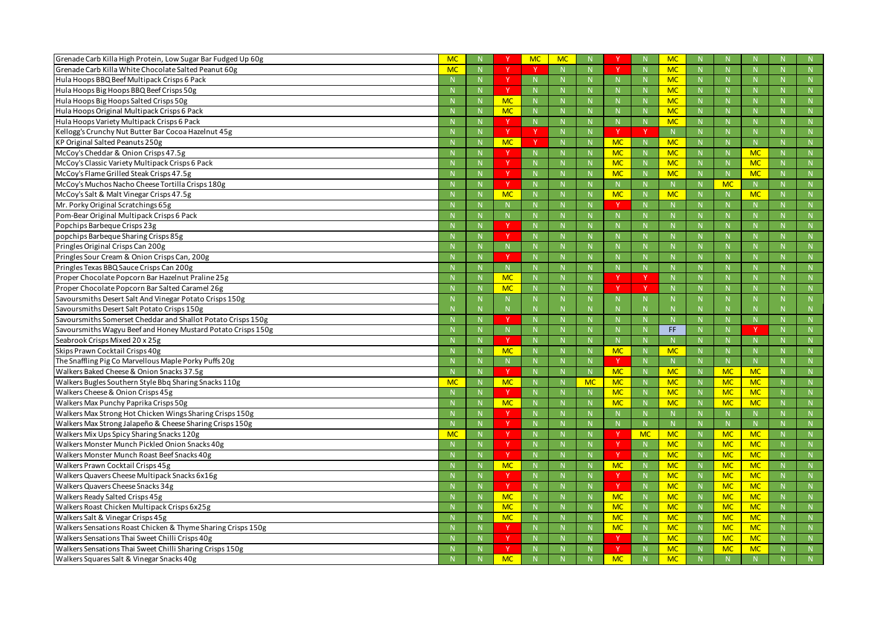| Grenade Carb Killa High Protein, Low Sugar Bar Fudged Up 60g                                          | MC        |             |                           | <b>MC</b> | <b>MC</b>    |           |           |                | <b>MC</b>              |             |              |             |   |                   |
|-------------------------------------------------------------------------------------------------------|-----------|-------------|---------------------------|-----------|--------------|-----------|-----------|----------------|------------------------|-------------|--------------|-------------|---|-------------------|
| Grenade Carb Killa White Chocolate Salted Peanut 60g                                                  | <b>MC</b> |             |                           |           | N            |           |           | N              | <b>MC</b>              |             | N            |             |   | N                 |
| Hula Hoops BBQ Beef Multipack Crisps 6 Pack                                                           |           | $\mathbb N$ | Y.                        |           | -N           |           |           | $\mathbb N$    | <b>MC</b>              |             | N            |             |   | N                 |
| Hula Hoops Big Hoops BBQ Beef Crisps 50g                                                              |           | $\mathbf N$ | v                         |           | $\mathbf N$  |           |           | $\mathbf N$    | <b>MC</b>              |             | -N           |             |   | N                 |
| Hula Hoops Big Hoops Salted Crisps 50g                                                                |           |             | <b>MC</b>                 |           | $\mathbb N$  |           |           | $\mathbb N$    | <b>MC</b>              |             | $\mathbf N$  |             |   | N                 |
| Hula Hoops Original Multipack Crisps 6 Pack                                                           |           | $\mathbb N$ | <b>MC</b>                 |           | N            |           |           | N              | <b>MC</b>              |             | N            |             |   | N                 |
| Hula Hoops Variety Multipack Crisps 6 Pack                                                            |           |             | v                         |           | $\mathbb N$  | N.        |           | $\mathbb N$    | <b>MC</b>              |             | $\mathbf N$  |             |   | N                 |
| Kellogg's Crunchy Nut Butter Bar Cocoa Hazelnut 45g                                                   |           |             | Y                         |           | N            |           | Y         |                | N                      |             | $\mathsf{N}$ |             |   | N                 |
| KP Original Salted Peanuts 250g                                                                       |           | $\mathbb N$ | <b>MC</b>                 | <b>V</b>  | N            |           | <b>MC</b> | $\mathbb N$    | <b>MC</b>              |             | N            |             |   | N                 |
| McCoy's Cheddar & Onion Crisps 47.5g                                                                  |           | $\mathbf N$ |                           |           | $\mathbb{N}$ | N.        | <b>MC</b> | N              | <b>MC</b>              |             | $\mathsf{N}$ | <b>MC</b>   |   | N                 |
| McCoy's Classic Variety Multipack Crisps 6 Pack                                                       |           |             | Y                         |           | $\mathbb N$  |           | <b>MC</b> | N              | <b>MC</b>              |             | $\mathsf{N}$ | <b>MC</b>   |   | N                 |
| McCoy's Flame Grilled Steak Crisps 47.5g                                                              |           | N           | <b>Y</b>                  |           | N            |           | <b>MC</b> | N              | <b>MC</b>              | $\mathbb N$ | N            | <b>MC</b>   |   | N                 |
| McCoy's Muchos Nacho Cheese Tortilla Crisps 180g                                                      |           |             | $\mathsf{v}$              |           | $\mathbb N$  |           |           | $\mathbb N$    | N                      |             | <b>MC</b>    | N           |   | N                 |
| McCoy's Salt & Malt Vinegar Crisps 47.5g                                                              |           | $\mathbb N$ | <b>MC</b>                 |           | $\mathbb N$  |           | <b>MC</b> | $\mathbb N$    | <b>MC</b>              |             | $\mathsf{N}$ | <b>MC</b>   |   | N                 |
| Mr. Porky Original Scratchings 65g                                                                    |           | $\mathbb N$ | N.                        |           | $\mathbb N$  |           |           | $\mathbb N$    |                        |             | $\mathsf{N}$ |             |   | N                 |
| Pom-Bear Original Multipack Crisps 6 Pack                                                             |           |             | N                         |           |              |           |           |                | N.                     |             |              |             |   | N                 |
| Popchips Barbeque Crisps 23g                                                                          |           |             | Y                         |           | $\mathbb N$  |           |           | $\mathbb N$    |                        |             | $\mathsf{N}$ |             |   | N                 |
| popchips Barbeque Sharing Crisps 85g                                                                  |           | N           | <b>V</b>                  |           | N            |           |           | N              |                        |             | N            |             |   | N                 |
| Pringles Original Crisps Can 200g                                                                     |           |             | N                         |           | $\mathbb N$  |           |           | $\mathbb N$    |                        |             | $\mathbf N$  |             |   | N                 |
| Pringles Sour Cream & Onion Crisps Can, 200g                                                          |           |             | <b>V</b>                  |           | $\mathbb N$  |           |           | $\mathbb N$    |                        |             | $\mathsf{N}$ |             |   | N                 |
| Pringles Texas BBQ Sauce Crisps Can 200g                                                              |           | $\mathbb N$ |                           |           | $\mathbb N$  | N.        |           | $\mathbb N$    | N.                     |             | N            |             |   | N                 |
| Proper Chocolate Popcorn Bar Hazelnut Praline 25g                                                     |           | $\mathbb N$ | <b>MC</b>                 |           |              | N.        |           |                | N                      |             | $\mathbf N$  |             |   | N                 |
| Proper Chocolate Popcorn Bar Salted Caramel 26g                                                       |           | $\mathbb N$ | <b>MC</b>                 |           | N            | N         | V         | - V            | N                      |             | N            |             |   | N                 |
| Savoursmiths Desert Salt And Vinegar Potato Crisps 150g                                               |           | -N          | N                         |           | -N           |           |           | $\mathbb N$    |                        |             | $\mathbb N$  |             |   | N                 |
| Savoursmiths Desert Salt Potato Crisps 150g                                                           |           |             |                           |           |              |           |           |                |                        |             |              |             |   |                   |
|                                                                                                       |           |             | $\mathsf{N}$              |           | -N           |           |           | $\mathbb N$    |                        |             | $\mathsf{N}$ |             |   | $\mathbb N$       |
| Savoursmiths Somerset Cheddar and Shallot Potato Crisps 150g                                          |           | $\mathbb N$ | $\vee$                    |           | $\mathbb{N}$ | N         |           | N              | N                      |             | N            | N           |   | N                 |
| Savoursmiths Wagyu Beef and Honey Mustard Potato Crisps 150g                                          |           | $\mathbb N$ | N.                        |           | $\mathbb N$  |           |           | $\mathbb N$    | FF.                    |             | N            | $\mathbf v$ |   | N                 |
| Seabrook Crisps Mixed 20 x 25g                                                                        |           | N           | v                         |           | $\mathbb N$  | N.        |           | $\mathbb N$    | N.                     |             | N            |             |   | N                 |
| Skips Prawn Cocktail Crisps 40g                                                                       |           | $\mathbb N$ | <b>MC</b>                 |           | N            | N         | <b>MC</b> | N              | <b>MC</b>              |             | N            | N           |   | N                 |
| The Snaffling Pig Co Marvellous Maple Porky Puffs 20g                                                 |           | -N          | N.                        |           | $\mathbb N$  |           |           | N              |                        |             | N            |             |   | N                 |
| Walkers Baked Cheese & Onion Snacks 37.5g                                                             |           |             | N                         |           |              |           | <b>MC</b> | $\mathbb N$    | <b>MC</b>              |             | <b>MC</b>    | <b>MC</b>   |   | N                 |
| Walkers Bugles Southern Style Bbq Sharing Snacks 110g                                                 | <b>MC</b> | $\mathbb N$ | <b>MC</b>                 |           | $\mathbb N$  | <b>MC</b> | <b>MC</b> | N              | <b>MC</b>              |             | <b>MC</b>    | <b>MC</b>   |   | N                 |
| Walkers Cheese & Onion Crisps 45g                                                                     |           | N           |                           |           | $\mathbb N$  |           | <b>MC</b> | $\overline{N}$ | <b>MC</b>              |             | <b>MC</b>    | <b>MC</b>   |   | $\mathbb{N}$      |
| Walkers Max Punchy Paprika Crisps 50g                                                                 |           | $\mathbb N$ | <b>MC</b>                 |           | $\mathbb N$  |           | <b>MC</b> | N              | <b>MC</b>              |             | <b>MC</b>    | <b>MC</b>   |   | N                 |
| Walkers Max Strong Hot Chicken Wings Sharing Crisps 150g                                              |           | N           | Y                         |           | N            | N         |           | N              | N                      |             | N            | N           |   | N                 |
| Walkers Max Strong Jalapeño & Cheese Sharing Crisps 150g                                              |           | N           | Y.                        | N.        | N            | N.        |           | N              | N                      |             | N            | N.          |   | N                 |
| Walkers Mix Ups Spicy Sharing Snacks 120g                                                             | <b>MC</b> | N           | Y                         |           | $\mathbb N$  | N.        |           | <b>MC</b>      | <b>MC</b>              |             | <b>MC</b>    | <b>MC</b>   |   | N                 |
| Walkers Monster Munch Pickled Onion Snacks 40g                                                        |           | N           | Y                         |           | N            | N.        | Y         | N              | <b>MC</b>              |             | <b>MC</b>    | <b>MC</b>   |   | N                 |
| Walkers Monster Munch Roast Beef Snacks 40g                                                           |           | N           | Y.                        |           | N            | N         |           | N              | <b>MC</b>              | N           | <b>MC</b>    | <b>MC</b>   |   | N                 |
| Walkers Prawn Cocktail Crisps 45g                                                                     |           | $\mathbb N$ | <b>MC</b>                 |           | $\mathbb N$  | N         | <b>MC</b> | N              | <b>MC</b>              |             | <b>MC</b>    | <b>MC</b>   |   | N                 |
| Walkers Quavers Cheese Multipack Snacks 6x16g                                                         |           | N           | Y                         |           | N            | N         |           | N              | <b>MC</b>              |             | <b>MC</b>    | <b>MC</b>   | N | N                 |
| Walkers Quavers Cheese Snacks 34g                                                                     |           | N           | <sup>Y</sup>              |           | N            | N         |           | N              | <b>MC</b>              |             | <b>MC</b>    | <b>MC</b>   |   | N                 |
| Walkers Ready Salted Crisps 45g                                                                       |           | N           | <b>MC</b>                 |           | N            | N         | <b>MC</b> | N              | <b>MC</b>              |             | <b>MC</b>    | <b>MC</b>   |   | N                 |
| Walkers Roast Chicken Multipack Crisps 6x25g                                                          |           | N           | <b>MC</b>                 |           | N            |           | <b>MC</b> | N              | <b>MC</b>              |             | <b>MC</b>    | <b>MC</b>   |   | N                 |
| Walkers Salt & Vinegar Crisps 45g                                                                     |           | N           | <b>MC</b>                 |           | N            | N.        | <b>MC</b> | N              | <b>MC</b>              | $\mathbb N$ | <b>MC</b>    | <b>MC</b>   |   | N                 |
| Walkers Sensations Roast Chicken & Thyme Sharing Crisps 150g                                          |           | $\mathbb N$ |                           |           | $\mathbb N$  | N.        | <b>MC</b> | N              | <b>MC</b>              |             | <b>MC</b>    | <b>MC</b>   |   | N                 |
| Walkers Sensations Thai Sweet Chilli Crisps 40g                                                       |           | N           | <sup>Y</sup>              |           | N            | N         |           | N              | <b>MC</b>              |             | <b>MC</b>    | <b>MC</b>   | N | N                 |
| Walkers Sensations Thai Sweet Chilli Sharing Crisps 150g<br>Walkers Squares Salt & Vinegar Snacks 40g |           | N           | <sup>Y</sup><br><b>MC</b> |           | $\mathbb N$  | N.        | <b>MC</b> | N              | <b>MC</b><br><b>MC</b> |             | <b>MC</b>    | <b>MC</b>   |   | N<br>$\mathbb{N}$ |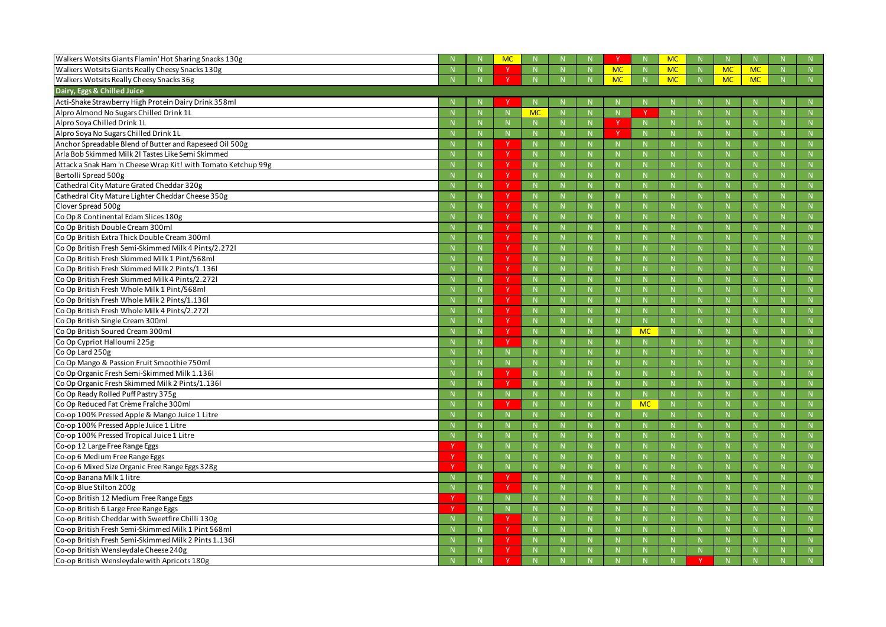| Walkers Wotsits Giants Flamin' Hot Sharing Snacks 130g        |              | <b>MC</b>   |             |                |              |           |                | <b>MC</b>    |                |              |              |
|---------------------------------------------------------------|--------------|-------------|-------------|----------------|--------------|-----------|----------------|--------------|----------------|--------------|--------------|
| Walkers Wotsits Giants Really Cheesy Snacks 130g              | $\mathbb N$  |             |             | N              |              | <b>MC</b> | $\mathbb{N}$   | <b>MC</b>    | <b>MC</b>      | <b>MC</b>    | N            |
| Walkers Wotsits Really Cheesy Snacks 36g                      | N            |             |             | N              |              | <b>MC</b> | $\mathbb{N}$   | <b>MC</b>    | <b>MC</b>      | <b>MC</b>    | N            |
| Dairy, Eggs & Chilled Juice                                   |              |             |             |                |              |           |                |              |                |              |              |
| Acti-Shake Strawberry High Protein Dairy Drink 358ml          |              |             |             |                |              |           |                |              |                |              |              |
| Alpro Almond No Sugars Chilled Drink 1L                       |              |             | <b>MC</b>   | $\mathbb N$    |              |           |                | $\mathsf{N}$ |                |              |              |
| Alpro Soya Chilled Drink 1L                                   | $\mathbb N$  |             |             | $\mathbb N$    |              |           | $\mathbb N$    |              | -N             | $\mathsf{N}$ | $\mathbb N$  |
| Alpro Soya No Sugars Chilled Drink 1L                         | -N           | N.          |             | $\mathbf N$    |              |           | <b>N</b>       | $\mathbf N$  |                | $\mathsf{N}$ | N            |
| Anchor Spreadable Blend of Butter and Rapeseed Oil 500g       | -N           | <b>V</b>    |             | $\mathbb N$    |              |           | -N             | $\mathsf{N}$ | -N             | $\mathsf{N}$ | N            |
| Arla Bob Skimmed Milk 2l Tastes Like Semi Skimmed             | N            | <b>V</b>    | $\mathbb N$ | N              |              |           | $\mathbb{N}$   | N            | -N             | N            | N            |
| Attack a Snak Ham 'n Cheese Wrap Kit! with Tomato Ketchup 99g | $\mathbf N$  | v           |             | $\mathbb{N}$   | $\mathsf{N}$ |           | -N             | N            | $\mathbf N$    | N            | N            |
| Bertolli Spread 500g                                          |              | Y           |             | N              |              |           | -N             | $\mathsf{N}$ |                | $\mathsf{N}$ |              |
| Cathedral City Mature Grated Cheddar 320g                     | $\mathbb N$  | <b>Y</b>    |             | $\mathbb N$    |              |           | -N             | $\mathsf{N}$ | -N             | $\mathsf{N}$ | $\mathbb N$  |
| Cathedral City Mature Lighter Cheddar Cheese 350g             | $\mathbb N$  | v           |             | $\mathbb N$    |              |           | -N             | $\mathsf{N}$ |                | N            | N            |
| Clover Spread 500g                                            | $\mathbb N$  | <b>Y</b>    |             | $\mathbb N$    |              |           | -N             | $\mathsf{N}$ | -N             | $\mathsf{N}$ | N            |
| Co Op 8 Continental Edam Slices 180g                          | N            | <b>Y</b>    | $\mathbb N$ | N              |              |           | -N             | N            | -N             | N            | N            |
| Co Op British Double Cream 300ml                              | $\mathbf N$  | v           |             | $\mathbb{N}$   | $\mathsf{N}$ |           | -N             | N            | $\mathbf N$    | N            | N            |
| Co Op British Extra Thick Double Cream 300ml                  |              | Y           |             | $\mathbb{N}$   |              |           | -N             | $\mathsf{N}$ |                | $\mathsf{N}$ |              |
| Co Op British Fresh Semi-Skimmed Milk 4 Pints/2.2721          | $\mathbb N$  | <b>Y</b>    |             | $\mathbb N$    |              |           | -N             | $\mathsf{N}$ | -N             | $\mathsf{N}$ | $\mathbb N$  |
| Co Op British Fresh Skimmed Milk 1 Pint/568ml                 | $\mathbf N$  | v           |             | $\mathbb N$    | $\mathsf{N}$ |           | -N             | $\mathsf{N}$ | $\mathbf N$    | N            | N            |
| Co Op British Fresh Skimmed Milk 2 Pints/1.1361               | $\mathbb N$  | N           |             | $\mathbb N$    |              |           | -N             | $\mathsf{N}$ | -N             | $\mathsf{N}$ | N            |
| Co Op British Fresh Skimmed Milk 4 Pints/2.2721               | N            | <b>Y</b>    |             | N              |              |           | -N             | $\mathsf{N}$ | -N             | N            | N            |
| Co Op British Fresh Whole Milk 1 Pint/568ml                   | $\mathbf N$  | v           |             | $\mathbb N$    | $\mathsf{N}$ |           | -N             | N            | $\mathbf N$    | N            | N            |
| Co Op British Fresh Whole Milk 2 Pints/1.1361                 |              | Y           |             | $\mathbb{N}$   |              |           | -N             | $\mathsf{N}$ |                | $\mathsf{N}$ |              |
| Co Op British Fresh Whole Milk 4 Pints/2.2721                 | $\mathbb N$  | <b>Y</b>    | $\mathbb N$ | $\mathbb N$    |              |           | -N             | $\mathsf{N}$ | -N             | $\mathsf{N}$ | $\mathbb N$  |
| Co Op British Single Cream 300ml                              | $\mathbf N$  | v           |             | $\mathbb N$    | N            |           | $\mathbf N$    | N            | $\mathbf N$    | N            | N            |
| Co Op British Soured Cream 300ml                              | $\mathbb N$  |             |             | $\mathbb N$    |              |           | <b>MC</b>      | $\mathsf{N}$ | $\mathbf N$    | $\mathsf{N}$ |              |
| Co Op Cypriot Halloumi 225g                                   | N            | <b>V</b>    |             | N              |              |           | $\mathbb{N}$   | <b>N</b>     | -N             | $\mathbb N$  | N            |
| Co Op Lard 250g                                               |              |             |             | $\mathbb N$    | $\mathsf{N}$ |           | -N             | N            | $\mathbf N$    | N            | N            |
| Co Op Mango & Passion Fruit Smoothie 750ml                    |              |             |             | $\mathsf N$    |              |           | -N             |              |                |              |              |
| Co Op Organic Fresh Semi-Skimmed Milk 1.1361                  |              |             |             |                |              |           | -N             |              |                |              | N            |
| Co Op Organic Fresh Skimmed Milk 2 Pints/1.1361               | N            | $\mathbf v$ |             | $\overline{M}$ | $\mathbf{N}$ | - N       | $\overline{M}$ | $\mathbf{N}$ | $\overline{M}$ | N            | $\mathbf{N}$ |
| Co Op Ready Rolled Puff Pastry 375g                           |              |             |             |                |              |           |                |              |                |              |              |
| Co Op Reduced Fat Crème Fraîche 300ml                         | N            | v           |             | N              | N            |           | <b>MC</b>      | N            | $\mathbb N$    | $\mathsf{N}$ | N            |
| Co-op 100% Pressed Apple & Mango Juice 1 Litre                |              |             |             | $\mathbb N$    |              |           | $\mathbb N$    | N            | $\mathbf N$    | N            | N            |
| Co-op 100% Pressed Apple Juice 1 Litre                        | $\mathsf{N}$ |             |             | N              |              |           | N              | $\mathsf{N}$ | $\mathsf{N}$   | $\mathsf{N}$ | N            |
| Co-op 100% Pressed Tropical Juice 1 Litre                     | $\mathbb{N}$ | N.          |             | $\mathbb{N}$   | N.           |           | $\mathbb{N}$   | N            | $\mathbb N$    | N            | N            |
| Co-op 12 Large Free Range Eggs                                | N            | N.          |             | N              | N            |           | N              | N            | $\mathbf N$    | N            | N            |
| Co-op 6 Medium Free Range Eggs                                | N            | N.          |             | N              | N            |           | N              | N            | $\mathsf{N}$   | $\mathsf{N}$ | N            |
| Co-op 6 Mixed Size Organic Free Range Eggs 328g               | $\mathbb{N}$ | N.          |             | $\mathbb{N}$   | N.           |           | $\mathbb{N}$   | N            | $\mathbb N$    | N            | N            |
| Co-op Banana Milk 1 litre                                     | N            |             |             | $\mathbb N$    | N.           |           | $\mathsf{N}$   | N            | -N             | N            | N            |
| Co-op Blue Stilton 200g                                       | N            | Y           |             | N              | N.           |           | N              | N            | $\mathbb N$    | N            | N            |
| Co-op British 12 Medium Free Range Eggs                       | $\mathbb{N}$ | N.          |             | $\mathbb{N}$   | N            |           | $\mathbb{N}$   | N            | $\mathbb N$    | N            | N            |
| Co-op British 6 Large Free Range Eggs                         | $\mathbb N$  | N           |             | N              | N            |           | $\mathbb N$    | N            | -N             | N            | N            |
| Co-op British Cheddar with Sweetfire Chilli 130g              | N            |             |             | N              | N            |           | N              | N            | $\mathsf{N}$   | N            | N            |
| Co-op British Fresh Semi-Skimmed Milk 1 Pint 568ml            | $\mathbb{N}$ | Y.          | N           | $\mathbb{N}$   | N.           |           | $\mathbb{N}$   | N            | $\mathbb{N}$   | N            | N            |
| Co-op British Fresh Semi-Skimmed Milk 2 Pints 1.136l          | N            | Y           | N.          | N              | N.           |           | $\mathbb N$    | N            | -N             | N            | N            |
| Co-op British Wensleydale Cheese 240g                         | $\mathbb N$  | Y           |             | $\mathbb N$    |              |           | $\mathbb{N}$   | $\mathsf{N}$ | $\mathbb{N}$   | $\mathsf{N}$ | ${\sf N}$    |
| Co-op British Wensleydale with Apricots 180g                  | $\mathbb N$  |             |             | $\mathbb N$    |              |           | $\mathbb N$    |              |                |              | N            |
|                                                               |              |             |             |                |              |           |                |              |                |              |              |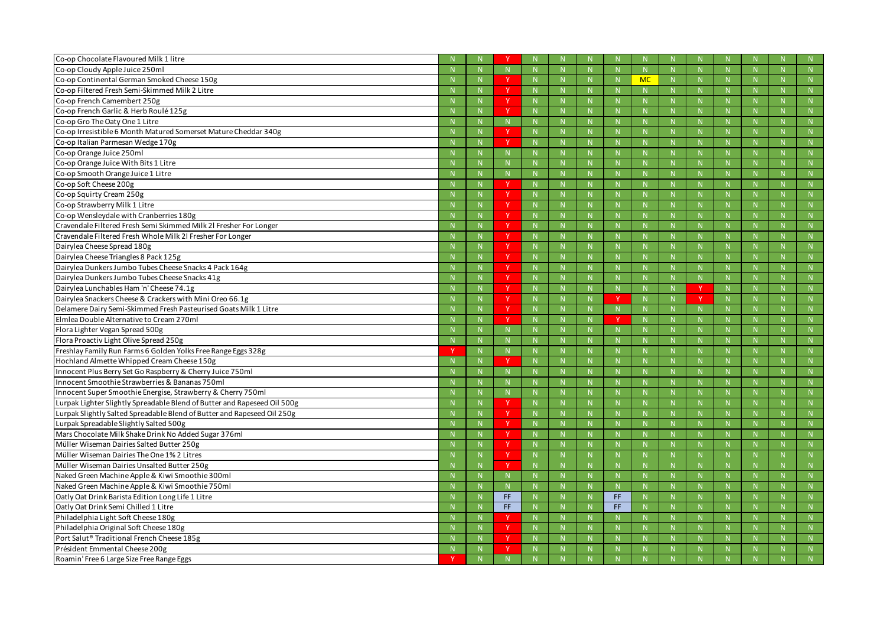| Co-op Chocolate Flavoured Milk 1 litre                                   |              |              |             |             |    |     |             |    |    |              |    |              |
|--------------------------------------------------------------------------|--------------|--------------|-------------|-------------|----|-----|-------------|----|----|--------------|----|--------------|
| Co-op Cloudy Apple Juice 250ml                                           |              |              |             | $\mathbb N$ |    |     | $\mathbb N$ |    |    | $\mathbf N$  |    | N            |
| Co-op Continental German Smoked Cheese 150g                              | $\mathbf N$  | <b>V</b>     |             | -N          |    |     | <b>MC</b>   |    |    | -N           |    | N            |
| Co-op Filtered Fresh Semi-Skimmed Milk 2 Litre                           |              | v            |             |             |    |     |             |    |    | -N           |    | N            |
| Co-op French Camembert 250g                                              |              | N            |             |             |    |     |             |    |    |              |    | N            |
| Co-op French Garlic & Herb Roulé 125g                                    | N            | <b>V</b>     |             | $\mathbb N$ |    |     | $\mathbb N$ |    |    | $\mathbf N$  |    | N            |
| Co-op Gro The Oaty One 1 Litre                                           | $\mathbf N$  | N            |             | $\mathbf N$ |    |     | $\mathbf N$ |    |    | -N           |    | N            |
| Co-op Irresistible 6 Month Matured Somerset Mature Cheddar 340g          |              | $\mathbf{v}$ |             | $\mathbb N$ |    |     | $\mathbb N$ |    |    | $\mathsf{N}$ |    | N            |
| Co-op Italian Parmesan Wedge 170g                                        | $\mathbf N$  | <b>Y</b>     |             | $\mathbb N$ |    |     | $\mathbb N$ |    |    | $\mathbf N$  |    | N            |
| Co-op Orange Juice 250ml                                                 | $\mathbb N$  | N.           |             | $\mathbf N$ |    |     | $\mathbf N$ |    |    | -N           |    | N            |
| Co-op Orange Juice With Bits 1 Litre                                     |              |              |             |             |    |     |             |    |    |              |    | N            |
| Co-op Smooth Orange Juice 1 Litre                                        | $\mathbb N$  |              |             | $\mathbb N$ |    |     | -N          |    |    | -N           |    | N            |
| Co-op Soft Cheese 200g                                                   |              | $\mathbf v$  |             |             |    |     |             |    |    |              |    | N            |
| Co-op Squirty Cream 250g                                                 |              | <b>Y</b>     |             | $\mathbb N$ |    |     | $\mathbb N$ |    |    | $\mathbf N$  |    | N            |
| Co-op Strawberry Milk 1 Litre                                            | $\mathbb N$  | <sup>Y</sup> |             | $\mathbb N$ |    |     | $\mathbb N$ |    |    | $\mathbf N$  |    | N            |
| Co-op Wensleydale with Cranberries 180g                                  |              | v            |             |             |    |     |             |    |    |              |    | N            |
| Cravendale Filtered Fresh Semi Skimmed Milk 21 Fresher For Longer        |              | <b>Y</b>     |             | $\mathbb N$ |    |     | $\mathbb N$ |    |    | $\mathbf N$  |    | $\mathbb{N}$ |
| Cravendale Filtered Fresh Whole Milk 2I Fresher For Longer               | N            | <b>Y</b>     |             | $\mathbb N$ |    |     | -N          |    |    | N            |    | N            |
| Dairylea Cheese Spread 180g                                              |              | $\mathbf v$  |             |             |    |     |             |    |    |              |    | N            |
| Dairylea Cheese Triangles 8 Pack 125g                                    |              | <b>Y</b>     |             | -N          |    |     | $\mathsf N$ |    |    | $\mathsf N$  |    | N            |
| Dairylea Dunkers Jumbo Tubes Cheese Snacks 4 Pack 164g                   | $\mathbb N$  | <sup>Y</sup> |             | $\mathbb N$ |    |     | $\mathbb N$ |    |    | $\mathbf N$  |    | N            |
| Dairylea Dunkers Jumbo Tubes Cheese Snacks 41g                           |              | v            |             |             |    |     |             |    |    |              |    | N            |
| Dairylea Lunchables Ham 'n' Cheese 74.1g                                 |              | <sup>Y</sup> |             | $\mathbb N$ |    |     | $\mathbb N$ |    |    | $\mathsf{N}$ |    | $\mathbb{N}$ |
| Dairylea Snackers Cheese & Crackers with Mini Oreo 66.1g                 | N            | <b>Y</b>     |             | $\mathbf N$ |    |     | $\mathbb N$ |    |    | N            |    | N            |
| Delamere Dairy Semi-Skimmed Fresh Pasteurised Goats Milk 1 Litre         |              | $\mathbf v$  |             | $\mathbf N$ |    |     |             |    |    | $\mathbf N$  |    | N            |
| Elmlea Double Alternative to Cream 270ml                                 | $\mathbb N$  | $\mathbf v$  |             | $\mathbb N$ |    |     | $\mathbb N$ |    |    | $\mathbf N$  |    | N            |
| Flora Lighter Vegan Spread 500g                                          | $\mathbb N$  |              |             | $\mathbb N$ |    |     | -N          |    |    | $\mathbf N$  |    | N            |
| Flora Proactiv Light Olive Spread 250g                                   |              | N.           |             |             |    |     | $\mathbf N$ | N. |    | -N           |    | N            |
| Freshlay Family Run Farms 6 Golden Yolks Free Range Eggs 328g            | $\mathbb N$  | N            |             | N           |    |     | N           |    |    | $\mathsf{N}$ |    | N            |
| Hochland Almette Whipped Cream Cheese 150g                               | -N           | $\mathbf v$  |             | -N          |    |     | -N          |    |    | -N           |    | N            |
| Innocent Plus Berry Set Go Raspberry & Cherry Juice 750ml                |              |              |             |             |    |     |             |    |    |              |    | N            |
| Innocent Smoothie Strawberries & Bananas 750ml                           |              |              |             | $\mathbb N$ |    |     | $\mathbb N$ |    |    | $\mathsf{N}$ |    | N            |
| Innocent Super Smoothie Energise, Strawberry & Cherry 750ml              | $\mathbb N$  |              |             | $\mathbb N$ |    |     | $\mathbb N$ |    |    | $\mathsf{N}$ |    | $\mathbb{N}$ |
| Lurpak Lighter Slightly Spreadable Blend of Butter and Rapeseed Oil 500g | $\mathbb N$  |              |             | $\mathbb N$ | N  |     | $\mathbb N$ | N  |    | $\mathsf{N}$ | N  | N            |
| Lurpak Slightly Salted Spreadable Blend of Butter and Rapeseed Oil 250g  | N            | Y            |             | N           | N  |     | N           | N  |    | N            | N  | N            |
| Lurpak Spreadable Slightly Salted 500g                                   | N            | Y.           | N.          | N           | N. |     | N           | N. |    | N            | N. | N            |
| Mars Chocolate Milk Shake Drink No Added Sugar 376ml                     | N            | <sup>Y</sup> |             | N           | N. |     | N           | N  |    | N            | N  | N            |
| Müller Wiseman Dairies Salted Butter 250g                                | N            | Y            |             | N           | N  |     | N           | N  |    | N            | N  | N            |
| Müller Wiseman Dairies The One 1% 2 Litres                               | N            | Y.           | $\mathbb N$ | $\mathbb N$ | N. | -N  | $\mathbb N$ | N. | -N | $\mathbb N$  | N. | N            |
| Müller Wiseman Dairies Unsalted Butter 250g                              | $\mathbb N$  | v            |             | -N          |    |     | $\mathsf N$ |    |    | -N           |    | N            |
| Naked Green Machine Apple & Kiwi Smoothie 300ml                          | N            | N            |             | N           | N  |     | N           | N  |    | N            | N  | N            |
| Naked Green Machine Apple & Kiwi Smoothie 750ml                          | N            | N.           |             | N           | N. |     | N           | N. |    | N            | N  | N            |
| Oatly Oat Drink Barista Edition Long Life 1 Litre                        | $\mathbb N$  | FF.          |             | N           | N  | FF. | N           | N  |    | N            | N  | N            |
| Oatly Oat Drink Semi Chilled 1 Litre                                     | $\mathsf{N}$ | FF.          |             | N           | N  | FF. | N           | N. |    | N            | N  | N            |
| Philadelphia Light Soft Cheese 180g                                      | N            |              |             | N           | N. |     | N           | N. |    | N            | N  | N            |
| Philadelphia Original Soft Cheese 180g                                   | $\mathbb N$  | <b>Y</b>     |             | $\mathbb N$ | N. |     | $\mathbb N$ | N. |    | $\mathsf{N}$ | N. | N            |
| Port Salut <sup>®</sup> Traditional French Cheese 185g                   | N            | <sup>Y</sup> |             | N           | N  |     | N           | N  |    | N            | N  | N            |
| Président Emmental Cheese 200g                                           | N            | Y.           |             | $\mathbb N$ | N. |     | N           | N. |    | N            | N  | N            |
| Roamin' Free 6 Large Size Free Range Eggs                                | N            | N            |             | N           | N  |     | N           | N  |    | N            | N  | N            |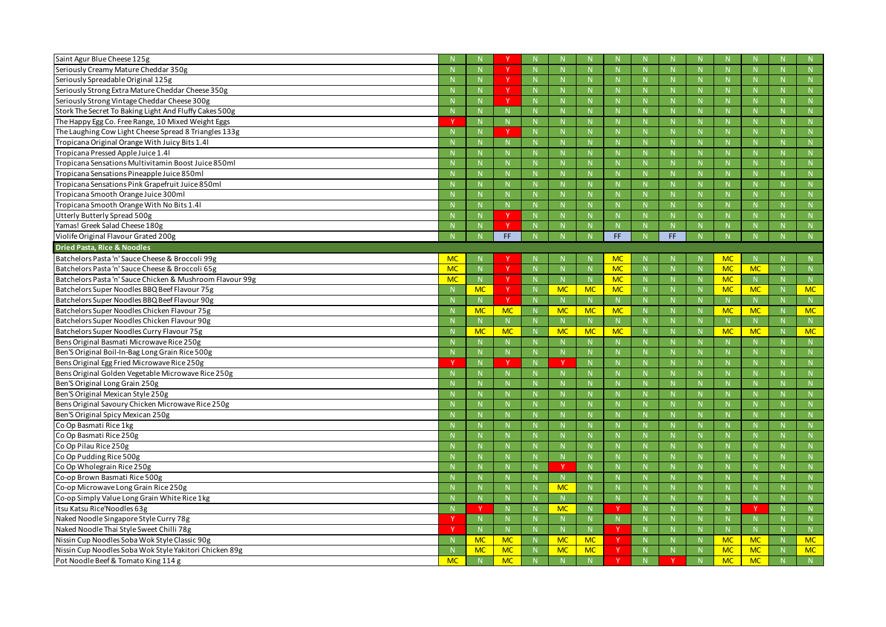| Saint Agur Blue Cheese 125g                               |           |              | $\mathbf v$  |              |              |           |              |     |              |              |           |
|-----------------------------------------------------------|-----------|--------------|--------------|--------------|--------------|-----------|--------------|-----|--------------|--------------|-----------|
| Seriously Creamy Mature Cheddar 350g                      |           |              |              | N            |              |           | N            |     | N            | N            | N         |
| Seriously Spreadable Original 125g                        |           |              |              |              |              |           | -N           |     | -N           | <b>N</b>     | N         |
| Seriously Strong Extra Mature Cheddar Cheese 350g         |           |              | <b>V</b>     |              |              |           | $\mathbb N$  |     | $\mathbb{N}$ | N            | N         |
| Seriously Strong Vintage Cheddar Cheese 300g              |           | N            |              | N            | N.           |           | N            | N   | N            | N            | N         |
| Stork The Secret To Baking Light And Fluffy Cakes 500g    |           | -N           | N.           | $\mathbf N$  |              |           | $\mathbb N$  | N   | -N           | $\mathsf{N}$ | N         |
| The Happy Egg Co. Free Range, 10 Mixed Weight Eggs        |           | N            | N            | $\mathbf N$  | N            |           | $\mathbb N$  | N   | $\mathbb{N}$ | N            | N         |
| The Laughing Cow Light Cheese Spread 8 Triangles 133g     |           |              |              | N            | $\mathsf{N}$ |           | N            | N   | N            | N            | N         |
| Tropicana Original Orange With Juicy Bits 1.41            |           |              | N.           |              |              |           | $\mathbf N$  |     | -N           | $\mathsf{N}$ | N         |
| Tropicana Pressed Apple Juice 1.4l                        |           |              | N.           |              |              |           | $\mathbb N$  |     | -N           | N            | N         |
| Tropicana Sensations Multivitamin Boost Juice 850ml       |           | N            | N.           | N            | N            |           | N            | N   | N            | N            | N         |
| Tropicana Sensations Pineapple Juice 850ml                |           |              | N.           | $\mathbf N$  |              |           | $\mathbb N$  |     | -N           | $\mathsf{N}$ | N         |
| Tropicana Sensations Pink Grapefruit Juice 850ml          |           |              | N.           |              |              |           | $\mathbb N$  |     | -N           | $\mathsf{N}$ | N         |
| Tropicana Smooth Orange Juice 300ml                       |           |              | N.           | N            |              |           | N            | N   | N            | N            | N         |
| Tropicana Smooth Orange With No Bits 1.41                 |           |              | N.           |              |              |           | $\mathbf N$  |     | -N           | $\mathsf{N}$ | N         |
| <b>Utterly Butterly Spread 500g</b>                       |           |              | $\vee$       |              | N            |           | $\mathbb N$  |     | -N           | $\mathsf{N}$ | N         |
| Yamas! Greek Salad Cheese 180g                            |           |              | $\mathbf v$  | $\mathsf{N}$ |              |           | N            |     | N            | N            | N         |
| Violife Original Flavour Grated 200g                      |           |              | FF.          |              |              | FF.       | N            | FF. |              |              | N         |
| <b>Dried Pasta, Rice &amp; Noodles</b>                    |           |              |              |              |              |           |              |     |              |              |           |
| Batchelors Pasta 'n' Sauce Cheese & Broccoli 99g          | <b>MC</b> |              |              |              |              | <b>MC</b> |              |     | <b>MC</b>    |              | N         |
| Batchelors Pasta 'n' Sauce Cheese & Broccoli 65g          | <b>MC</b> | N            | $\vee$       |              |              | <b>MC</b> | N            |     | <b>MC</b>    | <b>MC</b>    | N         |
| Batchelors Pasta 'n' Sauce Chicken & Mushroom Flavour 99g | <b>MC</b> | N            | <b>v</b>     | N            |              | <b>MC</b> | N            | N   | <b>MC</b>    | N            | N         |
| Batchelors Super Noodles BBQ Beef Flavour 75g             |           | <b>MC</b>    |              | <b>MC</b>    | <b>MC</b>    | <b>MC</b> | $\mathbb N$  |     | <b>MC</b>    | <b>MC</b>    | <b>MC</b> |
| Batchelors Super Noodles BBQ Beef Flavour 90g             |           | N            | $\mathsf{Y}$ | N            | N            |           | N            |     | N            | N            | N         |
| Batchelors Super Noodles Chicken Flavour 75g              |           | <b>MC</b>    | <b>MC</b>    | <b>MC</b>    | <b>MC</b>    | <b>MC</b> | N            | N   | <b>MC</b>    | <b>MC</b>    | <b>MC</b> |
| Batchelors Super Noodles Chicken Flavour 90g              |           |              | N.           | N            | N.           |           | N            | N   | -N           | N            | N         |
| Batchelors Super Noodles Curry Flavour 75g                |           | <b>MC</b>    | <b>MC</b>    | <b>MC</b>    | <b>MC</b>    | <b>MC</b> | $\mathbb N$  |     | <b>MC</b>    | <b>MC</b>    | <b>MC</b> |
| Bens Original Basmati Microwave Rice 250g                 |           |              | N.           | $\mathsf{N}$ | N.           |           | N            | N   | $\mathbb N$  | N            | N         |
| Ben'S Original Boil-In-Bag Long Grain Rice 500g           |           |              | N.           |              |              |           | $\mathbb N$  |     | -N           | $\mathsf{N}$ | N         |
| Bens Original Egg Fried Microwave Rice 250g               |           |              | $\mathbf v$  | $\mathbf v$  | N            |           | N            |     | -N           | $\mathsf{N}$ | N         |
| Bens Original Golden Vegetable Microwave Rice 250g        |           |              | N.           |              |              |           | $\mathbb N$  |     | -N           |              |           |
| Ben'S Original Long Grain 250g                            |           | -N           | $\mathbf{N}$ |              |              |           | -N           |     | -N           | $\mathbf{N}$ |           |
| Ben'S Original Mexican Style 250g                         |           |              |              |              |              |           |              |     |              |              | N         |
| Bens Original Savoury Chicken Microwave Rice 250g         |           | $\mathbb N$  | N            | N            | N            |           | N            |     | $\mathbb{N}$ | N            | N         |
| Ben'S Original Spicy Mexican 250g                         |           | -N           | N.           | $\mathsf{N}$ |              |           | $\mathsf{N}$ |     | $\mathbb N$  | N            | N         |
| Co Op Basmati Rice 1kg                                    |           | $\mathsf{N}$ | N            | N            | N.           |           | N            | N.  | N            | N            | N         |
| Co Op Basmati Rice 250g                                   |           | $\mathbb N$  | N.           | N            | N            |           | N            | N   | N            | N            | N         |
| Co Op Pilau Rice 250g                                     |           | -N           | N.           | N            | N.           |           | $\mathbb{N}$ | N.  | $\mathbb N$  | N            | N         |
| Co Op Pudding Rice 500g                                   |           |              | N.           | N            | N.           |           | N            | N   | N            | N            | N         |
| Co Op Wholegrain Rice 250g                                |           | N            | N            | -Y           | N            |           | N            | N   | N            | N            | N         |
| Co-op Brown Basmati Rice 500g                             |           | $\mathsf{N}$ | N            | $\mathsf{N}$ | N            |           | N            | N   | $\mathbb N$  | $\mathsf{N}$ | N         |
| Co-op Microwave Long Grain Rice 250g                      |           | $\mathsf{N}$ | N.           | <b>MC</b>    | N            |           | N            | N.  | N            | N            | N         |
| Co-op Simply Value Long Grain White Rice 1kg              |           | N            | N.           | N            | N.           |           | N            | N   | N            | N            | N         |
| itsu Katsu Rice'Noodles 63g                               |           |              | N.           | <b>MC</b>    | N.           |           | N            | N   | N            |              | N         |
| Naked Noodle Singapore Style Curry 78g                    |           | $\mathbb N$  | N.           | N            | N            |           | N            | N   | $\mathbb N$  | N            | N         |
| Naked Noodle Thai Style Sweet Chilli 78g                  |           | N            | N            | N            | N            |           | N            | N   | N            | N            | N         |
| Nissin Cup Noodles Soba Wok Style Classic 90g             |           | <b>MC</b>    | <b>MC</b>    | <b>MC</b>    | <b>MC</b>    |           | N            | N.  | <b>MC</b>    | <b>MC</b>    | <b>MC</b> |
| Nissin Cup Noodles Soba Wok Style Yakitori Chicken 89g    |           | <b>MC</b>    | <b>MC</b>    | <b>MC</b>    | <b>MC</b>    |           | N            |     | <b>MC</b>    | <b>MC</b>    | <b>MC</b> |
| Pot Noodle Beef & Tomato King 114 g                       | <b>MC</b> |              | <b>MC</b>    |              |              |           | N            |     | <b>MC</b>    | <b>MC</b>    | N         |
|                                                           |           |              |              |              |              |           |              |     |              |              |           |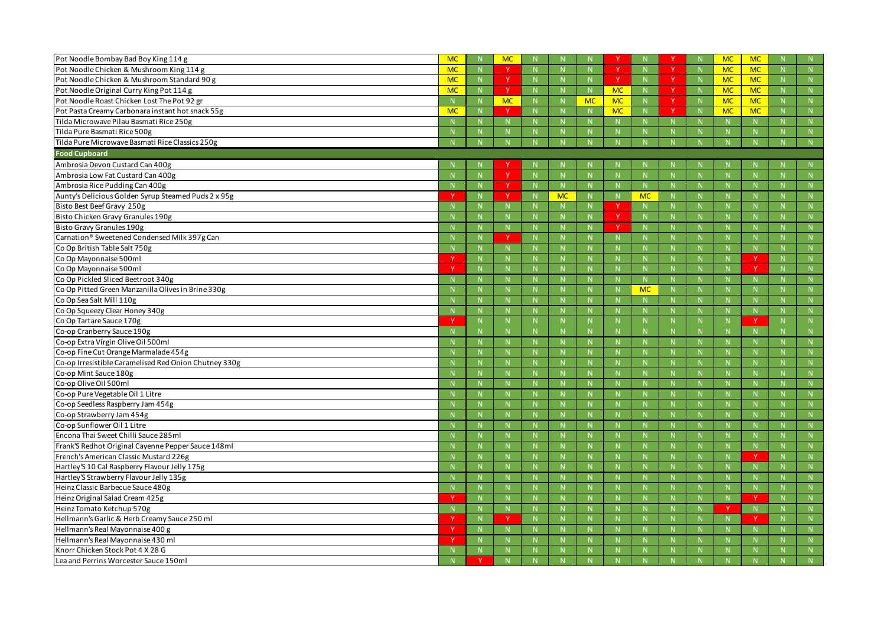| Pot Noodle Bombay Bad Boy King 114 g                     | <b>MC</b> |              | <b>MC</b>    |              |           |             |              |              |             | <b>MC</b>    | <b>MC</b>    |             |
|----------------------------------------------------------|-----------|--------------|--------------|--------------|-----------|-------------|--------------|--------------|-------------|--------------|--------------|-------------|
| Pot Noodle Chicken & Mushroom King 114 g                 | <b>MC</b> | N            | $\mathbf v$  | N            |           |             | N            | $\mathbf v$  | N           | <b>MC</b>    | <b>MC</b>    | N           |
| Pot Noodle Chicken & Mushroom Standard 90 g              | <b>MC</b> | -N           |              | -N           |           |             | N            |              | N           | <b>MC</b>    | <b>MC</b>    | N           |
| Pot Noodle Original Curry King Pot 114 g                 | <b>MC</b> | N            | Y            | $\mathbb N$  | N.        | <b>MC</b>   | N            | Y.           |             | <b>MC</b>    | <b>MC</b>    | N           |
| Pot Noodle Roast Chicken Lost The Pot 92 gr              |           | N            | <b>MC</b>    | N            | <b>MC</b> | <b>MC</b>   | N            | $\mathsf{v}$ | N           | <b>MC</b>    | <b>MC</b>    | N           |
| Pot Pasta Creamy Carbonara instant hot snack 55g         | <b>MC</b> | $\mathsf{N}$ | $\vee$       | $\mathbb N$  |           | <b>MC</b>   | N            | v            | $\mathbf N$ | <b>MC</b>    | <b>MC</b>    | N           |
| Tilda Microwave Pilau Basmati Rice 250g                  |           | $\mathbf N$  | N            | $\mathbb N$  |           |             | N            | N            |             | $\mathbb{N}$ | N            | N           |
| Tilda Pure Basmati Rice 500g                             |           |              |              | $\mathbb N$  |           |             | N            |              |             | N            | N            | N           |
| Tilda Pure Microwave Basmati Rice Classics 250g          |           |              |              |              |           |             |              |              |             |              | N            | N           |
| <b>Food Cupboard</b>                                     |           |              |              |              |           |             |              |              |             |              |              |             |
| Ambrosia Devon Custard Can 400g                          |           |              |              |              |           |             |              |              |             |              |              |             |
| Ambrosia Low Fat Custard Can 400g                        |           |              | <sup>Y</sup> | $\mathbb N$  |           |             | $\mathsf{N}$ |              |             |              | $\mathsf{N}$ |             |
| Ambrosia Rice Pudding Can 400g                           |           | $\mathsf{N}$ | <b>V</b>     | N            | N.        |             | N            | N            |             | $\mathbb N$  | N            | N           |
| Aunty's Delicious Golden Syrup Steamed Puds 2 x 95g      |           | <b>N</b>     |              | <b>MC</b>    |           |             | <b>MC</b>    | <b>N</b>     |             | -N           | $\mathsf{N}$ | N           |
| Bisto Best Beef Gravy 250g                               |           |              | N.           | $\mathbb N$  | N.        | v           | N            | N            |             | -N           | N            | N           |
| Bisto Chicken Gravy Granules 190g                        |           | $\mathbf N$  | N            | N            | N.        |             | N            | N            |             | $\mathbb{N}$ | N            | N           |
| Bisto Gravy Granules 190g                                |           |              | N            | -N           |           |             | N            | N            |             | -N           | $\mathsf{N}$ |             |
| Carnation <sup>®</sup> Sweetened Condensed Milk 397g Can |           |              | $\vee$       |              |           |             | $\mathsf{N}$ |              |             |              | $\mathsf{N}$ | N           |
| Co Op British Table Salt 750g                            |           | $\mathbb N$  | N            | $\mathbb N$  |           |             | N            | N            |             | $\mathbb{N}$ | N            | N           |
| Co Op Mayonnaise 500ml                                   |           | $\mathbf N$  | N            | -N           |           |             | $\mathbf N$  | $\mathbb N$  |             | -N           |              | N           |
| Co Op Mayonnaise 500ml                                   |           | $\mathbf N$  | N            |              |           |             | $\mathbf N$  | $\mathsf{N}$ |             |              | Y.           | N           |
| Co Op Pickled Sliced Beetroot 340g                       |           | $\mathsf{N}$ | N.           | $\mathbb N$  |           |             | N            | N            |             | $\mathbb{N}$ | N            | N           |
| Co Op Pitted Green Manzanilla Olives in Brine 330g       |           |              |              | -N           |           |             | <b>MC</b>    | <b>N</b>     |             | -N           | $\mathsf{N}$ |             |
| Co Op Sea Salt Mill 110g                                 |           |              | N            |              |           |             | N            | $\mathsf{N}$ |             | -N           | $\mathsf{N}$ | $\mathbb N$ |
| Co Op Squeezy Clear Honey 340g                           |           | $\mathsf{N}$ | N            | $\mathbb N$  | N         |             | N            | N            |             | $\mathbb{N}$ | N            | N           |
| Co Op Tartare Sauce 170g                                 |           | $\mathbf N$  | N            | $\mathbb N$  |           |             | N            | N            |             | N            |              | N           |
| Co-op Cranberry Sauce 190g                               |           |              |              | -N           |           |             | $\mathsf{N}$ | N            |             | -N           | N            |             |
| Co-op Extra Virgin Olive Oil 500ml                       |           | $\mathbb N$  | N            | N            | N         |             | N            | N            |             | $\mathbb{N}$ | N            | N           |
| Co-op Fine Cut Orange Marmalade 454g                     |           |              |              | -N           |           |             | $\mathbf N$  | <b>N</b>     |             | -N           | $\mathsf{N}$ | <b>N</b>    |
| Co-op Irresistible Caramelised Red Onion Chutney 330g    |           |              | N            |              |           |             | $\mathsf{N}$ |              |             | -N           | $\mathsf{N}$ |             |
| Co-op Mint Sauce 180g                                    |           |              |              |              |           |             |              |              |             |              |              |             |
| Co-op Olive Oil 500ml                                    |           | -N           | $\mathbf{N}$ | -N           |           |             | -N           | $\mathbf{N}$ |             | -N           | $\mathbf{N}$ |             |
| Co-op Pure Vegetable Oil 1 Litre                         |           |              |              |              |           |             |              |              |             |              |              | N           |
| Co-op Seedless Raspberry Jam 454g                        |           | N            | N            | N            | N.        |             | $\mathbb{N}$ | N            |             | $\mathbb N$  | N            | N           |
| Co-op Strawberry Jam 454g                                |           | $\mathbb N$  | N.           | $\mathbb N$  |           |             | $\mathbb{N}$ | $\mathbb N$  |             | $\mathbb N$  | $\mathsf{N}$ | N           |
| Co-op Sunflower Oil 1 Litre                              |           | $\mathsf{N}$ | N            | N            | N.        |             | N            | N            |             | N            | N            | N           |
| Encona Thai Sweet Chilli Sauce 285ml                     |           | N            | N            | N            | N.        |             | N            | N.           |             | N            | N            | N           |
| Frank'S Redhot Original Cayenne Pepper Sauce 148ml       |           | N            | N.           | $\mathsf{N}$ | N         |             | $\mathbb{N}$ | N            |             | $\mathbb N$  | N            | N           |
| French's American Classic Mustard 226g                   |           | N            | N            | N            | N.        |             | N            | N            |             | $\mathbb N$  | Y            | N           |
| Hartley'S 10 Cal Raspberry Flavour Jelly 175g            |           | N            | N            | $\mathbb N$  | N         |             | N            | N            |             | $\mathbb{N}$ | N            | N           |
| Hartley'S Strawberry Flavour Jelly 135g                  |           | $\mathsf{N}$ | N            | $\mathbb N$  | N.        |             | N            | N            |             | $\mathbb N$  | N            | N           |
| Heinz Classic Barbecue Sauce 480g                        |           | N            | N            | N            | N.        |             | N            | N            |             | N            | N            | N           |
| Heinz Original Salad Cream 425g                          |           | N            | N            | N            | N         |             | N            | N            |             | N            | <b>V</b>     | N           |
| Heinz Tomato Ketchup 570g                                |           | N            | N            | N            | N         |             | N            | N            |             |              | N            | N           |
| Hellmann's Garlic & Herb Creamy Sauce 250 ml             |           | N            | <b>Y</b>     | N            | N.        |             | N            | N            |             | $\mathbb N$  | Y            | N           |
| Hellmann's Real Mayonnaise 400 g                         |           | N            | N            | $\mathbb N$  | N         | $\mathbb N$ | N            | N            | N           | $\mathbb{N}$ | N            | N           |
| Hellmann's Real Mayonnaise 430 ml                        |           | N            | N            | N            | N.        |             | N            | N            |             | N            | N            | N           |
| Knorr Chicken Stock Pot 4 X 28 G                         |           | N            | N            | N            |           |             | N            | N            |             | $\mathbb N$  |              | N           |
|                                                          |           |              | N            | N            |           |             | N            |              |             | N            | N<br>N       |             |
| Lea and Perrins Worcester Sauce 150ml                    |           |              |              |              |           |             |              |              |             |              |              | N           |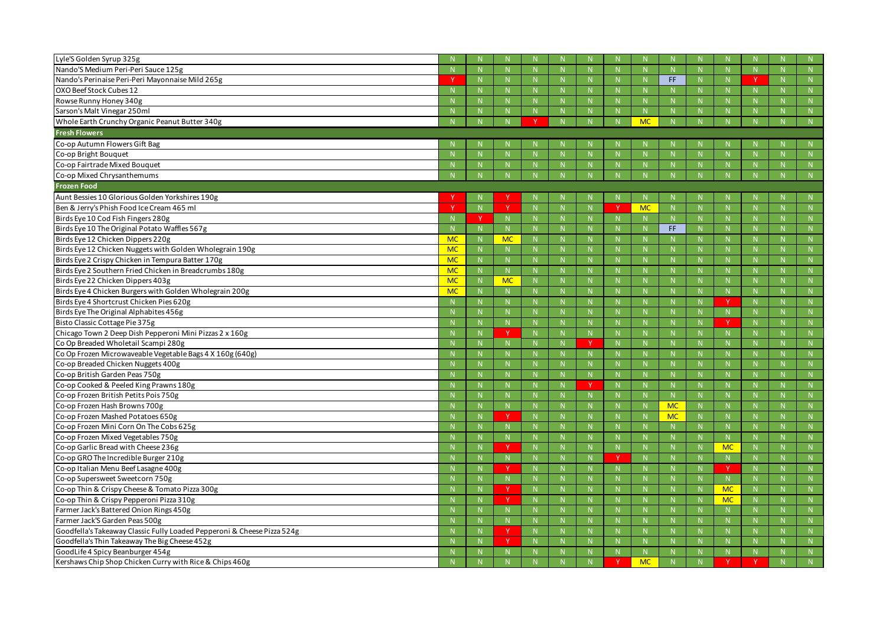| Lyle'S Golden Syrup 325g                                                |           |                    |               |                |                    |              |             |                      |              |                      |                     |              |
|-------------------------------------------------------------------------|-----------|--------------------|---------------|----------------|--------------------|--------------|-------------|----------------------|--------------|----------------------|---------------------|--------------|
| Nando'S Medium Peri-Peri Sauce 125g                                     |           | $\mathbb N$        |               |                | N                  |              |             | $\mathbb{N}$         | $\mathsf{N}$ | -N                   | N                   | N            |
| Nando's Perinaise Peri-Peri Mayonnaise Mild 265g                        |           |                    |               |                | $\mathbb N$        |              |             | -N                   | FF.          | $\mathbf N$          | N                   | N            |
| OXO Beef Stock Cubes 12                                                 |           | $\mathsf{N}$       |               |                | $\mathbb N$        |              |             | -N                   | $\mathsf{N}$ |                      | $\mathsf{N}$        |              |
| Rowse Runny Honey 340g                                                  |           | $\mathbb N$        |               |                | N                  |              |             | $\mathbb{N}$         | N            | -N                   | N                   | $\mathbb N$  |
| Sarson's Malt Vinegar 250ml                                             |           |                    |               |                | $\mathbb N$        |              |             | -N                   | N            |                      | N                   | N            |
| Whole Earth Crunchy Organic Peanut Butter 340g                          |           |                    |               |                |                    |              |             | <b>MC</b>            |              |                      |                     | N            |
| <b>Fresh Flowers</b>                                                    |           |                    |               |                |                    |              |             |                      |              |                      |                     |              |
| Co-op Autumn Flowers Gift Bag                                           |           |                    |               |                |                    |              |             |                      |              |                      |                     |              |
| Co-op Bright Bouquet                                                    |           | $\mathbb N$        |               |                | N                  |              |             | $\mathbb{N}$         | $\mathsf{N}$ | -N                   | $\mathsf{N}$        | N            |
| Co-op Fairtrade Mixed Bouquet                                           |           |                    |               |                | $\mathbb N$        |              |             | -N                   |              |                      |                     | N            |
| Co-op Mixed Chrysanthemums                                              |           |                    |               |                |                    |              |             |                      |              |                      |                     |              |
| <b>Frozen Food</b>                                                      |           |                    |               |                |                    |              |             |                      |              |                      |                     |              |
| Aunt Bessies 10 Glorious Golden Yorkshires 190g                         |           |                    |               |                |                    |              |             |                      |              |                      |                     |              |
| Ben & Jerry's Phish Food Ice Cream 465 ml                               |           | $\mathbf N$        | <b>V</b>      | N              | $\mathbb N$        |              |             | <b>MC</b>            | $\mathsf{N}$ | -N                   | $\mathsf{N}$        | $\mathbb N$  |
| Birds Eye 10 Cod Fish Fingers 280g                                      |           |                    |               |                | $\mathbb N$        |              |             | -N                   | $\mathbf N$  | $\mathbf N$          | $\mathsf{N}$        | N            |
| Birds Eye 10 The Original Potato Waffles 567g                           |           |                    | N             |                | $\mathbb N$        |              |             | -N                   | FF.          | -N                   | $\mathsf{N}$        |              |
| Birds Eye 12 Chicken Dippers 220g                                       | <b>MC</b> | $\mathbb N$        | <b>MC</b>     |                | $\mathbb N$        |              |             | $\mathsf{N}$         | N            | -N                   | $\mathsf{N}$        | $\mathbb N$  |
| Birds Eye 12 Chicken Nuggets with Golden Wholegrain 190g                | <b>MC</b> | $\mathbb N$        |               |                | $\mathbb N$        | $\mathbb N$  |             | -N                   | N            | $\mathbf N$          | N                   | N            |
| Birds Eye 2 Crispy Chicken in Tempura Batter 170g                       | <b>MC</b> | N                  | N             |                | $\mathbb N$        |              |             | -N                   | $\mathsf{N}$ | -N                   | $\mathsf{N}$        |              |
| Birds Eye 2 Southern Fried Chicken in Breadcrumbs 180g                  | <b>MC</b> | N                  | N.            |                | $\mathbb N$        |              |             | -N                   | $\mathsf{N}$ | -N                   | N                   | N            |
| Birds Eye 22 Chicken Dippers 403g                                       | <b>MC</b> | $\mathbb N$        | <b>MC</b>     |                | $\mathbb N$        | $\mathsf{N}$ |             | -N                   | $\mathsf{N}$ | $\mathbf N$          | N                   | N            |
| Birds Eye 4 Chicken Burgers with Golden Wholegrain 200g                 | <b>MC</b> | $\mathbb N$        | N             |                | $\mathbb N$        |              |             | -N                   | $\mathsf{N}$ |                      | N                   |              |
| Birds Eye 4 Shortcrust Chicken Pies 620g                                |           | $\mathbb N$        |               |                | $\mathbb N$        |              |             | $\mathbb{N}$         | N            |                      | N                   | $\mathbb N$  |
| Birds Eye The Original Alphabites 456g                                  |           | $\mathbf N$        | N             |                | $\mathbb{N}$       | $\mathbb N$  |             | -N                   | N            | $\mathbf N$          | N                   | N            |
| Bisto Classic Cottage Pie 375g                                          |           | $\mathbb N$        |               |                | $\mathbb N$        |              |             | $\mathsf{N}$         | $\mathsf{N}$ |                      | N                   |              |
| Chicago Town 2 Deep Dish Pepperoni Mini Pizzas 2 x 160g                 |           | N                  | <b>V</b>      |                | N                  |              |             | $\mathbb{N}$         | $\mathsf{N}$ | $\mathbb{N}$         | $\mathbb N$         | N            |
| Co Op Breaded Wholetail Scampi 280g                                     |           | $\mathbb N$        | $\mathsf{N}$  |                | N                  | N            |             | -N                   | N            | $\mathbf N$          | N                   | N            |
| Co Op Frozen Microwaveable Vegetable Bags 4 X 160g (640g)               |           | $\mathbb N$        |               |                | $\mathsf{N}$       |              |             | $\mathsf{N}$         | $\mathsf{N}$ | -N                   | $\mathsf{N}$        |              |
| Co-op Breaded Chicken Nuggets 400g                                      |           | -N                 |               |                | $\mathbb N$        |              |             | -N                   | N            | -N                   | $\mathsf{N}$        | N            |
| Co-op British Garden Peas 750g                                          |           |                    |               |                | $\mathbb N$        | N.           |             |                      |              |                      | $\mathsf{N}$        | N            |
| Co-op Cooked & Peeled King Prawns 180g                                  |           |                    |               |                |                    | $\mathbf{v}$ | <b>NI</b>   |                      |              |                      |                     |              |
| Co-op Frozen British Petits Pois 750g                                   |           | -19<br>$\mathbb N$ | - I V -<br>N. |                | -19<br>$\mathbb N$ |              |             | - I N<br>$\mathbb N$ | - I V -<br>N | - I N<br>$\mathbb N$ | -19<br>$\mathsf{N}$ | - 1 4 -<br>N |
| Co-op Frozen Hash Browns 700g                                           |           | $\mathbb N$        | N             |                | N                  | N            |             | $\mathbb N$          | <b>MC</b>    | $\mathbf N$          | N                   | N            |
| Co-op Frozen Mashed Potatoes 650g                                       |           | $\mathbb N$        | Y             |                | N                  | N            |             | N                    | <b>MC</b>    | $\mathbb{N}$         | $\mathsf{N}$        | ${\sf N}$    |
| Co-op Frozen Mini Corn On The Cobs 625g                                 |           | $\mathbb N$        | N.            |                | $\mathbb N$        | N            |             | $\mathbb{N}$         | N            | $\mathbb N$          | N                   | N            |
| Co-op Frozen Mixed Vegetables 750g                                      |           | $\mathbb N$        | N             |                | N                  | N            |             | N                    | N            | N                    | N                   | N            |
| Co-op Garlic Bread with Cheese 236g                                     |           | N                  | Y             |                | N                  | N            |             | N                    | N            | <b>MC</b>            | ${\sf N}$           | N            |
| Co-op GRO The Incredible Burger 210g                                    |           | $\mathbb{N}$       | N             | $\mathbb N$    | $\mathbb{N}$       | N            |             | $\mathbb{N}$         | N            | $\mathbb{N}$         | N                   | N            |
| Co-op Italian Menu Beef Lasagne 400g                                    |           | N                  |               |                | N                  | N.           |             | $\mathbb N$          | N            |                      | N                   | N            |
| Co-op Supersweet Sweetcorn 750g                                         |           | $\mathbb{N}$       | N             |                | N                  | N            |             | N                    | N            | N                    | N                   | N            |
| Co-op Thin & Crispy Cheese & Tomato Pizza 300g                          |           | N                  | <sup>V</sup>  | $\mathbb N$    | N                  | N            |             | $\mathbb N$          | N            | <b>MC</b>            | N                   | N            |
| Co-op Thin & Crispy Pepperoni Pizza 310g                                |           | $\mathbb N$        |               |                | N                  | N            |             | $\mathsf{N}$         | N            | <b>MC</b>            | N                   | N            |
| Farmer Jack's Battered Onion Rings 450g                                 |           | $\mathsf{N}$       |               |                | N                  | N            |             | N                    | N            | $\mathbb{N}$         | ${\sf N}$           | ${\sf N}$    |
| Farmer Jack'S Garden Peas 500g                                          |           | $\mathbb{N}$       | N             | $\mathbb N$    | N                  | N            | $\mathbb N$ | N                    | N            | $\mathbb{N}$         | N                   | N            |
| Goodfella's Takeaway Classic Fully Loaded Pepperoni & Cheese Pizza 524g |           | N                  |               |                | N                  | N            |             | N                    | N            | $\mathbb N$          | N                   | N            |
| Goodfella's Thin Takeaway The Big Cheese 452g                           |           | N                  | Y             | N <sub>1</sub> | N                  | N            |             | N                    | N            | N                    | N                   | ${\sf N}$    |
| GoodLife 4 Spicy Beanburger 454g                                        |           | N                  | N.            |                | $\mathbb{N}$       | N            |             | N                    | N            | $\mathbb{N}$         | $\mathsf{N}$        | N            |
| Kershaws Chip Shop Chicken Curry with Rice & Chips 460g                 |           | N                  |               |                | N                  |              |             | <b>MC</b>            | N            |                      |                     | N            |
|                                                                         |           |                    |               |                |                    |              |             |                      |              |                      |                     |              |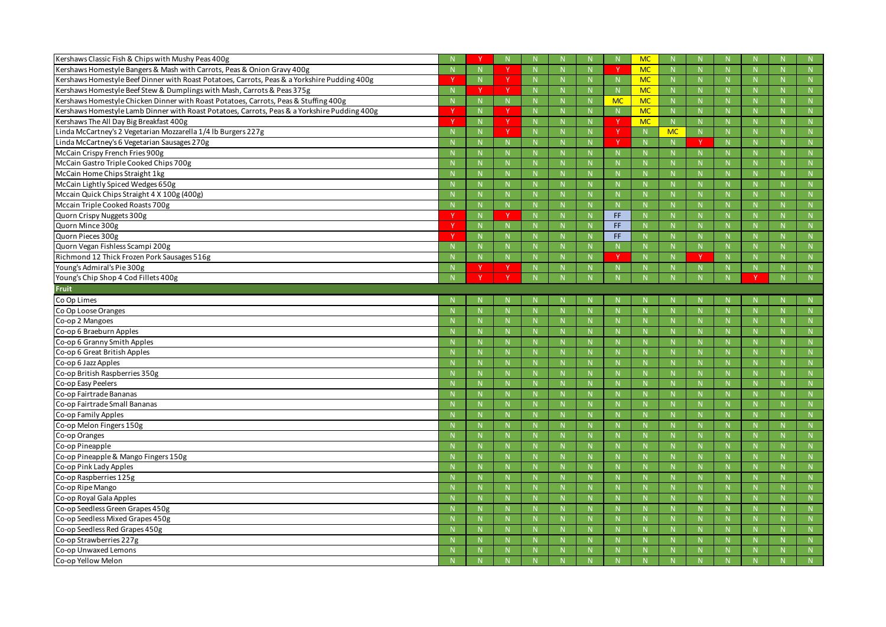| Kershaws Classic Fish & Chips with Mushy Peas 400g                                           |    |              | $\mathbb N$  |              |             |           | <b>MC</b>    |           |              |    |             | N |
|----------------------------------------------------------------------------------------------|----|--------------|--------------|--------------|-------------|-----------|--------------|-----------|--------------|----|-------------|---|
| Kershaws Homestyle Bangers & Mash with Carrots, Peas & Onion Gravy 400g                      |    |              |              | $\mathsf{N}$ | N.          |           | <b>MC</b>    | N         | N            |    |             | N |
| Kershaws Homestyle Beef Dinner with Roast Potatoes, Carrots, Peas & a Yorkshire Pudding 400g |    |              | <sup>V</sup> |              | N.          |           | <b>MC</b>    | N.        | -N           |    |             | N |
| Kershaws Homestyle Beef Stew & Dumplings with Mash, Carrots & Peas 375g                      |    |              | <b>v</b>     |              | N.          |           | <b>MC</b>    | N         |              |    |             | N |
| Kershaws Homestyle Chicken Dinner with Roast Potatoes, Carrots, Peas & Stuffing 400g         |    |              | N            | N            | N           | <b>MC</b> | <b>MC</b>    | N         | N            | N  |             | N |
| Kershaws Homestyle Lamb Dinner with Roast Potatoes, Carrots, Peas & a Yorkshire Pudding 400g |    |              | $\vee$       |              | N.          |           | <b>MC</b>    | N.        | $\mathsf N$  |    |             | N |
| Kershaws The All Day Big Breakfast 400g                                                      |    | N            | $\vee$       |              | N.          |           | <b>MC</b>    | N         | $\mathbf N$  |    |             | N |
| Linda McCartney's 2 Vegetarian Mozzarella 1/4 lb Burgers 227g                                |    | N            | <b>V</b>     | N            | N.          |           | N            | <b>MC</b> | N            | N  |             | N |
| Linda McCartney's 6 Vegetarian Sausages 270g                                                 |    |              | N            |              | N.          | v         | $\mathsf{N}$ | N.        | $\mathbb N$  |    |             | N |
| McCain Crispy French Fries 900g                                                              |    |              | N            |              | N.          |           |              | N.        |              |    |             | N |
| McCain Gastro Triple Cooked Chips 700g                                                       |    | N            | N            | N            | N           |           | N            | N         | N            | N  |             | N |
| McCain Home Chips Straight 1kg                                                               |    |              | N            |              | N.          |           |              |           | $\mathbb N$  |    |             | N |
| McCain Lightly Spiced Wedges 650g                                                            |    |              | N            | $\mathbf N$  | N.          |           | $\mathbf N$  | N         | $\mathbb N$  |    |             | N |
| Mccain Quick Chips Straight 4 X 100g (400g)                                                  |    |              | N            | $\mathsf{N}$ | N           |           | N            | N         | N            |    |             | N |
| Mccain Triple Cooked Roasts 700g                                                             |    |              | N            |              | N.          |           |              | N         | $\mathsf N$  |    |             | N |
| Quorn Crispy Nuggets 300g                                                                    |    | N            | $\mathbf{v}$ |              | N.          | FF.       |              | N         |              |    |             | N |
| Quorn Mince 300g                                                                             |    | N            | N            | N            | N           | FF.       | N            | N         | N            | N  |             | N |
| Quorn Pieces 300g                                                                            | .V | <b>N</b>     | N            |              | $\mathbb N$ | FF.       |              |           | -N           |    |             | N |
| Quorn Vegan Fishless Scampi 200g                                                             |    | $\mathsf{N}$ | N            | $\mathbf N$  | N           |           | $\mathbf N$  | N         | $\mathbb N$  |    |             | N |
| Richmond 12 Thick Frozen Pork Sausages 516g                                                  |    |              | N            |              | N.          |           | $\mathsf{N}$ | N         | N            |    |             | N |
| Young's Admiral's Pie 300g                                                                   |    |              | Y.           |              | N.          |           |              |           |              |    |             | N |
| Young's Chip Shop 4 Cod Fillets 400g                                                         |    |              |              |              |             |           |              |           |              |    |             | N |
| Fruit                                                                                        |    |              |              |              |             |           |              |           |              |    |             |   |
| Co Op Limes                                                                                  |    |              |              |              |             |           |              |           |              |    |             | N |
| Co Op Loose Oranges                                                                          |    |              | N            |              | N.          |           |              | N         | $\mathbb N$  |    |             | N |
| Co-op 2 Mangoes                                                                              |    |              | N            |              | N.          |           |              |           | -N           |    |             | N |
| Co-op 6 Braeburn Apples                                                                      |    |              | N            |              | N.          |           |              | N         | $\mathbb N$  |    |             | N |
| Co-op 6 Granny Smith Apples                                                                  |    |              | N            | $\mathsf{N}$ | N           |           | $\mathsf{N}$ | N         | N            |    |             | N |
| Co-op 6 Great British Apples                                                                 |    |              | N            |              | N.          |           | $\mathbf N$  | N         | $\mathbb N$  |    |             | N |
| Co-op 6 Jazz Apples                                                                          |    |              | N            | $\mathbf N$  | N           |           | $\mathbf N$  | N         | $\mathbb N$  |    |             | N |
| Co-op British Raspberries 350g                                                               |    |              | N            |              | N.          |           |              |           | $\mathbb N$  |    |             | N |
| Co-op Easy Peelers                                                                           |    |              |              |              |             |           |              |           |              |    |             | N |
| Co-op Fairtrade Bananas                                                                      |    |              | N            |              | N           |           | $\mathsf{N}$ |           | $\mathbb{N}$ |    |             | N |
| Co-op Fairtrade Small Bananas                                                                |    | $\mathsf{N}$ | ${\sf N}$    | N            | N           |           | N            | N         | N            | N  | $\mathbb N$ | N |
| Co-op Family Apples                                                                          |    | $\mathsf{N}$ | N            | $\mathbb N$  | N           |           | N            | N.        | N            | N. |             | N |
| Co-op Melon Fingers 150g                                                                     |    | $\mathsf{N}$ | N            | $\mathbb N$  | N           |           | N            | N         | N            | N  |             | N |
| Co-op Oranges                                                                                |    | N            | N            | N            | N           |           | N            | N         | N            | N. |             | N |
| Co-op Pineapple                                                                              |    | $\mathsf{N}$ | N            | $\mathbb N$  | N.          |           | N            | N.        | N            | N. |             | N |
| Co-op Pineapple & Mango Fingers 150g                                                         |    | $\mathsf{N}$ | ${\sf N}$    | N            | N           |           | N            | N         | N            | N  |             | N |
| Co-op Pink Lady Apples                                                                       |    | N            | N            | N            | N           |           | ${\sf N}$    | N         | N            | N  |             | N |
| Co-op Raspberries 125g                                                                       |    | $\mathsf{N}$ | N            | N            | N           |           | N            | N         | N            | N. |             | N |
| Co-op Ripe Mango                                                                             |    | $\mathsf{N}$ | N            | $\mathbb N$  | N           |           | N            | N         | N            | N  |             | N |
| Co-op Royal Gala Apples                                                                      |    | N            | ${\sf N}$    | N            | N           |           | N            | N         | N            | N. |             | N |
| Co-op Seedless Green Grapes 450g                                                             |    | $\mathsf{N}$ | N            | N            | N.          |           | $\mathsf{N}$ | N.        | N            | N  |             | N |
| Co-op Seedless Mixed Grapes 450g                                                             |    | $\mathsf{N}$ | N            | N            | N           |           | N            | N         | N            | N  |             | N |
| Co-op Seedless Red Grapes 450g                                                               |    | N            | N            | N            | N           |           | ${\sf N}$    | N         | N            | N  |             | N |
| Co-op Strawberries 227g                                                                      |    | $\mathsf{N}$ | N            | N            | N.          |           | N            | N         | N            | N. |             | N |
| Co-op Unwaxed Lemons                                                                         |    |              | ${\sf N}$    |              | N.          |           |              | N.        | $\mathsf{N}$ |    |             | N |
| Co-op Yellow Melon                                                                           |    |              | N            | N            | N           |           | N            | N.        | N            |    |             | N |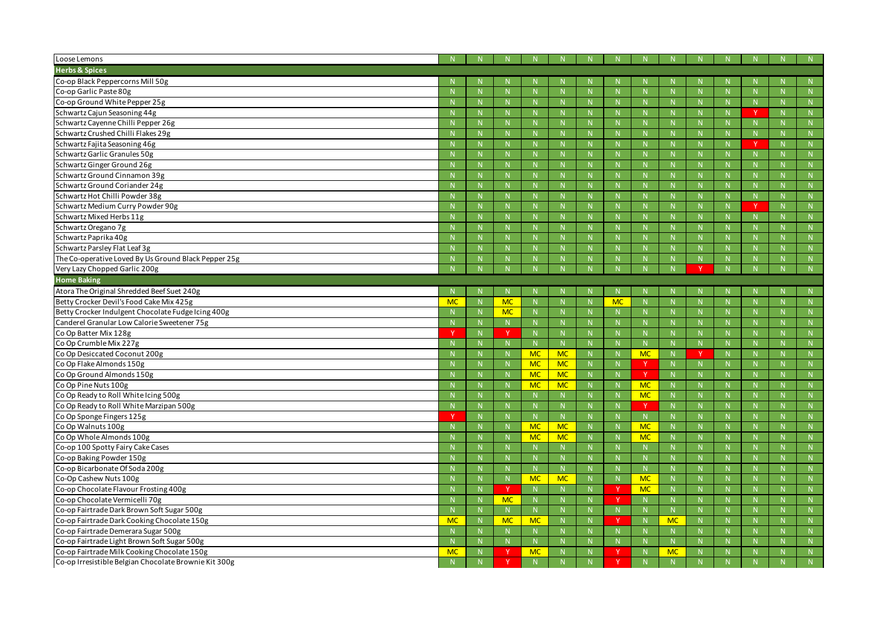| Loose Lemons                                          |           |              |              |           |              |              |           |             |                           |             |              |              |              |
|-------------------------------------------------------|-----------|--------------|--------------|-----------|--------------|--------------|-----------|-------------|---------------------------|-------------|--------------|--------------|--------------|
| <b>Herbs &amp; Spices</b>                             |           |              |              |           |              |              |           |             |                           |             |              |              |              |
| Co-op Black Peppercorns Mill 50g                      |           |              |              |           |              |              |           |             |                           |             |              |              |              |
| Co-op Garlic Paste 80g                                |           | $\mathbf N$  | N            |           | N            |              |           | $\mathbb N$ |                           |             | $\mathbb{N}$ | $\mathsf{N}$ | N            |
| Co-op Ground White Pepper 25g                         |           |              | N            |           | N            | $\mathsf{N}$ |           | $\mathbf N$ | $\mathsf{N}$              |             | $\mathbf N$  | N            | N            |
| Schwartz Cajun Seasoning 44g                          |           |              | N            |           |              | N            |           | $\mathsf N$ |                           |             | -N           | $\vee$       | N            |
| Schwartz Cayenne Chilli Pepper 26g                    |           | <b>N</b>     | N            |           | N            | <sup>N</sup> |           | $\mathbb N$ |                           |             | $\mathbb{N}$ | N            | N            |
| Schwartz Crushed Chilli Flakes 29g                    |           |              | N            |           |              | N            |           | $\mathbf N$ | $\mathsf{N}$              |             | -N           | N            | N            |
| Schwartz Fajita Seasoning 46g                         |           |              | $\mathbb N$  |           |              | N.           |           | $\mathbb N$ |                           |             | -N           | <b>V</b>     | N            |
| Schwartz Garlic Granules 50g                          |           | $\mathsf{N}$ | $\mathbb N$  |           | N            | N            |           | N           |                           |             | $\mathbb{N}$ | N            | N            |
| Schwartz Ginger Ground 26g                            |           |              | N            |           | N            | N            |           | $\mathbf N$ | $\mathsf{N}$              |             | $\mathbf N$  | N            | N            |
| Schwartz Ground Cinnamon 39g                          |           |              | N            |           |              | N            |           | $\mathsf N$ |                           |             | -N           | $\mathsf{N}$ |              |
| Schwartz Ground Coriander 24g                         |           | <b>N</b>     | N            |           | N            | <sup>N</sup> |           | $\mathbb N$ |                           |             | $\mathbb{N}$ | $\mathsf{N}$ | N            |
| Schwartz Hot Chilli Powder 38g                        |           |              | N            |           |              | N            |           | $\mathbf N$ | $\mathsf{N}$              |             | -N           | N            | N            |
| Schwartz Medium Curry Powder 90g                      |           |              | N            |           |              | N            |           | $\mathbb N$ |                           |             | -N           | <b>V</b>     | N            |
| Schwartz Mixed Herbs 11g                              |           | $\mathsf{N}$ | $\mathbb N$  |           | N            | N            |           | $\mathbb N$ |                           |             | $\mathbb{N}$ | N            | N            |
| Schwartz Oregano 7g                                   |           |              | N            |           | N            | N            |           | $\mathbf N$ | $\mathsf{N}$              |             | $\mathbf N$  | N            | N            |
| Schwartz Paprika 40g                                  |           |              | N            |           |              | N            |           | $\mathsf N$ |                           |             | -N           | $\mathsf{N}$ |              |
| Schwartz Parsley Flat Leaf 3g                         |           |              | $\mathsf{N}$ |           | N            | <sup>N</sup> |           | $\mathbb N$ |                           |             | $\mathbb{N}$ | $\mathsf{N}$ | N            |
| The Co-operative Loved By Us Ground Black Pepper 25g  |           |              | N            |           |              | N            |           |             |                           |             | -N           | N            | N            |
| Very Lazy Chopped Garlic 200g                         |           |              |              |           |              |              |           |             |                           |             |              |              | N            |
| <b>Home Baking</b>                                    |           |              |              |           |              |              |           |             |                           |             |              |              |              |
| Atora The Original Shredded Beef Suet 240g            |           |              | -N           |           |              |              |           |             |                           |             |              |              |              |
| Betty Crocker Devil's Food Cake Mix 425g              | <b>MC</b> | $\mathsf{N}$ | <b>MC</b>    |           | N            |              | <b>MC</b> | $\mathbb N$ |                           |             | $\mathbb{N}$ | $\mathsf{N}$ | N            |
| Betty Crocker Indulgent Chocolate Fudge Icing 400g    |           |              | <b>MC</b>    |           | N            | N            |           | N           | N                         |             | N            | N            | N            |
| Canderel Granular Low Calorie Sweetener 75g           |           |              | N            |           | $\mathsf{N}$ | N            |           | $\mathbb N$ |                           |             | $\mathsf{N}$ | $\mathsf{N}$ | $\mathsf{N}$ |
| Co Op Batter Mix 128g                                 |           | N            | <b>V</b>     |           | N            | N.           |           | N           |                           |             | $\mathbb N$  | N            | N            |
| Co Op Crumble Mix 227g                                |           |              | N            |           | N            | N            |           | $\mathbb N$ | $\mathbb N$               |             | -N           | N            | N            |
| Co Op Desiccated Coconut 200g                         |           |              | $\mathbb{N}$ | <b>MC</b> | <b>MC</b>    | N            |           | <b>MC</b>   |                           |             | $\mathsf{N}$ | $\mathsf{N}$ | $\mathsf{N}$ |
| Co Op Flake Almonds 150g                              |           | <b>N</b>     | $\mathbb N$  | <b>MC</b> | <b>MC</b>    | N.           |           |             | N.                        |             | $\mathbb{N}$ | $\mathsf{N}$ | N            |
| Co Op Ground Almonds 150g                             |           |              | N            | <b>MC</b> | <b>MC</b>    | N            |           |             |                           |             | $\mathsf{N}$ | N            | N            |
| Co Op Pine Nuts 100g                                  |           | - 14         | - I V -      | <b>MC</b> | <b>MC</b>    | $\mathsf{N}$ |           | <b>MC</b>   | $\overline{M}$<br>- I V - | <b>NI</b>   | - 14         | N<br>- I V - | N            |
| Co Op Ready to Roll White Icing 500g                  |           | N            | $N_{\odot}$  |           | N            | N            |           | <b>MC</b>   | N                         | $\mathbb N$ | N            | N            | N            |
| Co Op Ready to Roll White Marzipan 500g               |           |              | N            |           | N            | N            |           |             | N                         |             | $\mathbb N$  | N            | N            |
| Co Op Sponge Fingers 125g                             |           | $\mathsf{N}$ | N            |           | ${\sf N}$    | N            |           | N           | N                         |             | N            | N            | ${\sf N}$    |
| Co Op Walnuts 100g                                    |           | N            | N            | <b>MC</b> | <b>MC</b>    | N            |           | <b>MC</b>   | N                         |             | N            | N            | N            |
| Co Op Whole Almonds 100g                              |           |              | N            | <b>MC</b> | <b>MC</b>    | N            |           | <b>MC</b>   | N                         |             | N            | N            | N            |
| Co-op 100 Spotty Fairy Cake Cases                     |           |              | ${\sf N}$    |           | N            | N            |           | N           | N                         |             | N            | N            | ${\sf N}$    |
| Co-op Baking Powder 150g                              |           | $\mathsf{N}$ | N            |           | N            | N            |           | N           | N                         | $\mathbb N$ | N            | N            | N            |
| Co-op Bicarbonate Of Soda 200g                        |           | $\mathsf{N}$ | N            |           | N            | N            |           | N           | N                         |             | N            | N            | N            |
| Co-Op Cashew Nuts 100g                                |           | $\mathsf{N}$ | N            | <b>MC</b> | <b>MC</b>    | N            |           | <b>MC</b>   | N                         |             | N            | N            | ${\sf N}$    |
| Co-op Chocolate Flavour Frosting 400g                 |           | N            | Y.           |           | $\mathbb N$  | N            | <b>Y</b>  | <b>MC</b>   | N                         |             | N            | N            | N            |
| Co-op Chocolate Vermicelli 70g                        |           | $\mathsf{N}$ | <b>MC</b>    |           | $\mathbb N$  | N            |           | N           | N                         |             | N            | N            | N            |
| Co-op Fairtrade Dark Brown Soft Sugar 500g            |           | $\mathsf{N}$ | N            |           | N            | N            |           | ${\sf N}$   | N                         |             | N            | N            | N            |
| Co-op Fairtrade Dark Cooking Chocolate 150g           | <b>MC</b> | N            | <b>MC</b>    | <b>MC</b> | N            | N            |           | N           | <b>MC</b>                 | N           | N            | N            | N            |
| Co-op Fairtrade Demerara Sugar 500g                   |           | $\mathsf{N}$ | N            |           | N            | N            |           | N           | N                         |             | N            | N            | N            |
| Co-op Fairtrade Light Brown Soft Sugar 500g           |           | $\mathsf{N}$ | N            |           | N            | N            |           | ${\sf N}$   | N                         |             | N            | N            | ${\sf N}$    |
| Co-op Fairtrade Milk Cooking Chocolate 150g           | <b>MC</b> | N            | $\mathsf{Y}$ | <b>MC</b> | N            | N            |           | N           | <b>MC</b>                 | N           | N            | N            | N            |
| Co-op Irresistible Belgian Chocolate Brownie Kit 300g |           |              |              |           | N            | N            |           | N           |                           |             | N            |              | N            |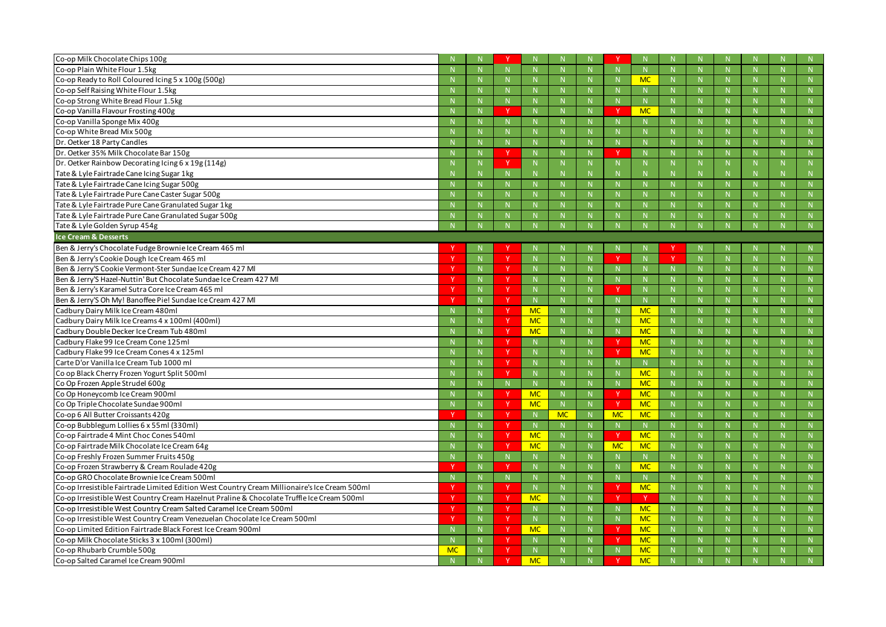| Co-op Milk Chocolate Chips 100g                                                               |           |              |              |                |             |              |             |              |              |              |              |              |
|-----------------------------------------------------------------------------------------------|-----------|--------------|--------------|----------------|-------------|--------------|-------------|--------------|--------------|--------------|--------------|--------------|
| Co-op Plain White Flour 1.5kg                                                                 |           | N            |              |                | N           |              |             | N            | N            | N            | N            | N            |
| Co-op Ready to Roll Coloured Icing 5 x 100g (500g)                                            |           | $\mathbf N$  |              |                | $\mathbb N$ |              |             | <b>MC</b>    | $\mathsf{N}$ | -N           | $\mathsf{N}$ | N            |
| Co-op Self Raising White Flour 1.5kg                                                          |           |              |              |                |             |              |             | -N           | N            |              | N            | N            |
| Co-op Strong White Bread Flour 1.5kg                                                          |           | N            | N            |                | N           | $\mathsf{N}$ |             | N            | N            | N            | N            | N            |
| Co-op Vanilla Flavour Frosting 400g                                                           |           |              | v            |                | -N          |              |             | <b>MC</b>    | <b>N</b>     |              |              |              |
| Co-op Vanilla Sponge Mix 400g                                                                 |           |              |              |                | $\mathbb N$ |              |             | $\mathbb{N}$ | N            |              | N            | N            |
| Co-op White Bread Mix 500g                                                                    |           | N            |              |                | N           | $\mathsf{N}$ |             | N            | N            | $\mathsf{N}$ | N            | $\mathsf{N}$ |
| Dr. Oetker 18 Party Candles                                                                   |           | -N           |              |                | $\mathbb N$ |              |             | -N           | $\mathsf{N}$ | -N           | $\mathsf{N}$ | N            |
| Dr. Oetker 35% Milk Chocolate Bar 150g                                                        |           |              |              |                | $\mathbb N$ |              |             | $\mathsf{N}$ | N            |              | N            | N            |
| Dr. Oetker Rainbow Decorating Icing 6 x 19g (114g)                                            |           | N            | <b>V</b>     |                | N           | N.           |             | N            | N            | N            | N            | N            |
| Tate & Lyle Fairtrade Cane Icing Sugar 1kg                                                    |           | $\mathbf N$  | N            |                | $\mathsf N$ |              |             | -N           |              |              | $\mathsf{N}$ |              |
| Tate & Lyle Fairtrade Cane Icing Sugar 500g                                                   |           | $\mathbb N$  | N            |                | N           | N.           |             | $\mathsf{N}$ | N            | $\mathbf N$  | $\mathsf{N}$ | ${\sf N}$    |
| Tate & Lyle Fairtrade Pure Cane Caster Sugar 500g                                             |           | $\mathbb N$  |              |                | N           |              |             | N            | N            | $\mathsf{N}$ | N            | N            |
| Tate & Lyle Fairtrade Pure Cane Granulated Sugar 1kg                                          |           |              |              |                | $\mathsf N$ |              |             | -N           | $\mathsf{N}$ |              | $\mathsf{N}$ | N            |
| Tate & Lyle Fairtrade Pure Cane Granulated Sugar 500g                                         |           |              |              |                |             |              |             |              | $\mathsf{N}$ |              | $\mathsf{N}$ |              |
| Tate & Lyle Golden Syrup 454g                                                                 |           |              |              |                | N           |              |             | $\mathbf N$  | $\mathbf N$  |              | $\mathbf N$  | N            |
| <b>Ice Cream &amp; Desserts</b>                                                               |           |              |              |                |             |              |             |              |              |              |              |              |
| Ben & Jerry's Chocolate Fudge Brownie Ice Cream 465 ml                                        |           |              |              |                |             |              |             |              |              |              |              |              |
| Ben & Jerry's Cookie Dough Ice Cream 465 ml                                                   |           | $\mathbb{N}$ | <b>V</b>     |                | $\mathbb N$ |              |             | -N           | -V           | -N           | $\mathsf{N}$ |              |
| Ben & Jerry'S Cookie Vermont-Ster Sundae Ice Cream 427 MI                                     |           | N            | <b>Y</b>     |                | $\mathbb N$ |              |             |              | N            |              | N            | N            |
| Ben & Jerry'S Hazel-Nuttin' But Chocolate Sundae Ice Cream 427 MI                             |           | N            | Y            |                | N           | $\mathsf{N}$ |             | N            | N            | $\mathsf{N}$ | N            | N            |
| Ben & Jerry's Karamel Sutra Core Ice Cream 465 ml                                             |           | $\mathbb N$  | <sup>Y</sup> |                | -N          |              |             | -N           |              | -N           | <b>N</b>     | N            |
| Ben & Jerry'S Oh My! Banoffee Pie! Sundae Ice Cream 427 MI                                    |           | N            | Y            |                | N           |              |             | $\mathbb N$  | N            |              | N            | N            |
| Cadbury Dairy Milk Ice Cream 480ml                                                            |           | N            | N            | <b>MC</b>      | N           | $\mathsf{N}$ |             | <b>MC</b>    | N            | N            | N            | N            |
| Cadbury Dairy Milk Ice Creams 4 x 100ml (400ml)                                               |           | $\mathbb N$  |              | <b>MC</b>      | $\mathbb N$ |              |             | <b>MC</b>    | <b>N</b>     |              |              |              |
| Cadbury Double Decker Ice Cream Tub 480ml                                                     |           |              | v            | <b>MC</b>      | N           |              |             | <b>MC</b>    | N            |              | N            | N            |
| Cadbury Flake 99 Ice Cream Cone 125ml                                                         |           | N            |              |                | N           |              |             | <b>MC</b>    | N            | N            | N            | N            |
| Cadbury Flake 99 Ice Cream Cones 4 x 125ml                                                    |           | $\mathbb N$  | <b>V</b>     |                | $\mathbb N$ |              | <b>V</b>    | <b>MC</b>    | <b>N</b>     | -N           | $\mathsf{N}$ | N            |
| Carte D'or Vanilla Ice Cream Tub 1000 ml                                                      |           | $\mathbb N$  | Y            |                | $\mathbb N$ | N.           |             | $\mathbb N$  | N            | -N           | N            | N            |
| Co op Black Cherry Frozen Yogurt Split 500ml                                                  |           |              |              |                | N           |              |             | <b>MC</b>    |              |              |              | N            |
| Co Op Frozen Apple Strudel 600g                                                               |           |              |              |                |             |              |             | MC           |              |              |              |              |
| Co Op Honeycomb Ice Cream 900ml                                                               |           |              | $\mathbf v$  | <b>MC</b>      |             |              |             | <b>MC</b>    | $\mathsf{N}$ |              |              | N            |
| Co Op Triple Chocolate Sundae 900ml                                                           |           | N            |              | <b>MC</b>      | N           | N.           |             | <b>MC</b>    | N            | N            | N            | N            |
| Co-op 6 All Butter Croissants 420g                                                            |           | N            | Y.           | - N            | <b>MC</b>   | N            | <b>MC</b>   | <b>MC</b>    | N            | -N           | $\mathbb N$  | N            |
| Co-op Bubblegum Lollies 6 x 55ml (330ml)                                                      |           | N            | Y            | N              | N           | N.           |             | N            | N            | $\mathsf{N}$ | N            | ${\sf N}$    |
| Co-op Fairtrade 4 Mint Choc Cones 540ml                                                       |           | N            |              | <b>MC</b>      | N           |              |             | <b>MC</b>    | ${\sf N}$    | N            | N            | N            |
| Co-op Fairtrade Milk Chocolate Ice Cream 64g                                                  |           | N            | <sup>Y</sup> | <b>MC</b>      | N           | N.           | <b>MC</b>   | <b>MC</b>    | N            | -N           | $\mathsf{N}$ | N            |
| Co-op Freshly Frozen Summer Fruits 450g                                                       |           | N            | N            |                | N           |              |             | N            | N            | $\mathsf{N}$ | N            | ${\sf N}$    |
| Co-op Frozen Strawberry & Cream Roulade 420g                                                  |           | N            | N            |                | N           | N            |             | <b>MC</b>    | ${\sf N}$    | N            | N            | N            |
| Co-op GRO Chocolate Brownie Ice Cream 500ml                                                   |           | $\mathbb N$  | N.           |                | N           | N            | $\mathbb N$ | $\mathbb N$  | N            | $\mathbb{N}$ | $\mathbb N$  | N            |
| Co-op Irresistible Fairtrade Limited Edition West Country Cream Millionaire's Ice Cream 500ml |           | N            | <sup>Y</sup> |                | N           | N            |             | <b>MC</b>    | N            |              | N            | N            |
| Co-op Irresistible West Country Cream Hazelnut Praline & Chocolate Truffle Ice Cream 500ml    |           | N            | Y            | <b>MC</b>      | N           | N            |             |              | N            | N            | N            | N            |
| Co-op Irresistible West Country Cream Salted Caramel Ice Cream 500ml                          |           | N            | <sup>Y</sup> |                | N           | N            |             | <b>MC</b>    | N            | -N           | <b>N</b>     | N            |
| Co-op Irresistible West Country Cream Venezuelan Chocolate Ice Cream 500ml                    |           | $\mathbb{N}$ | <sup>Y</sup> | N <sub>1</sub> | N           | N            | N           | <b>MC</b>    | ${\sf N}$    | $\mathsf{N}$ | N            | N            |
| Co-op Limited Edition Fairtrade Black Forest Ice Cream 900ml                                  |           | N            | <sup>Y</sup> | <b>MC</b>      | N           | N            |             | <b>MC</b>    | ${\sf N}$    | N            | N            | N            |
| Co-op Milk Chocolate Sticks 3 x 100ml (300ml)                                                 |           | N            | Y.           | $\mathbb N$    | N           | N.           |             | <b>MC</b>    | N            | -N           | $\mathbb N$  | N            |
| Co-op Rhubarb Crumble 500g                                                                    | <b>MC</b> | $\mathbb N$  | Y            |                |             |              |             | <b>MC</b>    | N            |              | $\mathsf{N}$ | N            |
| Co-op Salted Caramel Ice Cream 900ml                                                          |           | $\mathbb N$  |              | <b>MC</b>      | N           |              |             | <b>MC</b>    |              | N            |              | N            |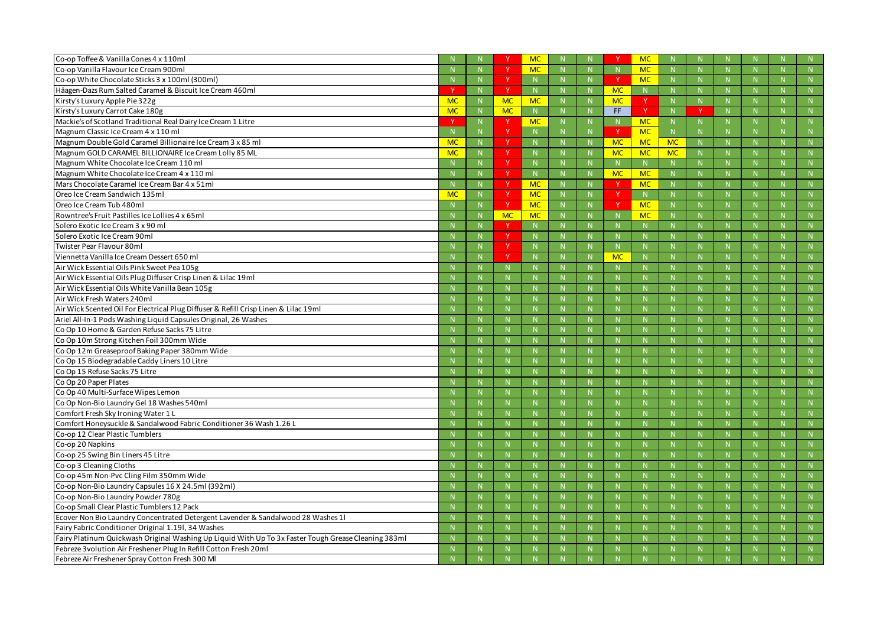| Co-op Toffee & Vanilla Cones 4 x 110ml                                                               |           |              |             | <b>MC</b> |              |    |           | <b>MC</b>    |              |              |    |              |
|------------------------------------------------------------------------------------------------------|-----------|--------------|-------------|-----------|--------------|----|-----------|--------------|--------------|--------------|----|--------------|
| Co-op Vanilla Flavour Ice Cream 900ml                                                                |           | $\mathsf{N}$ |             | <b>MC</b> | N            |    |           | <b>MC</b>    | $\mathsf{N}$ | $\mathsf{N}$ |    | N            |
| Co-op White Chocolate Sticks 3 x 100ml (300ml)                                                       |           |              | -V          |           | -N           |    |           | <b>MC</b>    |              |              |    | -N           |
| Häagen-Dazs Rum Salted Caramel & Biscuit Ice Cream 460ml                                             |           |              |             |           |              | N. | <b>MC</b> | $\mathbb N$  |              |              |    | N            |
| Kirsty's Luxury Apple Pie 322g                                                                       | <b>MC</b> | N            | <b>MC</b>   | <b>MC</b> | $\mathbb N$  |    | <b>MC</b> |              | N.           | N            |    | N            |
| Kirsty's Luxury Carrot Cake 180g                                                                     | <b>MC</b> | -N           | <b>MC</b>   |           | $\mathbb N$  |    | FF.       | - V          |              |              |    | N            |
| Mackie's of Scotland Traditional Real Dairy Ice Cream 1 Litre                                        |           | $\mathbb N$  | -V          | <b>MC</b> | N            | N. |           | <b>MC</b>    | N.           | -N           |    | N            |
| Magnum Classic Ice Cream 4 x 110 ml                                                                  |           |              |             |           | $\mathsf{N}$ |    |           | <b>MC</b>    | N            | $\mathsf N$  |    | $\mathbb N$  |
| Magnum Double Gold Caramel Billionaire Ice Cream 3 x 85 ml                                           | <b>MC</b> | $\mathbf N$  | <b>Y</b>    |           |              |    | <b>MC</b> | <b>MC</b>    | <b>MC</b>    | -N           |    | N            |
| Magnum GOLD CARAMEL BILLIONAIRE Ice Cream Lolly 85 ML                                                | <b>MC</b> | $\mathbb N$  |             |           |              |    | <b>MC</b> | <b>MC</b>    | <b>MC</b>    |              |    | N            |
| Magnum White Chocolate Ice Cream 110 ml                                                              |           | $\mathbb N$  | $\vee$      |           | $\mathbb N$  |    |           | N            | N            | $\mathbf N$  |    | N            |
| Magnum White Chocolate Ice Cream 4 x 110 ml                                                          |           | $\mathbf N$  | <b>V</b>    |           | $\mathbb N$  |    | <b>MC</b> | <b>MC</b>    | N            |              |    | -N           |
| Mars Chocolate Caramel Ice Cream Bar 4 x 51ml                                                        |           |              | <b>V</b>    | <b>MC</b> | $\mathbb N$  |    |           | <b>MC</b>    |              |              |    | N            |
| Oreo Ice Cream Sandwich 135ml                                                                        | <b>MC</b> | N            |             | <b>MC</b> | N            |    |           | N            | $\mathsf{N}$ | $\mathsf{N}$ |    | N            |
| Oreo Ice Cream Tub 480ml                                                                             |           |              |             | <b>MC</b> | -N           |    |           | <b>MC</b>    |              |              |    | -N           |
| Rowntree's Fruit Pastilles Ice Lollies 4 x 65ml                                                      |           | -N           | <b>MC</b>   | <b>MC</b> | $\mathbb N$  |    |           | <b>MC</b>    |              |              |    | $\mathbb{N}$ |
| Solero Exotic Ice Cream 3 x 90 ml                                                                    |           | $\mathbb N$  | $\vee$      |           | $\mathbb N$  |    |           | $\mathbb N$  |              | $\mathsf{N}$ |    | N            |
| Solero Exotic Ice Cream 90ml                                                                         |           |              | <b>V</b>    |           | -N           |    |           | -N           |              | -N           |    | N            |
| Twister Pear Flavour 80ml                                                                            |           |              | $\vee$      |           |              |    |           |              |              |              |    | $\mathbb{N}$ |
| Viennetta Vanilla Ice Cream Dessert 650 ml                                                           |           | $\mathsf{N}$ | $\mathbf v$ |           | N            |    | <b>MC</b> | N            |              | $\mathsf{N}$ |    | N            |
| Air Wick Essential Oils Pink Sweet Pea 105g                                                          |           |              |             |           |              |    |           |              |              |              |    | -N           |
| Air Wick Essential Oils Plug Diffuser Crisp Linen & Lilac 19ml                                       |           |              |             |           |              |    |           |              |              |              |    | $\mathbb{N}$ |
| Air Wick Essential Oils White Vanilla Bean 105g                                                      |           | $\mathbb N$  |             |           | $\mathbb N$  |    |           | N            |              | $\mathsf{N}$ |    | N            |
| Air Wick Fresh Waters 240ml                                                                          |           |              |             |           |              |    |           | -N           |              | -N           |    | N            |
| Air Wick Scented Oil For Electrical Plug Diffuser & Refill Crisp Linen & Lilac 19ml                  |           |              |             |           |              |    |           | $\mathbb N$  |              |              |    | $\mathbb{N}$ |
| Ariel All-In-1 Pods Washing Liquid Capsules Original, 26 Washes                                      |           | $\mathbb N$  |             |           | N            |    |           | N            |              | $\mathsf{N}$ |    | N            |
| Co Op 10 Home & Garden Refuse Sacks 75 Litre                                                         |           |              |             |           |              |    |           |              |              |              |    | -N           |
| Co Op 10m Strong Kitchen Foil 300mm Wide                                                             |           |              |             |           |              |    |           |              |              |              |    | N            |
| Co Op 12m Greaseproof Baking Paper 380mm Wide                                                        |           | $\mathbb N$  |             |           | $\mathbb N$  |    |           | $\mathbb N$  |              | $\mathsf{N}$ |    | N            |
| Co Op 15 Biodegradable Caddy Liners 10 Litre                                                         |           |              |             |           | -N           |    |           | -N           |              | -N           |    | $\mathbb N$  |
| Co Op 15 Refuse Sacks 75 Litre                                                                       |           |              |             |           |              |    |           |              |              |              |    | $\mathbb{N}$ |
| Co Op 20 Paper Plates                                                                                |           | $\mathsf{N}$ |             |           | N            |    |           | N            |              | N            |    | N            |
| Co Op 40 Multi-Surface Wipes Lemon                                                                   |           | $\mathbb N$  |             |           | $\mathbb N$  |    |           | $\mathbb N$  |              | $\mathsf{N}$ |    | N            |
| Co Op Non-Bio Laundry Gel 18 Washes 540ml                                                            |           |              |             |           |              |    |           | $\mathbb N$  |              | $\mathsf{N}$ |    | N            |
| Comfort Fresh Sky Ironing Water 1 L                                                                  |           | $\mathsf{N}$ | N           |           | N            | N  |           | N            | N            | N            |    | N            |
| Comfort Honeysuckle & Sandalwood Fabric Conditioner 36 Wash 1.26 L                                   |           | -N           | N.          |           | -N           |    |           | -N           |              | -N           |    | N            |
| Co-op 12 Clear Plastic Tumblers                                                                      |           | $\mathbb N$  | N           |           | $\mathsf{N}$ | N  |           | $\mathsf{N}$ | N            | $\mathbb N$  | N  | N            |
| Co-op 20 Napkins                                                                                     |           | N            | N           |           | N            | N  |           | N            | N            | N            | N. | N            |
| Co-op 25 Swing Bin Liners 45 Litre                                                                   |           | $\mathbb N$  | N.          |           | $\mathbb N$  | N. |           | $\mathbb N$  | N.           | N            | N. | N            |
| Co-op 3 Cleaning Cloths                                                                              |           | $\mathsf{N}$ | N.          |           | $\mathbb N$  | N. |           | $\mathsf{N}$ | N.           | $\mathsf{N}$ |    | N            |
| Co-op 45m Non-Pvc Cling Film 350mm Wide                                                              |           | $\mathsf{N}$ | N           |           | N            | N  |           | N            | N            | N            | N  | N            |
| Co-op Non-Bio Laundry Capsules 16 X 24.5ml (392ml)                                                   |           | $\mathbb N$  | N           |           | $\mathbb N$  |    |           | $\mathbb N$  |              | $\mathsf{N}$ |    | N            |
| Co-op Non-Bio Laundry Powder 780g                                                                    |           | $\mathsf{N}$ | N           |           | $\mathsf{N}$ | N. |           | $\mathbb N$  | N            | $\mathbb N$  | N  | N            |
| Co-op Small Clear Plastic Tumblers 12 Pack                                                           |           | N            | N           |           | N            | N  |           | N            | N.           | N            | N. | N            |
| Ecover Non Bio Laundry Concentrated Detergent Lavender & Sandalwood 28 Washes 11                     |           | $\mathbb N$  | N.          |           | $\mathbb N$  | N  |           | $\mathbb N$  | N            | N            | N  | N            |
| Fairy Fabric Conditioner Original 1.19l, 34 Washes                                                   |           | $\mathsf{N}$ | N           |           | $\mathsf{N}$ | N. |           | $\mathsf{N}$ | N.           | $\mathsf{N}$ | N. | N            |
| Fairy Platinum Quickwash Original Washing Up Liquid With Up To 3x Faster Tough Grease Cleaning 383ml |           | $\mathsf{N}$ | N           |           | N            | N  |           | N            | N            | N            |    | N            |
| Febreze 3 volution Air Freshener Plug In Refill Cotton Fresh 20ml                                    |           |              |             |           |              |    |           | -N           |              | -N           |    | $\mathbb{N}$ |
| Febreze Air Freshener Spray Cotton Fresh 300 MI                                                      |           |              |             |           |              |    |           |              |              |              |    | N            |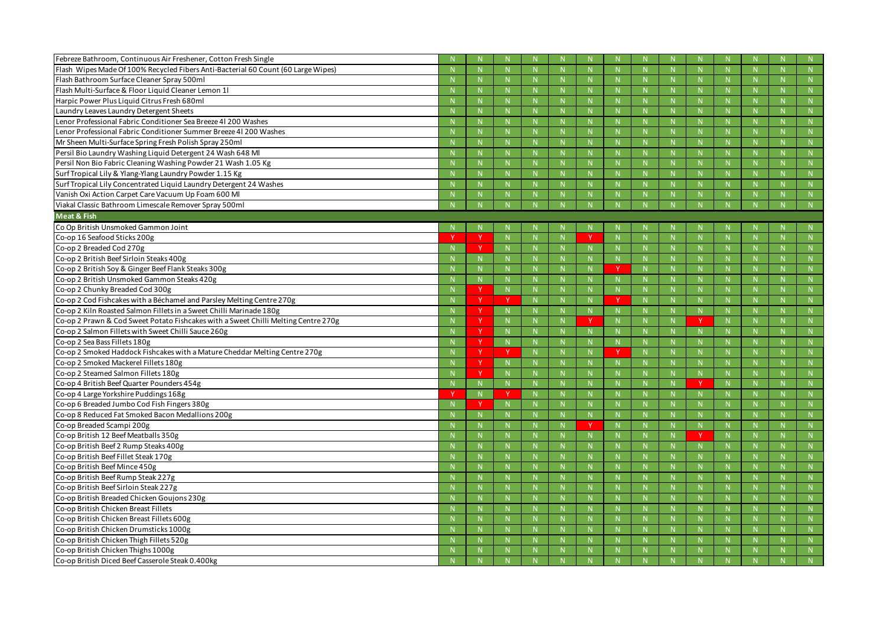| Febreze Bathroom, Continuous Air Freshener, Cotton Fresh Single                    |              |              |              |              |              |              |              |              |             |
|------------------------------------------------------------------------------------|--------------|--------------|--------------|--------------|--------------|--------------|--------------|--------------|-------------|
| Flash Wipes Made Of 100% Recycled Fibers Anti-Bacterial 60 Count (60 Large Wipes)  | $\mathbb N$  |              | N            |              | N            | N            | $\mathbf N$  | N            |             |
| Flash Bathroom Surface Cleaner Spray 500ml                                         |              |              | -N           |              | -N           |              |              | -N           | <b>N</b>    |
| Flash Multi-Surface & Floor Liquid Cleaner Lemon 11                                |              |              |              |              |              | <b>N</b>     |              | $\mathbb N$  | N           |
| Harpic Power Plus Liquid Citrus Fresh 680ml                                        | $\mathbb N$  |              | N            |              | N            | N            | $\mathbf N$  | N            | N           |
| Laundry Leaves Laundry Detergent Sheets                                            |              |              | -N           |              |              |              |              |              |             |
| Lenor Professional Fabric Conditioner Sea Breeze 4l 200 Washes                     |              |              | $\mathbb N$  |              |              | $\mathsf{N}$ |              | N            |             |
| Lenor Professional Fabric Conditioner Summer Breeze 41 200 Washes                  |              |              |              |              |              |              |              |              |             |
|                                                                                    | $\mathbb N$  |              | N            |              | $\mathsf{N}$ | N            | $\mathbf N$  | N            | N           |
| Mr Sheen Multi-Surface Spring Fresh Polish Spray 250ml                             |              |              |              |              | -N           |              |              | $\mathsf{N}$ | N           |
| Persil Bio Laundry Washing Liquid Detergent 24 Wash 648 Ml                         |              |              |              |              |              | $\mathsf{N}$ |              | $\mathbb N$  | N           |
| Persil Non Bio Fabric Cleaning Washing Powder 21 Wash 1.05 Kg                      | N            |              | N            | $\mathsf{N}$ | N            | N            | $\mathsf{N}$ | N            | N           |
| Surf Tropical Lily & Ylang-Ylang Laundry Powder 1.15 Kg                            |              |              | -N           |              |              |              |              |              |             |
| Surf Tropical Lily Concentrated Liquid Laundry Detergent 24 Washes                 |              |              | $\mathbb N$  |              | -N           | N            |              | N            | N           |
| Vanish Oxi Action Carpet Care Vacuum Up Foam 600 Ml                                |              |              | $\mathbb N$  |              | $\mathsf{N}$ |              |              |              |             |
| Viakal Classic Bathroom Limescale Remover Spray 500ml                              |              |              |              |              |              |              |              |              | $\mathbb N$ |
| <b>Meat &amp; Fish</b>                                                             |              |              |              |              |              |              |              |              |             |
| Co Op British Unsmoked Gammon Joint                                                |              |              |              |              |              |              |              |              |             |
| Co-op 16 Seafood Sticks 200g                                                       |              |              | $\mathbb N$  |              |              | $\mathsf{N}$ |              | $\mathsf{N}$ | N           |
| Co-op 2 Breaded Cod 270g                                                           |              | N            | N            |              | $\mathbb N$  | $\mathsf{N}$ | $\mathsf{N}$ | $\mathsf{N}$ | N           |
| Co-op 2 British Beef Sirloin Steaks 400g                                           |              |              |              |              |              |              |              |              |             |
| Co-op 2 British Soy & Ginger Beef Flank Steaks 300g                                |              |              |              |              |              | $\mathsf{N}$ |              | N            | N           |
| Co-op 2 British Unsmoked Gammon Steaks 420g                                        | $\mathsf{N}$ | N            | N            |              | $\mathsf{N}$ | N            | $\mathbf N$  | N            | N           |
| Co-op 2 Chunky Breaded Cod 300g                                                    |              |              | -N           |              | -N           |              |              |              | $\mathbb N$ |
| Co-op 2 Cod Fishcakes with a Béchamel and Parsley Melting Centre 270g              |              |              | $\mathbb N$  |              |              | N            |              | N            | N           |
| Co-op 2 Kiln Roasted Salmon Fillets in a Sweet Chilli Marinade 180g                |              | N            | N            | N            | N            | N            | N            | N            | N           |
| Co-op 2 Prawn & Cod Sweet Potato Fishcakes with a Sweet Chilli Melting Centre 270g |              | N.           | -N           | v            |              |              |              |              |             |
| Co-op 2 Salmon Fillets with Sweet Chilli Sauce 260g                                |              | N.           |              |              |              | $\mathsf{N}$ |              | N            | N           |
| Co-op 2 Sea Bass Fillets 180g                                                      |              | N            | N            |              | N            | N            | $\mathbf N$  | N            | N           |
| Co-op 2 Smoked Haddock Fishcakes with a Mature Cheddar Melting Centre 270g         |              | <b>V</b>     | -N           |              | -N           |              | -N           | <b>N</b>     | N           |
| Co-op 2 Smoked Mackerel Fillets 180g                                               |              | N            | $\mathbb N$  |              | -N           | N            |              | N            | N           |
| Co-op 2 Steamed Salmon Fillets 180g                                                |              | $\mathsf{N}$ | $\mathbb N$  |              |              |              | $\mathbf N$  |              | N           |
| Co-op 4 British Beef Quarter Pounders 454g                                         |              |              |              |              |              |              |              |              |             |
| Co-op 4 Large Yorkshire Puddings 168g                                              | N            | <b>V</b>     | -N           |              |              |              |              | $\mathsf{N}$ | N           |
| Co-op 6 Breaded Jumbo Cod Fish Fingers 380g                                        |              | N            | N            | N            | N            | N            | N            | N            | N           |
| Co-op 8 Reduced Fat Smoked Bacon Medallions 200g                                   | N            | N.           | N            | N            | $\mathbb N$  | N            | $\mathbb N$  | $\mathsf{N}$ | N           |
| Co-op Breaded Scampi 200g                                                          | $\mathbb{N}$ | N            | $\mathbb{N}$ | Y            | $\mathbb N$  | N            | $\mathbb N$  | N            | ${\sf N}$   |
| Co-op British 12 Beef Meatballs 350g                                               | N            | N            | N            | N.           | N            | N            | N            | N            | N           |
| Co-op British Beef 2 Rump Steaks 400g                                              | $\mathbb N$  | N.           | N            | N.           | $\mathbb N$  | N            | $\mathbb N$  | N            | N           |
| Co-op British Beef Fillet Steak 170g                                               | $\mathbb N$  | N.           | N            | N            | $\mathbb{N}$ | N            | $\mathbb{N}$ | N            | N           |
| Co-op British Beef Mince 450g                                                      | N            | N            | N            | N            | N            | N            | N            | N            | N           |
| Co-op British Beef Rump Steak 227g                                                 | $\mathbb N$  | N.           | N            | N            | $\mathbb{N}$ | N            | $\mathbb{N}$ | $\mathbb N$  | N           |
| Co-op British Beef Sirloin Steak 227g                                              | $\mathbb N$  | N.           | $\mathbb N$  | N            | $\mathbb N$  | N            | $\mathbb N$  | N            | N           |
| Co-op British Breaded Chicken Goujons 230g                                         | N            | N.           | N            | N            | N            | N            | N            | N            | N           |
| Co-op British Chicken Breast Fillets                                               | $\mathbb N$  | N            | N            | N            | $\mathbb N$  | <b>N</b>     | $\mathbb{N}$ | $\mathbb N$  | N           |
| Co-op British Chicken Breast Fillets 600g                                          | $\mathbb N$  | N.           | N            | N            | $\mathbb{N}$ | N            | $\mathbb{N}$ | N            | N           |
| Co-op British Chicken Drumsticks 1000g                                             | N            | N            | N            | N            | N            | ${\sf N}$    | N            | ${\sf N}$    | N           |
| Co-op British Chicken Thigh Fillets 520g                                           | $\mathbb N$  | N.           | N            | N            | $\mathbb{N}$ | N            | $\mathbb{N}$ | $\mathbb N$  | N           |
| Co-op British Chicken Thighs 1000g                                                 |              |              |              |              |              | N            |              | N            | N           |
| Co-op British Diced Beef Casserole Steak 0.400kg                                   | N            |              | N            |              | $\mathbb N$  |              | N            | N.           | N           |
|                                                                                    |              |              |              |              |              |              |              |              |             |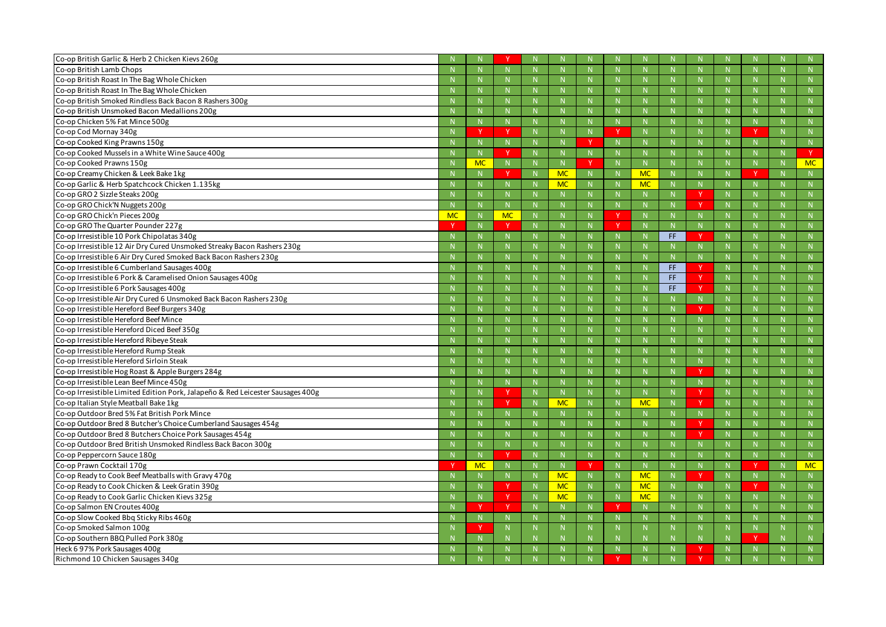| Co-op British Garlic & Herb 2 Chicken Kievs 260g                                |           |              |              |    |              |              |   |              |              |             |              |              |           |
|---------------------------------------------------------------------------------|-----------|--------------|--------------|----|--------------|--------------|---|--------------|--------------|-------------|--------------|--------------|-----------|
| Co-op British Lamb Chops                                                        |           | $\mathbb N$  |              |    | N            | $\mathsf{N}$ |   | -N           | $\mathsf{N}$ |             | $\mathbf N$  | $\mathsf{N}$ |           |
| Co-op British Roast In The Bag Whole Chicken                                    |           | N            |              |    | $\mathbb N$  | N            |   | -N           | $\mathsf{N}$ |             | <b>N</b>     | $\mathbb N$  | N         |
| Co-op British Roast In The Bag Whole Chicken                                    |           | $\mathbf N$  |              |    | -N           | N            |   | $\mathbf N$  | N            |             |              | N            | N         |
| Co-op British Smoked Rindless Back Bacon 8 Rashers 300g                         |           | $\mathbb N$  |              |    | -N           | N            |   | -N           | $\mathsf{N}$ |             |              | $\mathsf{N}$ |           |
| Co-op British Unsmoked Bacon Medallions 200g                                    |           | N            |              |    | N            | N.           |   | $\mathbb{N}$ | N            |             | -N           | N            | N         |
| Co-op Chicken 5% Fat Mince 500g                                                 |           | N            | N            |    | -N           | N            |   | -N           | N            |             | $\mathbf N$  | N            | N         |
| Co-op Cod Mornay 340g                                                           |           | - V          | - Y          |    | $\mathsf{N}$ | N            |   | -N           | N            |             | $\mathbf N$  | Y            | N         |
| Co-op Cooked King Prawns 150g                                                   |           | $\mathbb N$  |              |    | N            | <b>Y</b>     |   | -N           | N            |             | -N           | $\mathbb N$  | N         |
| Co-op Cooked Mussels in a White Wine Sauce 400g                                 |           | N            | N            |    | -N           | N            |   | $\mathbf N$  | N            |             | -N           | N            | v         |
| Co-op Cooked Prawns 150g                                                        |           | <b>MC</b>    | $\mathsf{N}$ |    | N            | <sup>V</sup> |   | -N           | $\mathsf{N}$ |             |              | N            | <b>MC</b> |
| Co-op Creamy Chicken & Leek Bake 1kg                                            |           | N            | v            | -N | <b>MC</b>    | N            |   | <b>MC</b>    | N            |             | $\mathbb N$  | <b>v</b>     | N         |
| Co-op Garlic & Herb Spatchcock Chicken 1.135kg                                  |           | $\mathbb N$  | N            |    | <b>MC</b>    | N            |   | MC           | N            |             |              | N            | N         |
| Co-op GRO 2 Sizzle Steaks 200g                                                  |           | $\mathbb N$  |              |    | N            | $\mathsf{N}$ |   | -N           | $\mathsf{N}$ |             | $\mathbf N$  | $\mathsf{N}$ |           |
| Co-op GRO Chick'N Nuggets 200g                                                  |           | N            |              |    | N            | N.           |   | $\mathbb{N}$ | N.           |             | N            | $\mathbb N$  | N         |
| Co-op GRO Chick'n Pieces 200g                                                   | <b>MC</b> | $\mathbb N$  | <b>MC</b>    |    |              | N            |   |              | N            |             |              | N            | N         |
| Co-op GRO The Quarter Pounder 227g                                              |           | N            | Y            |    | -N           | N            |   | -N           | $\mathsf{N}$ |             | $\mathbf N$  | $\mathsf{N}$ |           |
| Co-op Irresistible 10 Pork Chipolatas 340g                                      |           | N            | <b>N</b>     |    | N            | N.           |   | -N           | FF.          |             | $\mathbb N$  | N            | N         |
| Co-op Irresistible 12 Air Dry Cured Unsmoked Streaky Bacon Rashers 230g         |           | $\mathbb N$  | N            |    | -N           | N            |   |              | N            |             |              | N            |           |
| Co-op Irresistible 6 Air Dry Cured Smoked Back Bacon Rashers 230g               |           | N            |              |    | -N           | $\mathsf{N}$ |   | -N           | $\mathsf{N}$ |             | $\mathbf N$  | $\mathsf{N}$ |           |
| Co-op Irresistible 6 Cumberland Sausages 400g                                   |           | N            |              |    | N            | N.           |   | -N           | FF.          | $\mathbf v$ | N            | N            | N         |
| Co-op Irresistible 6 Pork & Caramelised Onion Sausages 400g                     |           | $\mathbb N$  | N            |    |              | N            |   |              | FF.          |             |              | N            | N         |
| Co-op Irresistible 6 Pork Sausages 400g                                         |           | $\mathbb N$  |              |    | -N           | $\mathsf{N}$ |   |              | FF.          |             | $\mathbf N$  | N            |           |
| Co-op Irresistible Air Dry Cured 6 Unsmoked Back Bacon Rashers 230g             |           | N            |              |    | N            | N            |   | -N           | N            |             | $\mathbf N$  | N            | N         |
| Co-op Irresistible Hereford Beef Burgers 340g                                   |           | $\mathbb N$  | $\mathsf{N}$ |    | -N           | N            |   | -N           | N            |             |              | N            | N         |
| Co-op Irresistible Hereford Beef Mince                                          |           | N            | $\mathbb N$  |    | N            | N            |   | N            | N            |             | -N           | N            | N         |
| Co-op Irresistible Hereford Diced Beef 350g                                     |           | N            |              |    | N            | N.           |   | -N           | N            |             | -N           | N            | N         |
| Co-op Irresistible Hereford Ribeye Steak                                        |           | N            | N.           |    | -N           | N            |   | -N           | N            |             |              | N            | N         |
| Co-op Irresistible Hereford Rump Steak                                          |           | N            | N            |    | N            | N            |   | N            | N            |             | $\mathbf N$  | N            | N         |
| Co-op Irresistible Hereford Sirloin Steak                                       |           | N            |              |    | $\mathbb N$  | N            |   | -N           | $\mathsf{N}$ |             | -N           | $\mathbb N$  | N         |
| Co-op Irresistible Hog Roast & Apple Burgers 284g                               |           |              |              |    |              |              |   |              | N            |             |              | N            | N         |
| Co-op Irresistible Lean Beef Mince 450g                                         |           | N            |              |    | N            |              |   | $\mathbb N$  |              |             |              |              | N         |
| Co-op Irresistible Limited Edition Pork, Jalapeño & Red Leicester Sausages 400g |           | N            |              | N  | $\mathbb{N}$ |              |   | $\mathbb{N}$ |              |             | N            | $\mathbb N$  | N.        |
| Co-op Italian Style Meatball Bake 1kg                                           |           | N            | <b>v</b>     | N. | <b>MC</b>    | N            |   | <b>MC</b>    | N            |             |              | N            | N         |
| Co-op Outdoor Bred 5% Fat British Pork Mince                                    |           | N            | N            |    | N            | N            |   | N            | N            |             | N            | N            | N         |
| Co-op Outdoor Bred 8 Butcher's Choice Cumberland Sausages 454g                  |           | $\mathbb N$  | N            |    | $\mathbb{N}$ | N            |   | $\mathbb N$  | N            |             | $\mathbb{N}$ | N            | N         |
| Co-op Outdoor Bred 8 Butchers Choice Pork Sausages 454g                         |           | N            | N            |    | N            | N            |   | N            | N            |             | N            | N            | N         |
| Co-op Outdoor Bred British Unsmoked Rindless Back Bacon 300g                    |           | N            | N            |    | N            | N            |   | N            | N            |             | $\mathbb N$  | N            | ${\sf N}$ |
| Co-op Peppercorn Sauce 180g                                                     |           | N            | $\mathbf{v}$ | N  | $\mathbb{N}$ | N            |   | $\mathbb{N}$ | N            |             | $\mathbb N$  | N            | N         |
| Co-op Prawn Cocktail 170g                                                       |           | <b>MC</b>    | N            |    | N            | $\vee$       |   | N            | N            |             | N            | -V           | MC        |
| Co-op Ready to Cook Beef Meatballs with Gravy 470g                              |           | N            | ${\sf N}$    |    | <b>MC</b>    | N            |   | <b>MC</b>    | ${\sf N}$    |             | N            | N            | ${\sf N}$ |
| Co-op Ready to Cook Chicken & Leek Gratin 390g                                  |           | N            | <b>Y</b>     | N  | <b>MC</b>    | N            |   | <b>MC</b>    | N            |             | $\mathbb N$  | -V           | N         |
| Co-op Ready to Cook Garlic Chicken Kievs 325g                                   |           | N            | <sub>Y</sub> | N  | <b>MC</b>    | N            | N | <b>MC</b>    | N            |             | $\mathbf N$  | N            | N         |
| Co-op Salmon EN Croutes 400g                                                    |           |              | <sup>Y</sup> | N  | N            | N            |   | N            | N            |             | N            | N            | N         |
| Co-op Slow Cooked Bbq Sticky Ribs 460g                                          |           | N            | N            |    | N            | N            |   | $\mathbb N$  | N            |             | $\mathbb N$  | N            | N         |
| Co-op Smoked Salmon 100g                                                        |           |              | N            |    | N            | N            |   | $\mathbb N$  | N            |             | N            | N            | N         |
| Co-op Southern BBQ Pulled Pork 380g                                             |           | $\mathbb{N}$ |              |    | $\mathsf{N}$ |              |   | $\mathsf{N}$ | N            |             | N            | Y            |           |
| Heck 6 97% Pork Sausages 400g                                                   |           | N            | N.           |    | N            | N            |   | $\mathbb N$  | N            |             | N            | N            | N         |
| Richmond 10 Chicken Sausages 340g                                               |           | N            | N.           |    | N            | N            |   |              | N            |             |              | N            | N         |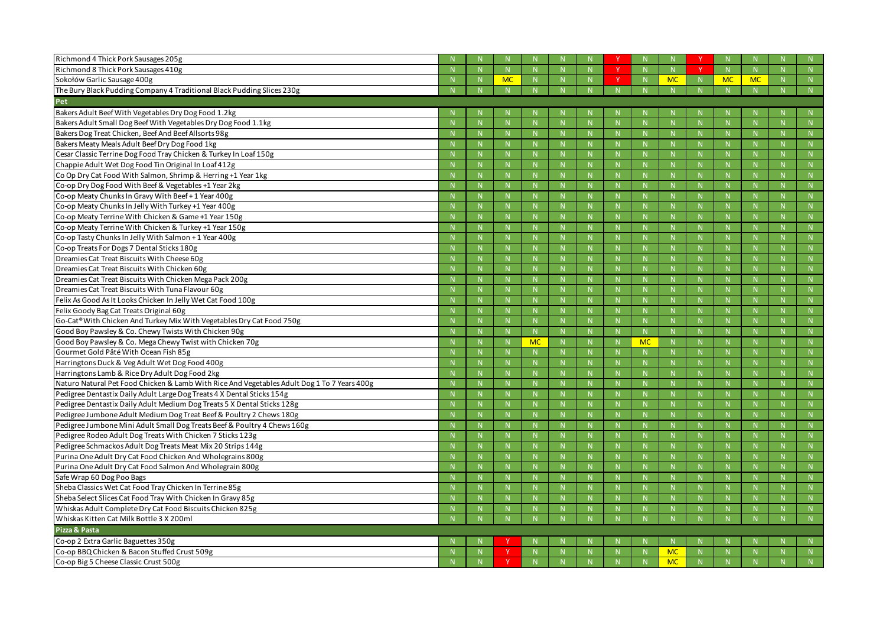| Richmond 4 Thick Pork Sausages 205g                                                         |              |              |           |              |              |              |              |              |           |                |
|---------------------------------------------------------------------------------------------|--------------|--------------|-----------|--------------|--------------|--------------|--------------|--------------|-----------|----------------|
| Richmond 8 Thick Pork Sausages 410g                                                         |              | N            |           | $\mathbb N$  | N            | N            | N            | N            |           | N              |
| Sokołów Garlic Sausage 400g                                                                 |              | <b>MC</b>    |           |              | N            |              | <b>MC</b>    | <b>MC</b>    | <b>MC</b> | N              |
| The Bury Black Pudding Company 4 Traditional Black Pudding Slices 230g                      |              | N            |           |              | N.           |              |              |              |           | N              |
| Pet                                                                                         |              |              |           |              |              |              |              |              |           |                |
| Bakers Adult Beef With Vegetables Dry Dog Food 1.2kg                                        |              |              |           |              |              |              |              |              |           |                |
| Bakers Adult Small Dog Beef With Vegetables Dry Dog Food 1.1kg                              |              | N            |           |              | N            | N            |              | $\mathbb N$  |           | N              |
| Bakers Dog Treat Chicken, Beef And Beef Allsorts 98g                                        |              | N            |           |              | $\mathbb N$  |              |              |              |           | N              |
| Bakers Meaty Meals Adult Beef Dry Dog Food 1kg                                              |              | N            |           |              | N            |              | N.           |              |           | N              |
| Cesar Classic Terrine Dog Food Tray Chicken & Turkey In Loaf 150g                           |              | N            |           | $\mathsf{N}$ | $\mathsf{N}$ | N            | N            | $\mathbb N$  |           | N              |
| Chappie Adult Wet Dog Food Tin Original In Loaf 412g                                        |              | N            |           |              | N            |              | N            |              |           | N              |
| Co Op Dry Cat Food With Salmon, Shrimp & Herring +1 Year 1kg                                |              | N            |           |              | N            |              | N            |              |           | $\overline{N}$ |
| Co-op Dry Dog Food With Beef & Vegetables +1 Year 2kg                                       |              | N            |           | $\mathsf{N}$ | N            | N            | N.           | $\mathbb N$  |           | N              |
| Co-op Meaty Chunks In Gravy With Beef + 1 Year 400g                                         |              | N            |           |              | N            |              | N.           |              |           | N              |
| Co-op Meaty Chunks In Jelly With Turkey +1 Year 400g                                        |              | N            |           |              | N            |              | N.           |              |           | N              |
| Co-op Meaty Terrine With Chicken & Game +1 Year 150g                                        |              | N            |           | $\mathsf{N}$ | N            | N            | N            | $\mathbb N$  |           | N              |
| Co-op Meaty Terrine With Chicken & Turkey +1 Year 150g                                      |              | N            |           |              | N            |              | N            | -N           |           | N              |
| Co-op Tasty Chunks In Jelly With Salmon + 1 Year 400g                                       |              | N            |           |              | N            |              | N            |              |           | N              |
| Co-op Treats For Dogs 7 Dental Sticks 180g                                                  |              | N            |           |              | N            | $\mathbb N$  | N.           | $\mathbb N$  |           | N              |
| Dreamies Cat Treat Biscuits With Cheese 60g                                                 |              | N            |           |              | N            |              | N.           |              |           | N              |
| Dreamies Cat Treat Biscuits With Chicken 60g                                                |              | N            |           |              | N            |              | N.           |              |           | N              |
| Dreamies Cat Treat Biscuits With Chicken Mega Pack 200g                                     |              | N            |           | $\mathsf{N}$ | N            | N            | N            | $\mathbb N$  |           | N              |
| Dreamies Cat Treat Biscuits With Tuna Flavour 60g                                           |              | N            |           |              | N            |              | N            | $\mathbb N$  |           | N              |
| Felix As Good As It Looks Chicken In Jelly Wet Cat Food 100g                                |              | N            |           |              | N            |              | N            |              |           | N              |
| Felix Goody Bag Cat Treats Original 60g                                                     |              | N            |           |              | $\mathsf{N}$ | $\mathbb N$  | <sup>N</sup> | $\mathbb N$  |           | N              |
| Go-Cat® With Chicken And Turkey Mix With Vegetables Dry Cat Food 750g                       |              | N            |           |              | N            |              | N            |              |           | N              |
| Good Boy Pawsley & Co. Chewy Twists With Chicken 90g                                        |              | N            |           |              | N            |              | N            |              |           | N              |
| Good Boy Pawsley & Co. Mega Chewy Twist with Chicken 70g                                    | $\mathsf{N}$ | N            | <b>MC</b> | $\mathsf{N}$ | N            | <b>MC</b>    | N            | $\mathbb{N}$ |           | N              |
| Gourmet Gold Pâté With Ocean Fish 85g                                                       |              | N            |           |              | N            |              | N            | $\mathbb N$  |           | N              |
| Harringtons Duck & Veg Adult Wet Dog Food 400g                                              |              | N            |           |              | N            |              | N            |              |           | N              |
| Harringtons Lamb & Rice Dry Adult Dog Food 2kg                                              |              | $\mathsf{N}$ |           |              | $\mathbb N$  |              |              |              |           | N              |
| Naturo Natural Pet Food Chicken & Lamb With Rice And Vegetables Adult Dog 1 To 7 Years 400g |              | -N           |           |              | -N           | -NI          |              | -N           |           | N              |
| Pedigree Dentastix Daily Adult Large Dog Treats 4 X Dental Sticks 154g                      |              | <b>N</b>     |           |              |              |              |              |              |           | N              |
| Pedigree Dentastix Daily Adult Medium Dog Treats 5 X Dental Sticks 128g                     | $\mathbb N$  | N            |           | $\mathsf{N}$ | N            | N            | N            | $\mathbb{N}$ |           | N              |
| Pedigree Jumbone Adult Medium Dog Treat Beef & Poultry 2 Chews 180g                         |              | N            |           |              | N            | N            | N            | $\mathbb N$  |           | N              |
| Pedigree Jumbone Mini Adult Small Dog Treats Beef & Poultry 4 Chews 160g                    |              | N            |           |              | N            |              | N            | $\mathbb N$  |           | N              |
| Pedigree Rodeo Adult Dog Treats With Chicken 7 Sticks 123g                                  | N            | N            |           | $\mathbb N$  | N            | N            | N            | $\mathbb{N}$ |           | N              |
| Pedigree Schmackos Adult Dog Treats Meat Mix 20 Strips 144g                                 |              | N            |           |              | N            | N            | N            | -N           |           | N              |
| Purina One Adult Dry Cat Food Chicken And Wholegrains 800g                                  |              | N            |           |              | N            | $\mathsf{N}$ | N            | $\mathbb N$  | N         | N              |
| Purina One Adult Dry Cat Food Salmon And Wholegrain 800g                                    | $\mathbb N$  | N            |           | $\mathsf{N}$ | N            | N            | N            | $\mathbb{N}$ | N.        | N              |
| Safe Wrap 60 Dog Poo Bags                                                                   |              | N            |           |              | N            |              | N            |              |           | N              |
| Sheba Classics Wet Cat Food Tray Chicken In Terrine 85g                                     |              | N            |           |              | N            |              | N            | $\mathbb N$  |           | N              |
| Sheba Select Slices Cat Food Tray With Chicken In Gravy 85g                                 | N            | N            |           | $\mathsf{N}$ | N            | N            | N            | $\mathbb{N}$ |           | N              |
| Whiskas Adult Complete Dry Cat Food Biscuits Chicken 825g                                   |              | N            |           |              | N            |              | N            |              |           | N              |
| Whiskas Kitten Cat Milk Bottle 3 X 200ml                                                    |              | N            |           |              | N.           |              |              |              |           | N              |
| Pizza & Pasta                                                                               |              |              |           |              |              |              |              |              |           |                |
| Co-op 2 Extra Garlic Baguettes 350g                                                         |              |              |           |              |              |              |              |              |           | $\mathbb N$    |
| Co-op BBQ Chicken & Bacon Stuffed Crust 509g                                                |              | Y            |           |              | N            | N            | <b>MC</b>    |              |           | N              |
| Co-op Big 5 Cheese Classic Crust 500g                                                       |              |              |           |              | N            | N            | <b>MC</b>    |              |           | N              |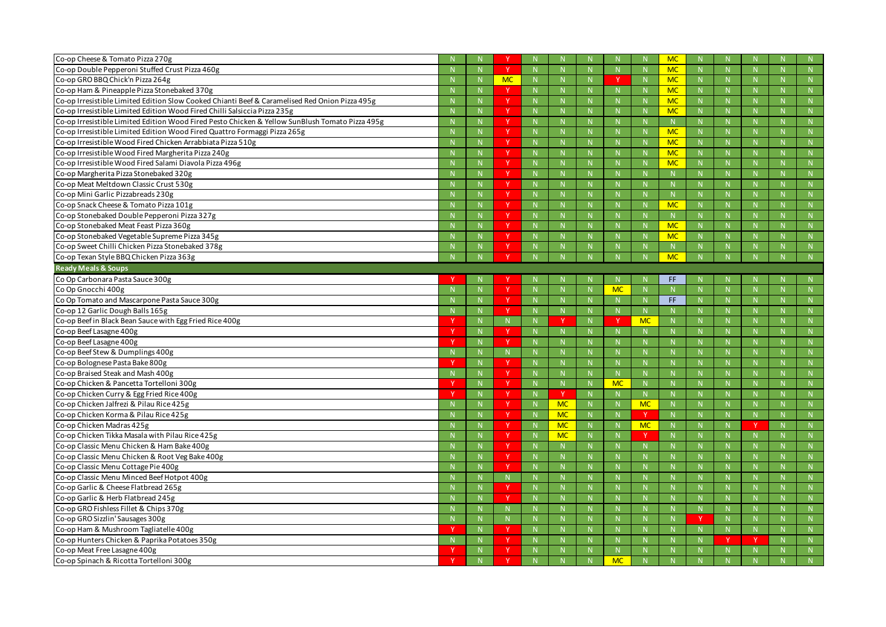| Co-op Cheese & Tomato Pizza 270g                                                                |              |              |              |              |           |              | <b>MC</b>    |              |    |                |             |
|-------------------------------------------------------------------------------------------------|--------------|--------------|--------------|--------------|-----------|--------------|--------------|--------------|----|----------------|-------------|
| Co-op Double Pepperoni Stuffed Crust Pizza 460g                                                 |              |              | $\mathbb N$  |              |           | $\mathbb N$  | <b>MC</b>    | N            |    |                | N           |
| Co-op GRO BBQ Chick'n Pizza 264g                                                                |              | <b>MC</b>    |              |              |           |              | <b>MC</b>    | -N           |    |                | $\mathbb N$ |
| Co-op Ham & Pineapple Pizza Stonebaked 370g                                                     |              |              |              |              |           |              | <b>MC</b>    |              |    |                | N           |
| Co-op Irresistible Limited Edition Slow Cooked Chianti Beef & Caramelised Red Onion Pizza 495g  |              |              |              |              |           | $\mathbb N$  | <b>MC</b>    | N            |    |                | N           |
| Co-op Irresistible Limited Edition Wood Fired Chilli Salsiccia Pizza 235g                       |              | -V           |              |              |           |              | <b>MC</b>    | -N           |    |                | N           |
| Co-op Irresistible Limited Edition Wood Fired Pesto Chicken & Yellow SunBlush Tomato Pizza 495g |              |              |              |              |           |              | N.           |              |    |                | N           |
| Co-op Irresistible Limited Edition Wood Fired Quattro Formaggi Pizza 265g                       | N            |              | N            | $\mathsf{N}$ |           | N            | <b>MC</b>    | N            |    |                | N           |
| Co-op Irresistible Wood Fired Chicken Arrabbiata Pizza 510g                                     |              | <b>V</b>     |              |              |           | -N           | <b>MC</b>    | -N           |    |                | N           |
| Co-op Irresistible Wood Fired Margherita Pizza 240g                                             |              |              |              |              |           |              | <b>MC</b>    | -N           |    |                | N           |
| Co-op Irresistible Wood Fired Salami Diavola Pizza 496g                                         |              |              |              |              |           | $\mathbb N$  | <b>MC</b>    | N            |    |                | N           |
| Co-op Margherita Pizza Stonebaked 320g                                                          |              | <b>V</b>     |              |              |           |              |              | -N           |    |                | N           |
| Co-op Meat Meltdown Classic Crust 530g                                                          |              | <b>V</b>     |              |              |           |              |              |              |    |                | N           |
| Co-op Mini Garlic Pizzabreads 230g                                                              | N            |              | N            | N            |           | N            | $\mathsf{N}$ | N            |    |                | N           |
| Co-op Snack Cheese & Tomato Pizza 101g                                                          |              | <b>V</b>     |              |              |           |              | <b>MC</b>    | -N           |    |                | N           |
| Co-op Stonebaked Double Pepperoni Pizza 327g                                                    |              | <b>V</b>     |              |              |           |              | N.           | $\mathbb N$  |    |                | N           |
| Co-op Stonebaked Meat Feast Pizza 360g                                                          |              |              |              |              |           | $\mathbb N$  | <b>MC</b>    | N            |    |                | N           |
| Co-op Stonebaked Vegetable Supreme Pizza 345g                                                   |              | <b>V</b>     |              |              |           |              | <b>MC</b>    | -N           |    |                | N           |
| Co-op Sweet Chilli Chicken Pizza Stonebaked 378g                                                |              |              |              |              |           |              |              |              |    |                | N           |
| Co-op Texan Style BBQ Chicken Pizza 363g                                                        |              |              |              |              |           |              | <b>MC</b>    | N            |    |                | N           |
| <b>Ready Meals &amp; Soups</b>                                                                  |              |              |              |              |           |              |              |              |    |                |             |
| Co Op Carbonara Pasta Sauce 300g                                                                |              |              |              |              |           |              | FF.          |              |    |                | N.          |
| Co Op Gnocchi 400g                                                                              |              | <b>V</b>     |              |              | <b>MC</b> | -N           |              |              |    |                | N           |
| Co Op Tomato and Mascarpone Pasta Sauce 300g                                                    |              | -V           |              |              |           |              | FF.          |              |    |                | N           |
| Co-op 12 Garlic Dough Balls 165g                                                                | N            | $\mathbf v$  | $\mathsf{N}$ | N            |           | $\mathbb N$  | $\mathsf{N}$ | N            |    |                | N           |
| Co-op Beef in Black Bean Sauce with Egg Fried Rice 400g                                         |              | N.           |              |              |           | <b>MC</b>    |              |              |    |                | N           |
| Co-op Beef Lasagne 400g                                                                         | $\mathbb N$  | $\mathbf{v}$ |              | N            |           |              |              | $\mathbb N$  |    |                | N           |
| Co-op Beef Lasagne 400g                                                                         | N            | $\mathbf v$  | $\mathbb N$  | $\mathsf{N}$ |           | $\mathbb N$  |              | N            |    |                | N           |
| Co-op Beef Stew & Dumplings 400g                                                                | $\mathsf{N}$ | N.           |              |              |           | -N           |              | -N           |    |                | N           |
| Co-op Bolognese Pasta Bake 800g                                                                 |              | $\mathsf{v}$ |              | N            |           |              |              | $\mathbb N$  |    |                | N           |
| Co-op Braised Steak and Mash 400g                                                               |              |              |              |              |           |              |              | $\mathbb N$  |    |                | N           |
| Co-op Chicken & Pancetta Tortelloni 300g                                                        |              | $\mathbf v$  |              |              | <b>MC</b> |              |              |              |    |                | N           |
| Co-op Chicken Curry & Egg Fried Rice 400g                                                       |              |              | -V           |              |           | $\mathbb N$  |              |              |    |                | N           |
| Co-op Chicken Jalfrezi & Pilau Rice 425g                                                        | N            |              | <b>MC</b>    | N            |           | <b>MC</b>    | N            | N            |    |                | N           |
| Co-op Chicken Korma & Pilau Rice 425g                                                           | N            | <sup>Y</sup> | <b>MC</b>    | $N_{\odot}$  |           |              | N.           | N            |    |                | N           |
| Co-op Chicken Madras 425g                                                                       | N            | <sup>Y</sup> | <b>MC</b>    | N            |           | <b>MC</b>    | N            | N            | Y  | N <sub>1</sub> | N           |
| Co-op Chicken Tikka Masala with Pilau Rice 425g                                                 | N            |              | <b>MC</b>    | N            |           |              | N            | N            |    |                | N           |
| Co-op Classic Menu Chicken & Ham Bake 400g                                                      | N            | <sup>Y</sup> | $\mathbb N$  | N.           |           | N            | N.           | N            | N  |                | N           |
| Co-op Classic Menu Chicken & Root Veg Bake 400g                                                 | N            | <sup>Y</sup> | $\mathsf{N}$ | N.           |           | $\mathsf{N}$ |              | $\mathsf{N}$ |    |                | N           |
| Co-op Classic Menu Cottage Pie 400g                                                             | N            | v            | N            | N            |           | N            | N            | N            | N. |                | N           |
| Co-op Classic Menu Minced Beef Hotpot 400g                                                      | $\mathbb N$  | N            | $\mathbb N$  | N.           |           | $\mathbb N$  | N            | N            | N  |                | N           |
| Co-op Garlic & Cheese Flatbread 265g                                                            | N            | <sup>Y</sup> | N            | N            |           | N            | N            | N            | N  |                | N           |
| Co-op Garlic & Herb Flatbread 245g                                                              | N            | $\vee$       | N            | N            |           | N            | N.           | N            | N. |                | N           |
| Co-op GRO Fishless Fillet & Chips 370g                                                          | N            | N            | $\mathbb N$  | N.           |           | $\mathbb N$  | N.           | N            | N. |                | N           |
| Co-op GRO Sizzlin' Sausages 300g                                                                | N            | N            | $\mathbb N$  | N.           |           | $\mathsf{N}$ | N.           | N            |    |                | N           |
| Co-op Ham & Mushroom Tagliatelle 400g                                                           | N            |              | N            | N            |           | N            | N            | N            | N  |                | N           |
| Co-op Hunters Chicken & Paprika Potatoes 350g                                                   | $\mathbb N$  | <sup>Y</sup> | $\mathbb N$  | N.           |           | $\mathbb N$  | N            |              |    |                | N           |
| Co-op Meat Free Lasagne 400g                                                                    |              |              |              |              |           |              |              |              |    |                |             |
| Co-op Spinach & Ricotta Tortelloni 300g                                                         | N            | <sup>Y</sup> |              |              | <b>MC</b> |              |              |              |    |                | N<br>N      |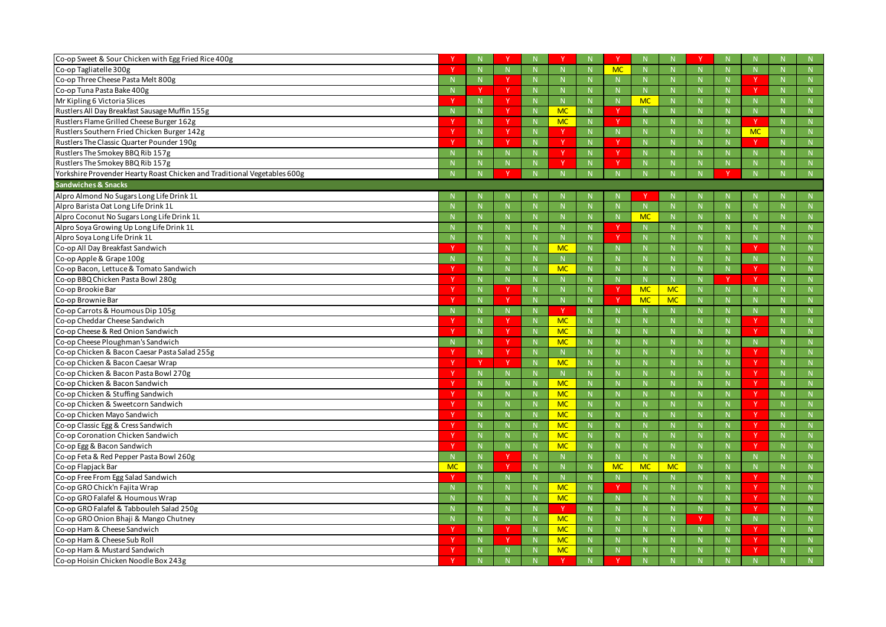| Co-op Sweet & Sour Chicken with Egg Fried Rice 400g                      |           |              |              |              |             |              |              |           |              |              |                        |                | N |
|--------------------------------------------------------------------------|-----------|--------------|--------------|--------------|-------------|--------------|--------------|-----------|--------------|--------------|------------------------|----------------|---|
| Co-op Tagliatelle 300g                                                   |           | N            | N            | N            | N           | <b>MC</b>    | N            |           |              | N            |                        |                | N |
| Co-op Three Cheese Pasta Melt 800g                                       |           | $\mathbb N$  |              | $\mathsf{N}$ |             |              | $\mathbb N$  |           |              | $\mathbb N$  |                        |                | N |
| Co-op Tuna Pasta Bake 400g                                               |           | - V          | <b>Y</b>     |              | N.          |              | N            | N.        |              | $\mathbb{N}$ | <b>Y</b>               |                | N |
| Mr Kipling 6 Victoria Slices                                             |           | N            | -V           | N            |             |              | <b>MC</b>    | N.        |              | N            | N                      |                | N |
| Rustlers All Day Breakfast Sausage Muffin 155g                           |           | N            |              | <b>MC</b>    | N.          |              | -N           |           |              | $\mathbb N$  | N                      |                | N |
| Rustlers Flame Grilled Cheese Burger 162g                                |           | N            | <sup>Y</sup> | <b>MC</b>    | N.          | -V           | $\mathbb{N}$ |           |              | $\mathbb N$  | Y.                     |                | N |
| Rustlers Southern Fried Chicken Burger 142g                              |           | N            | -V           | - Y          | N           | $\mathbb N$  | N            |           |              | N            | <b>MC</b>              |                | N |
| Rustlers The Classic Quarter Pounder 190g                                |           | N            |              |              | N           |              | $\mathbb N$  |           |              | $\mathbb N$  | -V                     |                | N |
| Rustlers The Smokey BBQ Rib 157g                                         |           |              | N.           | ◝            | N           | V            | $\mathbb{N}$ |           |              |              |                        |                | N |
| Rustlers The Smokey BBQ Rib 157g                                         |           | $\mathbb N$  |              | -V           | N           |              | N            |           |              | $\mathbb N$  |                        |                | N |
| Yorkshire Provender Hearty Roast Chicken and Traditional Vegetables 600g |           |              |              |              |             |              | N            |           |              |              |                        |                | N |
| <b>Sandwiches &amp; Snacks</b>                                           |           |              |              |              |             |              |              |           |              |              |                        |                |   |
| Alpro Almond No Sugars Long Life Drink 1L                                |           |              |              |              |             |              |              |           |              |              |                        |                | N |
| Alpro Barista Oat Long Life Drink 1L                                     |           |              | N            |              | N           |              | $\mathbb N$  | N         |              | $\mathbb N$  |                        |                | N |
| Alpro Coconut No Sugars Long Life Drink 1L                               |           | $\mathbb N$  | N            | $\mathbb N$  |             |              | <b>MC</b>    | N         |              | N            |                        |                | N |
| Alpro Soya Growing Up Long Life Drink 1L                                 |           |              | N            |              |             |              | -N           |           |              | $\mathbb N$  |                        |                | N |
| Alpro Soya Long Life Drink 1L                                            |           |              | N            |              | N.          | v            | $\mathbb N$  |           |              | $\mathbb N$  |                        |                | N |
| Co-op All Day Breakfast Sandwich                                         |           | $\mathbb N$  | N            | <b>MC</b>    | N           |              | $\mathsf{N}$ |           |              | N            |                        |                | N |
| Co-op Apple & Grape 100g                                                 |           | N            | N            |              | N.          |              | $\mathbf N$  |           |              | $\mathbb N$  |                        |                | N |
| Co-op Bacon, Lettuce & Tomato Sandwich                                   |           | $\mathsf{N}$ | N            | <b>MC</b>    | N.          |              | -N           | N         |              | $\mathbb N$  | $\vee$                 |                | N |
| Co-op BBQ Chicken Pasta Bowl 280g                                        |           | N            | N            | -N           | N.          |              | N            | N         |              |              | <b>V</b>               |                | N |
| Co-op Brookie Bar                                                        |           | N            |              |              | N           |              | <b>MC</b>    | <b>MC</b> |              |              |                        |                | N |
| Co-op Brownie Bar                                                        |           |              | <b>Y</b>     |              | N.          | <b>V</b>     | <b>MC</b>    | <b>MC</b> |              | $\mathbb N$  |                        |                | N |
| Co-op Carrots & Houmous Dip 105g                                         |           | $\mathbb N$  | N            | -V           | N.          |              | -N           |           |              | $\mathbb N$  |                        |                | N |
| Co-op Cheddar Cheese Sandwich                                            |           | N            |              | <b>MC</b>    | N.          |              |              |           |              | $\mathbb N$  |                        |                | N |
| Co-op Cheese & Red Onion Sandwich                                        | v         | $\mathbb N$  | <b>Y</b>     | <b>MC</b>    | N           |              | -N           |           |              | $\mathbb N$  | <b>Y</b>               |                | N |
| Co-op Cheese Ploughman's Sandwich                                        |           | N            | <sup>Y</sup> | <b>MC</b>    | N           |              | $\mathbb N$  |           |              | $\mathbb N$  | N                      |                | N |
| Co-op Chicken & Bacon Caesar Pasta Salad 255g                            |           | N            |              | $\mathbb N$  | N           |              | $\mathbb N$  |           |              | $\mathbb{N}$ | N                      |                | N |
| Co-op Chicken & Bacon Caesar Wrap                                        |           | -V           | $\mathbf v$  | <b>MC</b>    | N           |              |              |           |              | $\mathsf N$  | Y                      |                | N |
| Co-op Chicken & Bacon Pasta Bowl 270g                                    |           | $\mathbb N$  | N.           |              |             |              |              |           |              | $\mathbb N$  |                        |                | N |
| Co-op Chicken & Bacon Sandwich                                           |           | $\mathbf{N}$ | $\mathbf{N}$ | MC           |             |              | -N           |           |              | -N           |                        |                | N |
| Co-op Chicken & Stuffing Sandwich                                        | <b>V</b>  | $\mathbb N$  |              | <b>MC</b>    | N           |              |              |           |              | -N           | Y                      |                | N |
| Co-op Chicken & Sweetcorn Sandwich                                       |           | N            | N            | <b>MC</b>    | $N_{\odot}$ |              | N            | N         |              | N            | Y                      | N              | N |
| Co-op Chicken Mayo Sandwich                                              |           | N            | N            | <b>MC</b>    | N           |              | N            | N.        |              | N            | <sub>Y</sub>           | N.             | N |
| Co-op Classic Egg & Cress Sandwich                                       |           | N            | N            | <b>MC</b>    | N           |              | N            | N         |              | N            | $\mathsf{I}\mathsf{Y}$ | N.             | N |
| Co-op Coronation Chicken Sandwich                                        |           | N            | N            | <b>MC</b>    | $N_{\odot}$ |              | $\mathbb N$  | N         |              | N            | Y                      | N              | N |
| Co-op Egg & Bacon Sandwich                                               |           | N            | N            | <b>MC</b>    | N           |              | $\mathsf{N}$ | N         |              | N            | <b>V</b>               | <sup>N</sup>   | N |
| Co-op Feta & Red Pepper Pasta Bowl 260g                                  |           | N            | Y.           | N            | N           |              | N            | N         |              | N            | N                      |                | N |
| Co-op Flapjack Bar                                                       | <b>MC</b> | N            | $\mathsf{Y}$ | N            | $N_{\odot}$ | <b>MC</b>    | <b>MC</b>    | <b>MC</b> | N            | $\mathsf N$  | N                      | N              | N |
| Co-op Free From Egg Salad Sandwich                                       |           | N            | N            | N            | N           |              | N            | N         |              | N            | <b>V</b>               | N.             | N |
| Co-op GRO Chick'n Fajita Wrap                                            |           | N            | N            | <b>MC</b>    | N           | <sup>Y</sup> | N            | N         |              | N            | Y.                     | N <sub>1</sub> | N |
| Co-op GRO Falafel & Houmous Wrap                                         |           | N            | N            | <b>MC</b>    | $N_{\odot}$ | $\mathbb N$  | N            | N         |              | N            | Y                      | N              | N |
| Co-op GRO Falafel & Tabbouleh Salad 250g                                 |           | N            | N            |              | N           |              | N            | N         |              | N            | v                      |                | N |
| Co-op GRO Onion Bhaji & Mango Chutney                                    |           | N            | N            | <b>MC</b>    | N           |              | N            | N.        | <sup>Y</sup> | N            | N                      | <sup>N</sup>   | N |
| Co-op Ham & Cheese Sandwich                                              |           | N            | <b>Y</b>     | <b>MC</b>    | $N_{\odot}$ |              | N            | N.        | $\mathbb N$  | N            | <sup>Y</sup>           | N              | N |
| Co-op Ham & Cheese Sub Roll                                              |           | N            |              | <b>MC</b>    | N           |              | N            | N         |              | N            | <b>V</b>               | N              | N |
| Co-op Ham & Mustard Sandwich                                             | Y         | N            | N            | <b>MC</b>    | N           |              | N            | N.        |              | N            | <sup>Y</sup>           | N <sub>1</sub> | N |
| Co-op Hoisin Chicken Noodle Box 243g                                     |           | N            |              |              | N           |              | $\mathbb N$  |           |              | $\mathbb N$  |                        |                | N |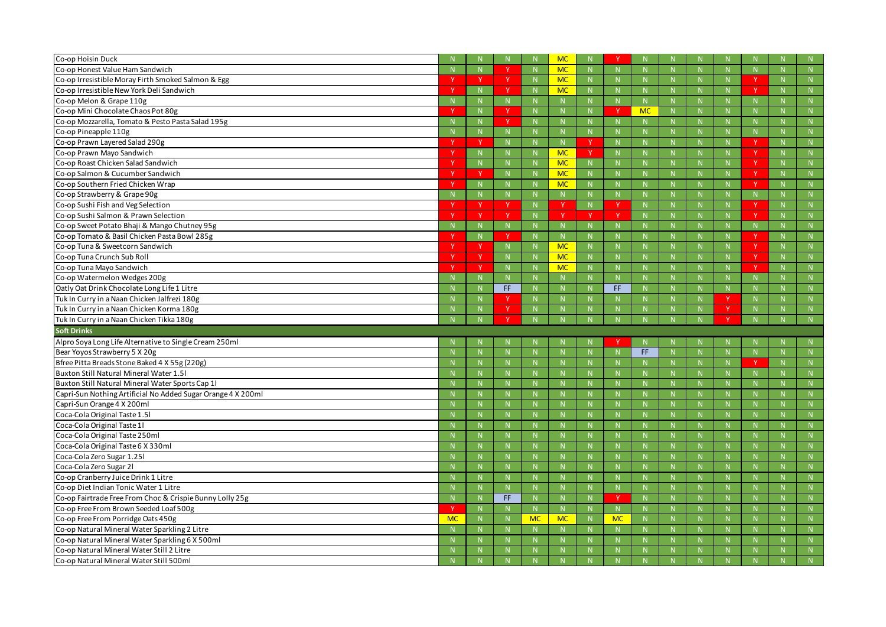| Co-op Hoisin Duck                                                                    |           |              | N.           |           | <b>MC</b>    |             |           |             |    |              |              |        |
|--------------------------------------------------------------------------------------|-----------|--------------|--------------|-----------|--------------|-------------|-----------|-------------|----|--------------|--------------|--------|
| Co-op Honest Value Ham Sandwich                                                      |           |              | $\vee$       |           | <b>MC</b>    | N.          |           |             | N. |              | N.           | N      |
| Co-op Irresistible Moray Firth Smoked Salmon & Egg                                   |           | - V          | - Y          |           | <b>MC</b>    | N           |           | $\mathbb N$ | N. | $\mathbb N$  |              | N      |
| Co-op Irresistible New York Deli Sandwich                                            |           |              |              |           | <b>MC</b>    | N           |           |             | N. |              |              | N      |
| Co-op Melon & Grape 110g                                                             |           | $\mathbf N$  | N            |           |              | N.          |           |             | N. |              | N.           | N      |
| Co-op Mini Chocolate Chaos Pot 80g                                                   |           | $\mathbb N$  |              |           | -N           | N.          |           | <b>MC</b>   | N. | $\mathbb N$  | N.           | N      |
| Co-op Mozzarella, Tomato & Pesto Pasta Salad 195g                                    |           |              |              |           |              | N.          |           |             | N. |              |              | N      |
| Co-op Pineapple 110g                                                                 |           |              | N            |           |              | N           |           |             | N. |              | <sup>N</sup> | N      |
| Co-op Prawn Layered Salad 290g                                                       |           | -V           | N            |           | $\mathbb N$  |             |           | $\mathbb N$ | N  | $\mathbb N$  |              | N      |
| Co-op Prawn Mayo Sandwich                                                            |           |              | N            |           | <b>MC</b>    |             |           |             | N. |              |              | N      |
| Co-op Roast Chicken Salad Sandwich                                                   |           | $\mathsf{N}$ | N            |           | <b>MC</b>    | N           |           |             | N. |              | <b>V</b>     | N      |
| Co-op Salmon & Cucumber Sandwich                                                     |           | - V          | N            |           | <b>MC</b>    | N           |           | $\mathbb N$ | N. | $\mathbb N$  | <b>V</b>     | N      |
| Co-op Southern Fried Chicken Wrap                                                    |           |              | N            |           | <b>MC</b>    | N.          |           |             | N. |              |              | N      |
| Co-op Strawberry & Grape 90g                                                         |           |              | N            |           |              | N.          |           |             | N. |              | <sup>N</sup> | N      |
| Co-op Sushi Fish and Veg Selection                                                   |           | -V           |              |           | - V          | N           |           | $\mathbb N$ | N. | $\mathbb N$  |              | N      |
| Co-op Sushi Salmon & Prawn Selection                                                 |           | <b>V</b>     |              |           |              |             |           |             | N. |              |              | N      |
| Co-op Sweet Potato Bhaji & Mango Chutney 95g                                         |           | $\mathbf N$  | N            |           |              | N.          |           |             | N. |              | <sup>N</sup> | N      |
| Co-op Tomato & Basil Chicken Pasta Bowl 285g                                         |           | $\mathbb N$  | $\vee$       |           | $\mathbb N$  | N           |           | $\mathbb N$ | N. | $\mathbb N$  |              | N      |
| Co-op Tuna & Sweetcorn Sandwich                                                      |           | -V           | N            |           | <b>MC</b>    | N           |           |             | N. |              |              | N      |
| Co-op Tuna Crunch Sub Roll                                                           |           | <b>V</b>     | N            |           | <b>MC</b>    | N.          |           |             | N. |              | <b>V</b>     | N      |
| Co-op Tuna Mayo Sandwich                                                             |           | -V           | N            |           | <b>MC</b>    | N           |           | $\mathbb N$ | N. | -N           | -V           | N      |
| Co-op Watermelon Wedges 200g                                                         |           |              | N            |           |              | N.          |           |             | N. |              |              | N      |
| Oatly Oat Drink Chocolate Long Life 1 Litre                                          |           |              | FF.          |           |              | $\mathbb N$ | FF.       |             | N. |              | N.           | N      |
| Tuk In Curry in a Naan Chicken Jalfrezi 180g                                         |           | -N           | <b>V</b>     |           | -N           | N           |           | $\mathbb N$ | N. | -V           | N.           | N      |
| Tuk In Curry in a Naan Chicken Korma 180g                                            |           |              |              |           |              |             |           |             | N  |              | N            |        |
|                                                                                      |           |              |              |           |              | N.          |           |             |    |              |              | N      |
| Tuk In Curry in a Naan Chicken Tikka 180g                                            |           |              | $\mathbf v$  |           |              |             |           |             |    |              | N            | N      |
| <b>Soft Drinks</b>                                                                   |           |              |              |           |              |             |           |             |    |              |              |        |
| Alpro Soya Long Life Alternative to Single Cream 250ml                               |           |              |              |           |              |             |           |             |    |              |              |        |
| Bear Yoyos Strawberry 5 X 20g                                                        |           | $\mathbb N$  | $\mathsf{N}$ |           | $\mathbb N$  | N           |           | FF.         | N. | $\mathsf{N}$ | N            | N      |
| Bfree Pitta Breads Stone Baked 4 X 55g (220g)                                        |           |              | N            |           |              | N           |           |             | N. |              |              | N      |
| Buxton Still Natural Mineral Water 1.51                                              |           |              | N            |           |              |             |           |             |    |              |              |        |
| Buxton Still Natural Mineral Water Sports Cap 1                                      |           |              | N.           |           | <b>N</b>     |             |           | <b>N</b>    |    | <b>N</b>     |              | N      |
| Capri-Sun Nothing Artificial No Added Sugar Orange 4 X 200ml                         |           |              | $\mathbb N$  |           |              | N.          |           |             |    |              |              | N      |
| Capri-Sun Orange 4 X 200ml                                                           |           | -N           | N            |           | $\mathbf N$  | N           |           | $\mathbb N$ | N  | $\mathsf{N}$ | N            | N      |
| Coca-Cola Original Taste 1.51                                                        |           | N            | N            |           | N            | N           |           | N           | N  | N            | N            | N      |
| Coca-Cola Original Taste 11                                                          |           | $\mathbb N$  | N            |           | $\mathbb N$  | N           |           | $\mathbb N$ | N. | N            | N            | N      |
| Coca-Cola Original Taste 250ml                                                       |           | $\mathsf{N}$ | N            |           | N            | N           |           | N           | N  | N            | N            | N      |
| Coca-Cola Original Taste 6 X 330ml                                                   |           | $\mathbb N$  | N            |           | N            | N           |           | N           | N  | N            | N            | N      |
| Coca-Cola Zero Sugar 1.251                                                           |           | $\mathsf{N}$ | N            |           | $\mathbb N$  | N           |           | $\mathbb N$ | N. | $\mathsf{N}$ | N            | N      |
| Coca-Cola Zero Sugar 21                                                              |           | $\mathsf{N}$ | N            |           | $\mathsf{N}$ | N           |           | $\mathbb N$ | N  | N            | N            | N      |
| Co-op Cranberry Juice Drink 1 Litre                                                  |           | N            | N            |           | N            | N           |           | N           | N  | N            | N            | N      |
| Co-op Diet Indian Tonic Water 1 Litre                                                |           | $\mathbb N$  | N            |           | $\mathbb N$  | N           |           | N           | N. | N            | N            | N      |
| Co-op Fairtrade Free From Choc & Crispie Bunny Lolly 25g                             |           | N            | FF.          |           | N            | N           | <b>Y</b>  | N           | N. | N            | N            | N      |
| Co-op Free From Brown Seeded Loaf 500g                                               |           | N            | N            |           | N            | N           |           | N           | N  | N            | N            | N      |
| Co-op Free From Porridge Oats 450g                                                   | <b>MC</b> | N            | N            | <b>MC</b> | <b>MC</b>    | N           | <b>MC</b> | N           | N. | $\mathsf{N}$ | N            | N      |
| Co-op Natural Mineral Water Sparkling 2 Litre                                        |           | $\mathsf{N}$ | N            |           | N            | N           |           | N           | N  | N            | N            | N      |
| Co-op Natural Mineral Water Sparkling 6 X 500ml                                      |           | $\mathbb{N}$ | N            |           | N            | N           |           | N           | N  | N            | N            | N      |
| Co-op Natural Mineral Water Still 2 Litre<br>Co-op Natural Mineral Water Still 500ml |           |              | N            |           |              | N.          |           |             | N. |              | N            | N<br>N |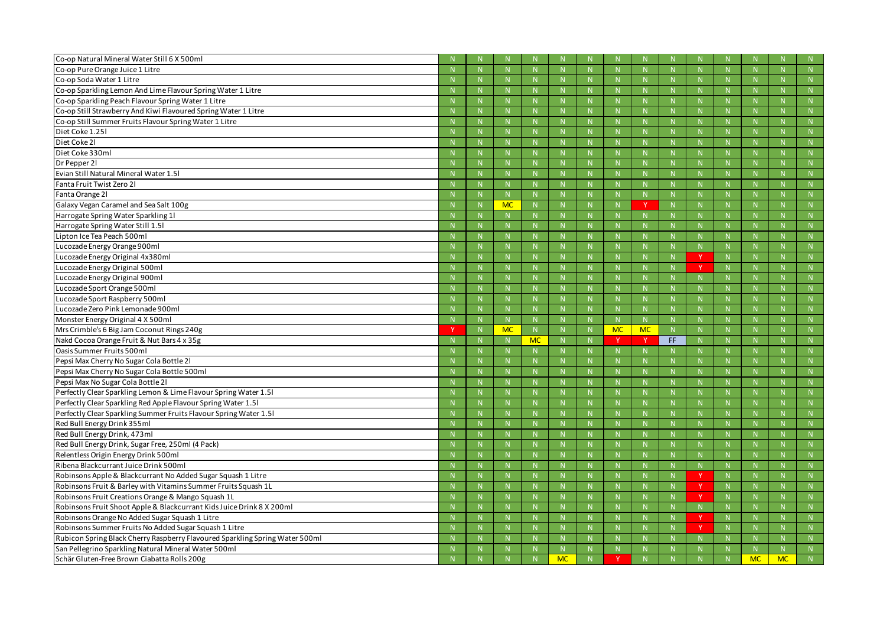| Co-op Natural Mineral Water Still 6 X 500ml                                  |              |              |           |              |    |           |              |              |    |             |   |   |
|------------------------------------------------------------------------------|--------------|--------------|-----------|--------------|----|-----------|--------------|--------------|----|-------------|---|---|
| Co-op Pure Orange Juice 1 Litre                                              |              | N            |           | $\mathbb N$  |    |           | N            |              |    | N           |   | N |
| Co-op Soda Water 1 Litre                                                     |              | N.           |           |              |    |           |              |              |    | -N          |   | N |
| Co-op Sparkling Lemon And Lime Flavour Spring Water 1 Litre                  |              | N.           |           |              |    |           |              |              |    |             |   | N |
| Co-op Sparkling Peach Flavour Spring Water 1 Litre                           |              | N            |           |              | N  |           | $\mathbb N$  |              |    | N           |   | N |
| Co-op Still Strawberry And Kiwi Flavoured Spring Water 1 Litre               |              |              |           |              |    |           |              |              |    | -N          |   | N |
| Co-op Still Summer Fruits Flavour Spring Water 1 Litre                       |              | N            |           |              |    |           |              |              |    |             |   | N |
| Diet Coke 1.251                                                              |              | N            |           |              | N  |           | N            |              |    | N           |   | N |
| Diet Coke 21                                                                 |              |              |           |              |    |           |              |              |    | -N          |   | N |
| Diet Coke 330ml                                                              |              | N.           |           |              |    |           |              |              |    |             |   | N |
| Dr Pepper 21                                                                 |              | N            |           |              |    |           | $\mathbb N$  |              |    | $\mathbb N$ |   | N |
| Evian Still Natural Mineral Water 1.51                                       |              | N.           |           |              |    |           |              |              |    | -N          |   | N |
| Fanta Fruit Twist Zero 21                                                    |              | N            |           |              |    |           |              |              |    |             |   | N |
| Fanta Orange 21                                                              |              | N            |           | N            | N  |           | N            | $\mathsf{N}$ |    | N           |   | N |
| Galaxy Vegan Caramel and Sea Salt 100g                                       |              | <b>MC</b>    |           |              |    |           |              |              |    | -N          |   | N |
| Harrogate Spring Water Sparkling 11                                          |              | N.           |           |              | N  |           |              |              |    | $\mathbb N$ |   | N |
| Harrogate Spring Water Still 1.51                                            |              | N            |           |              | N  |           | $\mathbb N$  |              |    | N           |   | N |
| Lipton Ice Tea Peach 500ml                                                   |              | N.           |           |              |    |           |              |              |    | -N          |   | N |
| Lucozade Energy Orange 900ml                                                 |              | N            |           |              |    |           |              |              |    |             |   | N |
| Lucozade Energy Original 4x380ml                                             |              | N            |           |              | N  |           | N            |              |    | N           |   | N |
| Lucozade Energy Original 500ml                                               |              |              |           |              |    |           |              |              | -V | -N          |   | N |
| Lucozade Energy Original 900ml                                               |              | N            |           |              | N  |           |              |              |    | $\mathbb N$ |   | N |
| Lucozade Sport Orange 500ml                                                  |              | N            |           |              | N  |           | $\mathbb N$  |              |    | N           |   | N |
| Lucozade Sport Raspberry 500ml                                               |              | N.           |           |              |    |           |              |              |    | -N          |   | N |
|                                                                              |              |              |           |              |    |           |              |              |    |             |   |   |
| Lucozade Zero Pink Lemonade 900ml                                            |              | N            |           |              | N  |           | $\mathbb N$  | N            |    | $\mathbb N$ |   | N |
| Monster Energy Original 4 X 500ml                                            | $\mathsf{N}$ | N            |           | N            | N  |           | N            | $\mathsf{N}$ |    | N           |   | N |
| Mrs Crimble's 6 Big Jam Coconut Rings 240g                                   |              | <b>MC</b>    |           |              |    | <b>MC</b> | <b>MC</b>    |              |    | -N          |   | N |
| Nakd Cocoa Orange Fruit & Nut Bars 4 x 35g                                   |              | N.           | <b>MC</b> | $\mathbb N$  |    |           |              | FF.          |    | $\mathbb N$ |   | N |
| Oasis Summer Fruits 500ml                                                    |              | N            |           | $\mathbb N$  |    |           | -N           |              |    | N           |   | N |
| Pepsi Max Cherry No Sugar Cola Bottle 21                                     |              |              |           |              |    |           | -N           |              |    | -N          |   | N |
| Pepsi Max Cherry No Sugar Cola Bottle 500ml                                  |              |              |           |              |    |           |              |              |    |             |   | N |
| Pepsi Max No Sugar Cola Bottle 21                                            |              |              |           |              |    |           | $\mathbb N$  |              |    | N           |   | N |
| Perfectly Clear Sparkling Lemon & Lime Flavour Spring Water 1.51             |              | N.           |           | $\mathbb N$  |    |           | $\mathbb N$  |              |    | $\mathbb N$ |   | N |
| Perfectly Clear Sparkling Red Apple Flavour Spring Water 1.51                |              | N            |           |              | N  |           | $\mathbb N$  |              |    | $\mathbb N$ |   | N |
| Perfectly Clear Sparkling Summer Fruits Flavour Spring Water 1.51            | N            | N            |           | N            | N  |           | N            | N            |    | N           | N | N |
| Red Bull Energy Drink 355ml                                                  | N            | N.           |           | $\mathbb N$  | N. |           | $\mathbb N$  | N            |    | $\mathbb N$ |   | N |
| Red Bull Energy Drink, 473ml                                                 | N            | N            |           | $\mathsf{N}$ | N  |           | $\mathsf{N}$ | N            |    | N           | N | N |
| Red Bull Energy Drink, Sugar Free, 250ml (4 Pack)                            | N            | N            |           | N            | N  |           | N            | N            |    | N           | N | N |
| Relentless Origin Energy Drink 500ml                                         | $\mathbb N$  | N            |           | $\mathbb N$  | N. |           | N            | N.           |    | N           | N | N |
| Ribena Blackcurrant Juice Drink 500ml                                        | $\mathbb N$  | N            |           | $\mathbb N$  | N  |           | $\mathsf{N}$ | N            |    | N           | N | N |
| Robinsons Apple & Blackcurrant No Added Sugar Squash 1 Litre                 | N            | N            |           | N            | N  |           | N            | N            |    | N           | N | N |
| Robinsons Fruit & Barley with Vitamins Summer Fruits Squash 1L               | $\mathbb N$  | N.           |           | $\mathbb N$  | N. |           | $\mathbb N$  | N.           |    | N           | N | N |
| Robinsons Fruit Creations Orange & Mango Squash 1L                           | N            | N            |           | $\mathsf{N}$ | N  |           | $\mathsf{N}$ | N            |    | N           | N | N |
| Robinsons Fruit Shoot Apple & Blackcurrant Kids Juice Drink 8 X 200ml        | N            | N            |           | N            | N  |           | N            | N            | N. | N           | N | N |
| Robinsons Orange No Added Sugar Squash 1 Litre                               | N            | N            |           | $\mathbb N$  | N. |           | $\mathbb N$  | N.           |    | N           | N | N |
| Robinsons Summer Fruits No Added Sugar Squash 1 Litre                        | N            | N            |           | $\mathsf{N}$ | N  |           | $\mathsf{N}$ | N            |    | $\mathbb N$ | N | N |
| Rubicon Spring Black Cherry Raspberry Flavoured Sparkling Spring Water 500ml | N            | N            |           | N            | N  |           | N            | N.           |    | N           | N | N |
| San Pellegrino Sparkling Natural Mineral Water 500ml                         |              | <sup>N</sup> |           |              |    |           | -N           |              |    | $\mathbb N$ |   | N |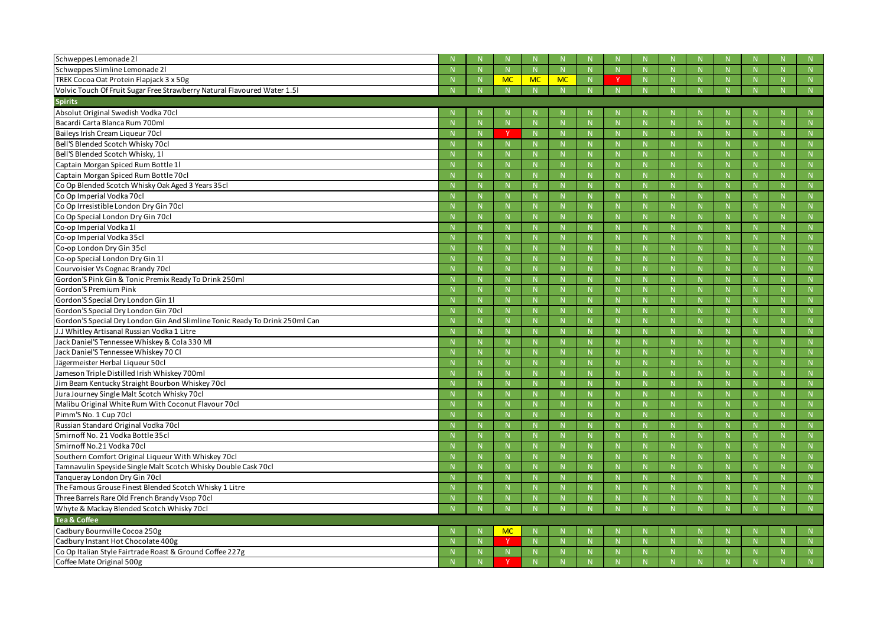| Schweppes Lemonade 21                                                       |    |              |           |             |              |    |    |              |    |           |
|-----------------------------------------------------------------------------|----|--------------|-----------|-------------|--------------|----|----|--------------|----|-----------|
| Schweppes Slimline Lemonade 21                                              |    | $\mathbb N$  |           | $\mathbb N$ | N            | -N |    |              |    | N         |
| TREK Cocoa Oat Protein Flapjack 3 x 50g                                     |    | <b>MC</b>    | <b>MC</b> | <b>MC</b>   | N            |    | N. |              |    | N         |
| Volvic Touch Of Fruit Sugar Free Strawberry Natural Flavoured Water 1.51    |    | N            |           | N           | N            |    | N. | N            |    | N         |
| <b>Spirits</b>                                                              |    |              |           |             |              |    |    |              |    |           |
| Absolut Original Swedish Vodka 70cl                                         |    |              |           |             |              |    |    |              |    |           |
| Bacardi Carta Blanca Rum 700ml                                              |    | $\mathbb N$  |           |             | $\mathsf{N}$ |    |    | -N           |    | N         |
| Baileys Irish Cream Liqueur 70cl                                            |    | $\vee$       |           |             | N            |    | N. |              |    | N         |
| Bell'S Blended Scotch Whisky 70cl                                           |    | N            |           |             | N            |    | N  |              | N  | N         |
| Bell'S Blended Scotch Whisky, 11                                            |    | N            |           |             | N            |    | N. |              | N. | N         |
| Captain Morgan Spiced Rum Bottle 11                                         |    | N            |           |             | N            |    | N. |              | N  | N         |
| Captain Morgan Spiced Rum Bottle 70cl                                       |    | N            |           |             | N            |    | N  |              |    | N         |
| Co Op Blended Scotch Whisky Oak Aged 3 Years 35cl                           |    | N            |           |             | N.           |    | N. |              |    | N         |
| Co Op Imperial Vodka 70cl                                                   |    | N            |           |             | N            |    | N. |              | N. | N         |
| Co Op Irresistible London Dry Gin 70cl                                      |    | N            |           |             | N            |    | N  |              | N  | N         |
| Co Op Special London Dry Gin 70cl                                           |    | $\mathbb N$  |           |             | N            |    | N. |              | N. | N         |
| Co-op Imperial Vodka 1l                                                     |    | N            |           |             | N            |    | N. |              | N  | N         |
| Co-op Imperial Vodka 35cl                                                   |    | N            |           |             | N            |    | N  |              |    | N         |
| Co-op London Dry Gin 35cl                                                   |    | N            |           |             | N.           |    | N. |              |    | N         |
| Co-op Special London Dry Gin 1l                                             |    | N            |           |             | N            |    | N. |              | N. | N         |
| Courvoisier Vs Cognac Brandy 70cl                                           |    | N            |           |             | N            |    | N  |              | N  | N         |
| Gordon'S Pink Gin & Tonic Premix Ready To Drink 250ml                       |    | $\mathbb N$  |           |             | N            |    | N. |              | N. | N         |
| Gordon'S Premium Pink                                                       |    | N            |           |             | N            |    | N. |              |    | N         |
| Gordon'S Special Dry London Gin 11                                          |    | N            |           |             | N            |    | N  |              |    | N         |
| Gordon'S Special Dry London Gin 70cl                                        |    | N            |           |             | N.           |    | N. |              |    | N         |
| Gordon'S Special Dry London Gin And Slimline Tonic Ready To Drink 250ml Can |    | N            |           |             | N            |    | N. |              | N. | N         |
| J.J Whitley Artisanal Russian Vodka 1 Litre                                 |    | N            |           |             | N            |    | N. |              | N  | N         |
| Jack Daniel'S Tennessee Whiskey & Cola 330 Ml                               |    | N            |           |             | N            |    | N. |              | N  | N         |
| Jack Daniel'S Tennessee Whiskey 70 Cl                                       |    | N            |           |             | N            |    | N. |              |    | N         |
| Jägermeister Herbal Liqueur 50cl                                            |    | N            |           |             | N            |    | N  |              |    | N         |
| Jameson Triple Distilled Irish Whiskey 700ml                                |    | N            |           |             | N            |    |    |              |    |           |
| Jim Beam Kentucky Straight Bourbon Whiskey 70cl                             | -N | -N           |           | -N          | -N           | -N |    | - NI         |    | - NF      |
| Jura Journey Single Malt Scotch Whisky 70cl                                 |    | $\mathsf{N}$ |           |             |              |    |    |              |    | N.        |
| Malibu Original White Rum With Coconut Flavour 70cl                         |    | $\mathbb N$  |           |             | $\mathbb N$  |    | N. |              | N. | N         |
| Pimm'S No. 1 Cup 70cl                                                       |    | N            |           |             | N            |    | N. |              | N. | N         |
| Russian Standard Original Vodka 70cl                                        |    | N            |           |             | N            |    | N  |              | N  | ${\sf N}$ |
| Smirnoff No. 21 Vodka Bottle 35cl                                           |    | N            |           |             | N            | -N | N. | $\mathsf{N}$ |    | N         |
| Smirnoff No.21 Vodka 70cl                                                   |    | N            |           |             | N            |    | N. |              | N. | N         |
| Southern Comfort Original Liqueur With Whiskey 70cl                         |    | N            |           |             | N            |    | N  |              | N  | N         |
| Tamnavulin Speyside Single Malt Scotch Whisky Double Cask 70cl              |    | $\mathbb N$  |           | -N          | N.           | -N | N  | $\mathsf{N}$ | N. | N         |
| Tanqueray London Dry Gin 70cl                                               |    | N            |           |             | N            |    | N  |              | N. | N         |
| The Famous Grouse Finest Blended Scotch Whisky 1 Litre                      |    | N            |           |             | N            |    | N  |              | N  | N         |
| Three Barrels Rare Old French Brandy Vsop 70cl                              |    | $\mathbb N$  |           | -N          | $\mathbb N$  | -N | N. | $\mathsf{N}$ |    | N         |
| Whyte & Mackay Blended Scotch Whisky 70cl                                   |    | N            |           |             | N            |    |    |              |    | N         |
| <b>Tea &amp; Coffee</b>                                                     |    |              |           |             |              |    |    |              |    |           |
| Cadbury Bournville Cocoa 250g                                               |    | <b>MC</b>    |           |             |              |    |    |              |    | N         |
| Cadbury Instant Hot Chocolate 400g                                          |    | Y.           |           |             | N            |    | N  |              |    | N         |
| Co Op Italian Style Fairtrade Roast & Ground Coffee 227g                    |    | $\mathbb N$  |           | -N          | $\mathbb N$  | -N | N  | $\mathsf{N}$ |    | N         |
| Coffee Mate Original 500g                                                   |    |              |           |             | N            |    | N. |              |    | $N-$      |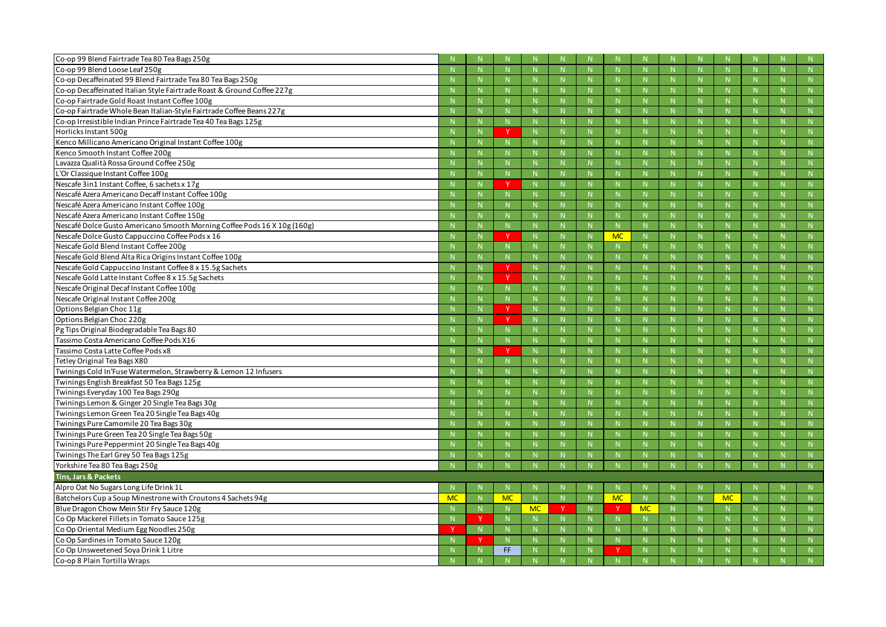| Co-op 99 Blend Fairtrade Tea 80 Tea Bags 250g                            |           |              |              |           |              |             |           |              |    |              |             |                     |
|--------------------------------------------------------------------------|-----------|--------------|--------------|-----------|--------------|-------------|-----------|--------------|----|--------------|-------------|---------------------|
| Co-op 99 Blend Loose Leaf 250g                                           |           |              | N            |           |              | N.          |           |              | N. |              |             | N                   |
| Co-op Decaffeinated 99 Blend Fairtrade Tea 80 Tea Bags 250g              |           | -N           | $\mathbb N$  |           | -N           | N.          |           | $\mathbb N$  | N. | -N           |             | N                   |
| Co-op Decaffeinated Italian Style Fairtrade Roast & Ground Coffee 227g   |           |              | N.           |           |              | N.          |           |              | N. |              | N           | N                   |
| Co-op Fairtrade Gold Roast Instant Coffee 100g                           |           |              | N.           |           |              | N.          |           |              | N. |              |             |                     |
| Co-op Fairtrade Whole Bean Italian-Style Fairtrade Coffee Beans 227g     |           | -N           | $\mathsf{N}$ |           | $\mathbf N$  | N.          |           | N            | N. | $\mathbf N$  | N           | N                   |
| Co-op Irresistible Indian Prince Fairtrade Tea 40 Tea Bags 125g          |           |              | N            |           |              | N.          |           |              | N. |              | N           | N                   |
| Horlicks Instant 500g                                                    |           |              | <b>V</b>     |           |              | N.          |           |              | N. |              |             | N                   |
| Kenco Millicano Americano Original Instant Coffee 100g                   |           | -N           | $\mathbb N$  |           |              | N.          |           | -N           | N. | $\mathbf N$  | N           | N                   |
| Kenco Smooth Instant Coffee 200g                                         |           |              | N            |           |              | N           |           |              | N. |              | N           | N                   |
| Lavazza Qualità Rossa Ground Coffee 250g                                 |           |              | N            |           |              | N.          |           |              | N. |              |             |                     |
| L'Or Classique Instant Coffee 100g                                       |           | -N           | $\mathbb N$  |           | -N           | N.          |           | $\mathbb N$  | N. | -N           |             | N                   |
| Nescafe 3in1 Instant Coffee, 6 sachets x 17g                             |           |              |              |           |              | N.          |           |              | N. |              | N           | N                   |
| Nescafé Azera Americano Decaff Instant Coffee 100g                       |           |              | N            |           |              | N.          |           |              | N. |              |             | N                   |
| Nescafé Azera Americano Instant Coffee 100g                              |           |              | $\mathbb N$  |           |              | N.          |           |              | N. | $\mathbf N$  | N           | N                   |
| Nescafé Azera Americano Instant Coffee 150g                              |           |              | N            |           |              | N.          |           |              | N. |              | N.          | N                   |
| Nescafé Dolce Gusto Americano Smooth Morning Coffee Pods 16 X 10g (160g) |           |              | N            |           |              | N.          |           |              | N. |              |             | N                   |
| Nescafe Dolce Gusto Cappuccino Coffee Pods x 16                          |           | N            | $\mathbf{v}$ |           | N            | $\mathbb N$ | <b>MC</b> | N            | N. | -N           |             | N                   |
| Nescafe Gold Blend Instant Coffee 200g                                   |           |              | N            |           |              | N.          |           |              | N. |              | N           | N                   |
| Nescafe Gold Blend Alta Rica Origins Instant Coffee 100g                 |           |              | $\mathsf{N}$ |           |              | N.          |           |              | N. |              |             |                     |
| Nescafe Gold Cappuccino Instant Coffee 8 x 15.5g Sachets                 |           | -N           | <b>V</b>     |           | $\mathbf N$  | N.          |           | $\mathsf{N}$ | N. | $\mathbf N$  | N.          | N                   |
| Nescafe Gold Latte Instant Coffee 8 x 15.5g Sachets                      |           |              |              |           |              | N.          |           |              | N. |              | N.          | N                   |
| Nescafe Original Decaf Instant Coffee 100g                               |           |              | N            |           |              | N.          |           |              | N. |              | N.          | N                   |
| Nescafe Original Instant Coffee 200g                                     |           | -N           | $\mathbb N$  |           | <b>N</b>     | N.          |           | <b>N</b>     | N. | $\mathbf N$  |             | N                   |
| Options Belgian Choc 11g                                                 |           |              | $\mathbf{v}$ |           |              | N.          |           |              | N. |              | N           | N                   |
| Options Belgian Choc 220g                                                |           |              | $\vee$       |           | $\mathbf N$  | N           |           |              | N. |              | N           | N                   |
| Pg Tips Original Biodegradable Tea Bags 80                               |           | -N           | N            |           | -N           | N           |           | $\mathsf{N}$ | N. | $\mathbf N$  | N.          | N                   |
| Tassimo Costa Americano Coffee Pods X16                                  |           |              | N            |           |              | N.          |           |              | N. |              | N           | N                   |
| Tassimo Costa Latte Coffee Pods x8                                       |           |              | $\mathbf v$  |           | $\mathbf N$  | N.          |           | $\mathsf{N}$ | N. |              | N           | N                   |
| Tetley Original Tea Bags X80                                             |           | -N           | $\mathbb N$  |           |              | N.          |           | -N           | N. | -N           |             | N                   |
| Twinings Cold In'Fuse Watermelon, Strawberry & Lemon 12 Infusers         |           |              | N.           |           |              | N.          |           |              |    |              |             | N                   |
| Twinings English Breakfast 50 Tea Bags 125g                              |           |              | N            |           |              | N.          |           |              |    |              |             | N                   |
| Twinings Everyday 100 Tea Bags 290g                                      |           | $\mathsf{N}$ | $\mathsf{N}$ |           | $\mathsf{N}$ | N           |           | N            | N  | $\mathsf{N}$ | $\mathbb N$ | N                   |
| Twinings Lemon & Ginger 20 Single Tea Bags 30g                           |           |              | N            |           |              | N           |           |              | N. |              | N           | N                   |
| Twinings Lemon Green Tea 20 Single Tea Bags 40g                          |           | $\mathsf{N}$ | N            |           | N            | N           |           | N            | N  | N            | N           | ${\sf N}$           |
| Twinings Pure Camomile 20 Tea Bags 30g                                   |           | N            | N            |           | N            | N           |           | N            | N  | $\mathsf{N}$ | N.          | ${\sf N}$           |
| Twinings Pure Green Tea 20 Single Tea Bags 50g                           |           |              | N            |           | N            | N           |           | N            | N  | $\mathsf{N}$ | N           | ${\sf N}$           |
| Twinings Pure Peppermint 20 Single Tea Bags 40g                          |           |              | N            |           | $\mathsf{N}$ | N           |           | $\mathsf{N}$ | N  | $\mathsf{N}$ | N           | N                   |
| Twinings The Earl Grey 50 Tea Bags 125g                                  |           | N            | N            |           | N            | N           |           | N            | N. | N            | N.          | N                   |
| Yorkshire Tea 80 Tea Bags 250g                                           |           |              | N            |           |              | N           |           | N            | N. | N            | N           | N                   |
| Tins, Jars & Packets                                                     |           |              |              |           |              |             |           |              |    |              |             |                     |
| Alpro Oat No Sugars Long Life Drink 1L                                   |           |              | N.           |           |              |             |           |              |    |              |             | N                   |
| Batchelors Cup a Soup Minestrone with Croutons 4 Sachets 94g             | <b>MC</b> | $\mathsf{N}$ | <b>MC</b>    |           | $\mathsf{N}$ | N           | <b>MC</b> | N            | N. | <b>MC</b>    | N           | N                   |
| Blue Dragon Chow Mein Stir Fry Sauce 120g                                |           | N            | N            | <b>MC</b> | $\vee$       | N           |           | <b>MC</b>    | N  | $\mathsf{N}$ | N.          | N                   |
| Co Op Mackerel Fillets in Tomato Sauce 125g                              |           |              | N            |           |              | N           |           | $\mathbb N$  | N. | $\mathsf{N}$ | N           | N                   |
| Co Op Oriental Medium Egg Noodles 250g                                   |           | N            | ${\sf N}$    |           | N            | N           |           | N            | N  | N            | N           | ${\sf N}$           |
| Co Op Sardines in Tomato Sauce 120g                                      |           | -V           | N            |           | N            | N           |           | N            | N. | N            | N.          | N                   |
| Co Op Unsweetened Soya Drink 1 Litre                                     |           |              | FF.          |           |              | N           |           |              | N. |              | N.          | N                   |
| Co-op 8 Plain Tortilla Wraps                                             |           |              | N.           |           |              | N           |           | N            | N. |              |             | $\mathbf{N}^{\top}$ |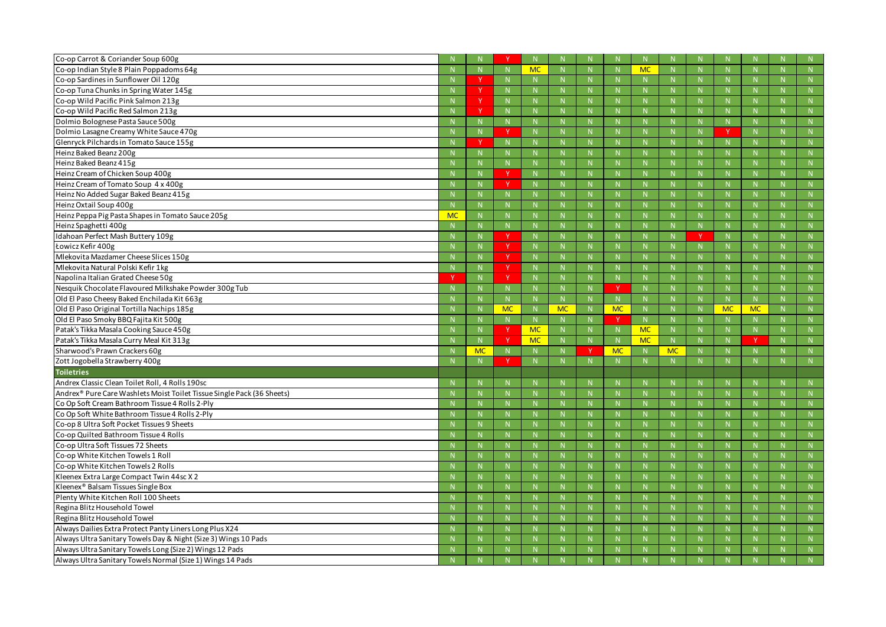| Co-op Carrot & Coriander Soup 600g                                                                                     |           |              |              |           |             |              |           |             |              |              |              |              |        |
|------------------------------------------------------------------------------------------------------------------------|-----------|--------------|--------------|-----------|-------------|--------------|-----------|-------------|--------------|--------------|--------------|--------------|--------|
| Co-op Indian Style 8 Plain Poppadoms 64g                                                                               |           | $\mathsf{N}$ | N            | <b>MC</b> | $\mathbb N$ |              |           | <b>MC</b>   | N            | N            |              |              | N      |
| Co-op Sardines in Sunflower Oil 120g                                                                                   |           | - V          | N.           |           | $\mathbb N$ |              |           | N           |              | N            |              |              | N      |
| Co-op Tuna Chunks in Spring Water 145g                                                                                 |           |              | N.           |           | $\mathbf N$ |              |           | $\mathbf N$ |              | -N           |              |              | N      |
| Co-op Wild Pacific Pink Salmon 213g                                                                                    |           |              | N            |           | $\mathbb N$ |              |           | $\mathbb N$ |              | $\mathbf N$  |              |              | N      |
| Co-op Wild Pacific Red Salmon 213g                                                                                     |           | - V          | N.           |           | $\mathbb N$ |              |           | $\mathbb N$ |              | N            |              |              | N      |
| Dolmio Bolognese Pasta Sauce 500g                                                                                      |           |              | N            |           | $\mathbf N$ | $\mathsf{N}$ |           | $\mathbf N$ | $\mathsf{N}$ | N            | N            |              | N      |
| Dolmio Lasagne Creamy White Sauce 470g                                                                                 |           |              | Y            |           | $\mathbb N$ |              |           | $\mathbb N$ |              |              | $\mathsf{N}$ |              | N      |
| Glenryck Pilchards in Tomato Sauce 155g                                                                                |           | - V          | N.           |           | $\mathbb N$ |              |           | $\mathbb N$ |              | $\mathbb N$  |              |              | N      |
| Heinz Baked Beanz 200g                                                                                                 |           |              | N.           |           | $\mathbf N$ | N.           |           | $\mathbf N$ | N            | -N           | N            |              | N      |
| Heinz Baked Beanz 415g                                                                                                 |           | $\mathbb N$  | N            |           | $\mathbb N$ |              |           | $\mathbb N$ |              | $\mathsf{N}$ |              |              | N      |
| Heinz Cream of Chicken Soup 400g                                                                                       |           | N            | $\mathbf v$  |           | $\mathbb N$ |              |           | $\mathbb N$ |              | N            |              |              | N      |
| Heinz Cream of Tomato Soup 4 x 400g                                                                                    |           |              | N            |           | $\mathbb N$ | N            |           | $\mathbb N$ |              | $\mathbf N$  |              |              | N      |
| Heinz No Added Sugar Baked Beanz 415g                                                                                  |           | $\mathbb N$  | N            |           | $\mathbb N$ |              |           | $\mathbb N$ |              | $\mathsf{N}$ |              |              | N      |
| Heinz Oxtail Soup 400g                                                                                                 |           | N            | N.           |           | $\mathbb N$ |              |           | $\mathbb N$ |              | N            |              |              | N      |
| Heinz Peppa Pig Pasta Shapes in Tomato Sauce 205g                                                                      | <b>MC</b> | $\mathbb N$  | N.           |           |             | N.           |           |             | N.           | -N           | N.           |              | N      |
| Heinz Spaghetti 400g                                                                                                   |           | $\mathbb N$  | N            |           | $\mathbb N$ |              |           | $\mathbb N$ |              | $\mathsf{N}$ |              |              | N      |
| Idahoan Perfect Mash Buttery 109g                                                                                      |           | N            | <b>V</b>     |           | N           |              |           | N           |              | N            |              |              | N      |
| Łowicz Kefir 400g                                                                                                      |           |              | $\mathbf v$  |           | $\mathbb N$ | N            |           | $\mathbb N$ |              | $\mathbf N$  |              |              | N      |
| Mlekovita Mazdamer Cheese Slices 150g                                                                                  |           | $\mathbb N$  | <sup>Y</sup> |           | $\mathbb N$ |              |           | $\mathbb N$ |              | $\mathsf{N}$ |              |              | N      |
| Mlekovita Natural Polski Kefir 1kg                                                                                     |           | N            | Y.           |           | $\mathbb N$ | N.           |           | $\mathbb N$ |              | N            |              |              | N      |
| Napolina Italian Grated Cheese 50g                                                                                     |           |              |              |           |             | N.           |           | $\mathbf N$ | N.           | -N           | N.           |              | N      |
| Nesquik Chocolate Flavoured Milkshake Powder 300g Tub                                                                  |           | $\mathbb N$  | N            |           | $\mathbb N$ |              | V         | $\mathbb N$ |              | $\mathsf{N}$ | N            |              | N      |
| Old El Paso Cheesy Baked Enchilada Kit 663g                                                                            |           | N            | N.           |           | N           |              |           | N           |              | N            |              |              | N      |
| Old El Paso Original Tortilla Nachips 185g                                                                             |           | $\mathbb N$  | <b>MC</b>    |           | <b>MC</b>   | N.           |           | $\mathbb N$ | N.           | <b>MC</b>    | <b>MC</b>    |              | N      |
|                                                                                                                        |           |              |              |           |             |              | <b>MC</b> |             |              |              |              |              |        |
| Old El Paso Smoky BBQ Fajita Kit 500g                                                                                  |           | $\mathbb N$  | N            |           | $\mathbb N$ |              |           | N           | N            | N            | N            |              | N      |
| Patak's Tikka Masala Cooking Sauce 450g                                                                                |           | N            | <b>V</b>     | <b>MC</b> | N           |              |           | <b>MC</b>   | N.           | N            |              |              | N      |
| Patak's Tikka Masala Curry Meal Kit 313g                                                                               |           | N            | v            | MC        | N           | N            |           | <b>MC</b>   | N.           | N            | <b>v</b>     |              | N      |
| Sharwood's Prawn Crackers 60g                                                                                          |           | <b>MC</b>    | N.           |           | N           |              | <b>MC</b> | N           | <b>MC</b>    | N            | $\mathbb N$  |              | N      |
| Zott Jogobella Strawberry 400g                                                                                         |           | $\mathbf N$  | $\mathbf v$  |           | N           |              |           | -N          |              | N            |              |              | N      |
| <b>Toiletries</b>                                                                                                      |           |              |              |           |             |              |           |             |              |              |              |              |        |
| Andrex Classic Clean Toilet Roll, 4 Rolls 190sc                                                                        |           | $\mathbb N$  |              |           |             |              |           |             |              |              |              |              | N      |
| Andrex <sup>®</sup> Pure Care Washlets Moist Toilet Tissue Single Pack (36 Sheets)                                     |           | -N           |              |           | -N          |              |           | -N          |              | $\mathsf{N}$ |              |              | N      |
| Co Op Soft Cream Bathroom Tissue 4 Rolls 2-Ply                                                                         |           | N            | N            |           | N           | N            |           | $\mathbb N$ | N            | N            | N            |              | N      |
| Co Op Soft White Bathroom Tissue 4 Rolls 2-Ply                                                                         |           | N            | N            |           | N           | N            |           | N           | N            | N            | N            | N.           | N      |
| Co-op 8 Ultra Soft Pocket Tissues 9 Sheets                                                                             |           | $\mathbb N$  | N.           |           | $\mathbb N$ |              |           | N           | N            | N            | $\mathbb N$  |              | N      |
| Co-op Quilted Bathroom Tissue 4 Rolls                                                                                  |           | $\mathsf{N}$ | N            |           | $\mathbb N$ | N.           |           | N           | N.           | N            | N            |              | N      |
| Co-op Ultra Soft Tissues 72 Sheets                                                                                     |           | $\mathbb{N}$ | N.           |           | N           | N.           |           | N           | N.           | N            | N.           |              | N      |
| Co-op White Kitchen Towels 1 Roll                                                                                      |           | $\mathbb N$  | N.           |           | $\mathbb N$ | N            |           | $\mathbb N$ | N            | N            | N            |              | N      |
| Co-op White Kitchen Towels 2 Rolls                                                                                     |           | N            | N            |           | N           | N            |           | N           | N            | N            | N            |              | N      |
| Kleenex Extra Large Compact Twin 44sc X 2                                                                              |           | N            | N            |           | N           | N            |           | N           | N            | N            | N            |              | N      |
| Kleenex <sup>®</sup> Balsam Tissues Single Box                                                                         |           | $\mathbb N$  | N.           |           | $\mathbb N$ | N            |           | N           | N            | $\mathbb{N}$ | $\mathbb N$  |              | N      |
| Plenty White Kitchen Roll 100 Sheets                                                                                   |           | $\mathbb N$  | N.           |           | N           | N.           |           | N           | N.           | $\mathsf{N}$ | N            |              | N      |
| Regina Blitz Household Towel                                                                                           |           | N            | N            |           | N           | N            |           | N           | N.           | N            | N.           |              | N      |
| Regina Blitz Household Towel                                                                                           |           | $\mathbb N$  | N            |           | $\mathbb N$ |              |           | $\mathbb N$ |              | N            | N            |              | N      |
| Always Dailies Extra Protect Panty Liners Long Plus X24                                                                |           | N            | N            |           | N           | N.           |           | N           | N            | N            | N            |              | N      |
| Always Ultra Sanitary Towels Day & Night (Size 3) Wings 10 Pads                                                        |           | N            | N            |           | N           | N            |           | N           | N            | N            | N            | <sup>N</sup> | N      |
| Always Ultra Sanitary Towels Long (Size 2) Wings 12 Pads<br>Always Ultra Sanitary Towels Normal (Size 1) Wings 14 Pads |           | -N           |              |           |             |              |           | $\mathbb N$ |              | $\mathsf{N}$ |              |              | N<br>N |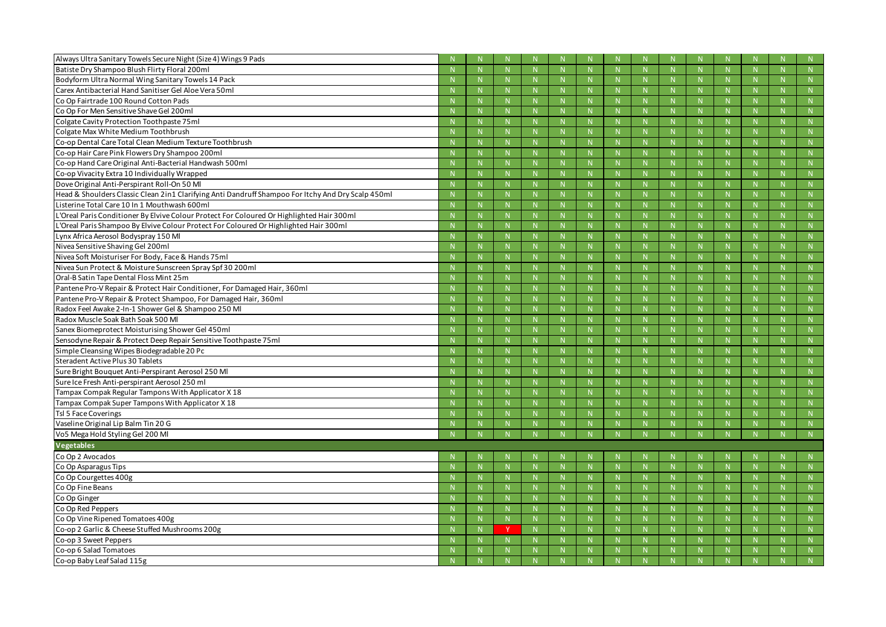| Always Ultra Sanitary Towels Secure Night (Size 4) Wings 9 Pads                                    |              |             |              |              |              |              |              |    |              |
|----------------------------------------------------------------------------------------------------|--------------|-------------|--------------|--------------|--------------|--------------|--------------|----|--------------|
| Batiste Dry Shampoo Blush Flirty Floral 200ml                                                      |              | $\mathbb N$ |              | N.           |              |              | $\mathbb N$  |    | N            |
| Bodyform Ultra Normal Wing Sanitary Towels 14 Pack                                                 | -N           | N.          | $\mathbb N$  | N.           | $\mathbb N$  |              | $\mathbb{N}$ |    | N            |
| Carex Antibacterial Hand Sanitiser Gel Aloe Vera 50ml                                              |              | N.          |              | N            |              |              | $\mathbf N$  |    | N            |
| Co Op Fairtrade 100 Round Cotton Pads                                                              |              | N.          |              | N.           |              |              |              |    | N            |
| Co Op For Men Sensitive Shave Gel 200ml                                                            | -N           | $\mathbb N$ | $\mathbb N$  | N.           | -N           |              | -N           |    | N            |
| Colgate Cavity Protection Toothpaste 75ml                                                          |              | N.          |              | N            |              |              | -N           |    | N            |
| Colgate Max White Medium Toothbrush                                                                |              | N.          |              | N.           |              |              |              |    | N            |
| Co-op Dental Care Total Clean Medium Texture Toothbrush                                            | -N           | N.          | $\mathbb N$  | N.           | -N           |              | $\mathbb N$  |    | N            |
| Co-op Hair Care Pink Flowers Dry Shampoo 200ml                                                     |              | N.          |              | N            |              |              | $\mathbf N$  |    | N            |
| Co-op Hand Care Original Anti-Bacterial Handwash 500ml                                             |              | N.          |              | N.           |              |              |              |    | N            |
| Co-op Vivacity Extra 10 Individually Wrapped                                                       | -N           | $\mathbb N$ | $\mathbb N$  | N.           | -N           |              | -N           |    | N            |
| Dove Original Anti-Perspirant Roll-On 50 Ml                                                        |              | N.          |              | N            |              |              |              |    | N            |
| Head & Shoulders Classic Clean 2in1 Clarifying Anti Dandruff Shampoo For Itchy And Dry Scalp 450ml |              | N.          |              | N.           |              |              |              |    | N            |
| Listerine Total Care 10 In 1 Mouthwash 600ml                                                       |              | N.          | $\mathbb N$  | N.           | -N           |              | $\mathbb N$  |    | N            |
| L'Oreal Paris Conditioner By Elvive Colour Protect For Coloured Or Highlighted Hair 300ml          |              | N.          |              | N            |              |              |              |    | N            |
| L'Oreal Paris Shampoo By Elvive Colour Protect For Coloured Or Highlighted Hair 300ml              |              | N.          |              | N.           |              |              |              |    | N            |
| Lynx Africa Aerosol Bodyspray 150 Ml                                                               | -N           | $\mathbb N$ | $\mathbb N$  | <sup>N</sup> | -N           |              | -N           |    | N            |
| Nivea Sensitive Shaving Gel 200ml                                                                  |              | N.          |              | N            |              |              |              |    | N            |
| Nivea Soft Moisturiser For Body, Face & Hands 75ml                                                 |              | $\mathbb N$ |              | <sup>N</sup> |              |              | $\mathsf N$  |    | N            |
| Nivea Sun Protect & Moisture Sunscreen Spray Spf 30 200ml                                          | -N           | N.          | $\mathsf N$  | N.           | -N           |              | -N           |    | N            |
| Oral-B Satin Tape Dental Floss Mint 25m                                                            |              | N.          |              | N.           |              |              |              |    | N            |
| Pantene Pro-V Repair & Protect Hair Conditioner, For Damaged Hair, 360ml                           |              | N.          |              | N.           |              |              |              |    | N            |
| Pantene Pro-V Repair & Protect Shampoo, For Damaged Hair, 360ml                                    | -N           | $\mathbb N$ | $\mathbb N$  | <sup>N</sup> | -N           |              | N            |    | N            |
| Radox Feel Awake 2-In-1 Shower Gel & Shampoo 250 Ml                                                |              | N.          |              | N            |              | $\mathsf{N}$ | $\mathbf N$  |    | N            |
| Radox Muscle Soak Bath Soak 500 Ml                                                                 |              | N.          |              | N.           |              |              | $\mathsf N$  |    | N            |
| Sanex Biomeprotect Moisturising Shower Gel 450ml                                                   |              | N.          |              | <sup>N</sup> | -N           |              | -N           |    | N            |
| Sensodyne Repair & Protect Deep Repair Sensitive Toothpaste 75ml                                   |              | N.          |              | N            |              |              |              |    | N            |
| Simple Cleansing Wipes Biodegradable 20 Pc                                                         |              | $\mathbb N$ |              | N.           |              |              | $\mathsf N$  |    | N            |
| Steradent Active Plus 30 Tablets                                                                   | -N           | $\mathbb N$ | $\mathbb N$  | <sup>N</sup> | $\mathbb N$  |              | $\mathbb N$  |    | N            |
| Sure Bright Bouquet Anti-Perspirant Aerosol 250 Ml                                                 |              | N.          |              |              |              |              |              |    | N            |
| Sure Ice Fresh Anti-perspirant Aerosol 250 ml                                                      |              | N.          |              |              |              |              | $\mathbb N$  |    | N            |
| Tampax Compak Regular Tampons With Applicator X 18                                                 | N            | N           | N            |              | $\mathsf{N}$ |              | N            |    | N            |
| Tampax Compak Super Tampons With Applicator X 18                                                   |              | N.          |              | N            |              |              | $\mathbb N$  |    | N            |
| Tsl 5 Face Coverings                                                                               |              | N           | N            | N            | $\mathbb N$  | N.           | N            |    | N            |
| Vaseline Original Lip Balm Tin 20 G                                                                | $\mathsf{N}$ | N           | $\mathsf{N}$ | N            | N            | N,           | N            | N  | $\mathbb{N}$ |
| Vo5 Mega Hold Styling Gel 200 Ml                                                                   | N            | N           | N            | N            | N            | N            | N            | N  | N            |
| Vegetables                                                                                         |              |             |              |              |              |              |              |    |              |
| Co Op 2 Avocados                                                                                   |              |             |              |              |              |              |              |    | N            |
| Co Op Asparagus Tips                                                                               |              | N           | N            | N            | N            | N            | N            | N  | N            |
| Co Op Courgettes 400g                                                                              | N            | N           | N            | N            | N            | N            | N            | N  | N            |
| Co Op Fine Beans                                                                                   |              | N           | N            | N            | $\mathbb N$  | N            | N            | N  | N            |
| Co Op Ginger                                                                                       | $\mathsf{N}$ | N           | $\mathsf{N}$ | N            | N            | N.           | N            | N  | N            |
| Co Op Red Peppers                                                                                  | N            | N           | N            | N            | N            | N            | N            | N  | N            |
| Co Op Vine Ripened Tomatoes 400g                                                                   | $\mathsf{N}$ | N           | $\mathbb N$  | N            | N            | N.           | N            | N. | N            |
| Co-op 2 Garlic & Cheese Stuffed Mushrooms 200g                                                     |              | <b>Y</b>    | N            | N            | N            | N.           | N            | N  | N            |
| Co-op 3 Sweet Peppers                                                                              | N            | N           | N            | N            | N            | N            | N            | N  | N            |
| Co-op 6 Salad Tomatoes                                                                             |              | N.          |              | N            |              |              | $\mathbb N$  |    | N            |
| Co-op Baby Leaf Salad 115g                                                                         |              | N.          |              |              |              |              | $\mathbb N$  |    | N            |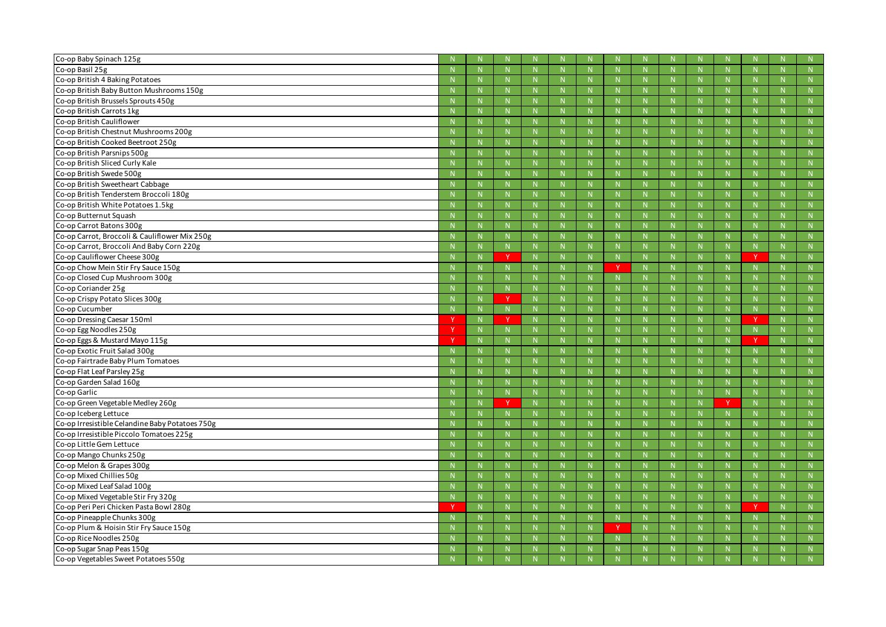| Co-op Baby Spinach 125g                                            |   |                |             |          |                |              |              |                |              |              |              |              |    |        |
|--------------------------------------------------------------------|---|----------------|-------------|----------|----------------|--------------|--------------|----------------|--------------|--------------|--------------|--------------|----|--------|
| Co-op Basil 25g                                                    |   | N              | N           |          | N              | N            |              | N              | N            |              | N            | $\mathbb N$  |    | N      |
| Co-op British 4 Baking Potatoes                                    |   | -N             | -N          |          | -N             |              |              | -N             |              |              | -N           |              |    | N      |
| Co-op British Baby Button Mushrooms 150g                           |   | $\mathbb N$    | <b>N</b>    |          | -N             | N            |              | -N             | <b>N</b>     |              | -N           | N            |    | N      |
| Co-op British Brussels Sprouts 450g                                |   | N              | N           |          | N              | N            |              | N              | $\mathsf{N}$ |              | N            | $\mathsf{N}$ |    | N      |
| Co-op British Carrots 1kg                                          |   | -N             |             |          | -N             |              |              | -N             |              |              | -N           |              |    | N      |
| Co-op British Cauliflower                                          |   | -N             | N           |          | -N             | N            |              | -N             | N            |              | -N           |              |    | N      |
| Co-op British Chestnut Mushrooms 200g                              |   | N              | N           |          | N              | N            |              | N              | N            |              | N            | N            |    | N      |
| Co-op British Cooked Beetroot 250g                                 |   | -N             |             |          | -N             |              |              | -N             |              |              | -N           |              |    | N      |
| Co-op British Parsnips 500g                                        |   | N              | N           |          | -N             | N            |              | -N             | N            |              | -N           | N            |    | N      |
| Co-op British Sliced Curly Kale                                    |   | N              | N           |          | N              | N            |              | N              | N            |              | N            | N            |    | N      |
| Co-op British Swede 500g                                           |   | -N             |             |          | -N             |              |              | -N             |              |              | -N           |              |    | N      |
| Co-op British Sweetheart Cabbage                                   |   | -N             | N           |          | -N             | N            |              |                | N            |              |              | N            |    | N      |
| Co-op British Tenderstem Broccoli 180g                             |   | N              | N           |          | N              | N            |              | N              | N            |              | N            | N            |    | N      |
| Co-op British White Potatoes 1.5kg                                 |   | -N             |             |          | -N             |              |              | -N             |              |              | -N           |              |    | N      |
| Co-op Butternut Squash                                             |   | N              | N           |          | -N             | N            |              | -N             | N            |              | -N           | N            |    | N      |
| Co-op Carrot Batons 300g                                           |   | N              | N           |          | N              | $\mathsf{N}$ |              | N              | $\mathsf{N}$ |              | N            | $\mathsf{N}$ |    | N      |
| Co-op Carrot, Broccoli & Cauliflower Mix 250g                      |   | -N             | N           |          | -N             | N            |              | -N             | N            |              | -N           |              |    | N      |
| Co-op Carrot, Broccoli And Baby Corn 220g                          |   | $\mathsf{N}$   | N           |          | -N             | N            |              | -N             | N            |              | -N           | N            |    | N      |
| Co-op Cauliflower Cheese 300g                                      |   | N              | <b>V</b>    |          | N              | N            |              | N              | N            |              | N            | <b>V</b>     |    | N      |
| Co-op Chow Mein Stir Fry Sauce 150g                                |   | -N             |             |          | -N             |              |              | -N             |              |              | -N           |              |    | N      |
| Co-op Closed Cup Mushroom 300g                                     |   | N              | N           |          | -N             | N.           |              | -N             | N            |              | -N           | N            |    | N      |
| Co-op Coriander 25g                                                |   | N              | N           |          | N              | N            |              | N              | N            |              | N            | $\mathsf{N}$ |    | N      |
| Co-op Crispy Potato Slices 300g                                    |   | N              | v           |          | -N             |              |              | -N             |              |              | -N           |              |    | N      |
| Co-op Cucumber                                                     |   |                |             |          | -N             | N            |              | -N             | N            |              | -N           | N            |    | N      |
|                                                                    |   | N              | N           |          |                |              |              |                |              |              |              |              |    |        |
| Co-op Dressing Caesar 150ml                                        |   | N              | <b>V</b>    |          | N              | N            |              | N              | N            |              | N            | $\checkmark$ |    | N      |
| Co-op Egg Noodles 250g                                             |   | -N             |             |          | -N             |              |              | -N             |              |              | -N           |              |    | N      |
| Co-op Eggs & Mustard Mayo 115g                                     |   | $\mathsf{N}$   | N           |          | -N             | N            |              | -N             | N            |              | N            | $\mathbf v$  |    | N      |
| Co-op Exotic Fruit Salad 300g                                      |   | N              | N           |          | N              | N            |              | N              | $\mathsf{N}$ |              | N            |              |    | N      |
| Co-op Fairtrade Baby Plum Tomatoes                                 |   | -N             |             |          | -N             |              |              | -N             |              |              | -N           |              |    | N      |
| Co-op Flat Leaf Parsley 25g                                        |   |                |             |          |                |              |              |                |              |              |              |              |    | N      |
| Co-op Garden Salad 160g                                            |   | N              |             |          | N              |              |              | N              |              |              | N            |              |    | N      |
| Co-op Garlic                                                       |   | N              | $\mathbb N$ |          | N              | N            |              | N              | N            |              | N            | N            |    | N      |
| Co-op Green Vegetable Medley 260g                                  |   | N              | Y           |          | N              | N            |              | N              | N            |              |              | N            |    | N      |
| Co-op Iceberg Lettuce                                              |   | N              | N           |          | N              | N            |              | N              | N            |              | $\mathbb{N}$ | N            | N. | N      |
| Co-op Irresistible Celandine Baby Potatoes 750g                    |   | N              | N           |          | N              | N            |              | N              | N            |              | N            | N            |    | N      |
| Co-op Irresistible Piccolo Tomatoes 225g                           | N | N              | N           |          | N              | ${\sf N}$    |              | N              | N            |              | N            | N            |    | N      |
| Co-op Little Gem Lettuce                                           |   | N              | ${\sf N}$   |          | N              | ${\sf N}$    |              | N              | ${\sf N}$    |              | N            | N            |    | N      |
| Co-op Mango Chunks 250g                                            |   | $\overline{N}$ | N           |          | $\overline{N}$ | N            | <sup>N</sup> | $\overline{N}$ | N            | <sup>N</sup> | N            | N            |    | N      |
| Co-op Melon & Grapes 300g                                          |   | N              | N           |          | N              | N            |              | N              | N            |              | N            | N            |    | N      |
| Co-op Mixed Chillies 50g                                           |   | N              | ${\sf N}$   |          | N              | ${\sf N}$    |              | N              | N            |              | N            | N            |    | N      |
| Co-op Mixed Leaf Salad 100g                                        |   | $\overline{N}$ | N           |          | N              | N            |              | N              | N            |              | N            | N            |    | N      |
| Co-op Mixed Vegetable Stir Fry 320g                                | N | N              | N           |          | N              | N            |              | N              | N            |              | N            | ${\sf N}$    | N. | N      |
| Co-op Peri Peri Chicken Pasta Bowl 280g                            |   | N              | N           |          | N              | ${\sf N}$    |              | N              | N            |              | N            | Y            | N  | N      |
| Co-op Pineapple Chunks 300g                                        |   | $\overline{N}$ | N           | <b>N</b> | $\overline{N}$ | N            | $\mathbb N$  | $\overline{N}$ | N            | <b>N</b>     | N            | N            |    | N      |
| Co-op Plum & Hoisin Stir Fry Sauce 150g                            |   | N              | N           |          | N              | N            |              | N              | N            |              | N            | N            |    | N      |
| Co-op Rice Noodles 250g                                            |   | N              | ${\sf N}$   |          | N              | N            |              | N              | N            |              | N            | N            |    | N      |
| Co-op Sugar Snap Peas 150g<br>Co-op Vegetables Sweet Potatoes 550g |   | N              | N           |          | N              | N            |              | N              | N            |              | N            |              |    | N<br>N |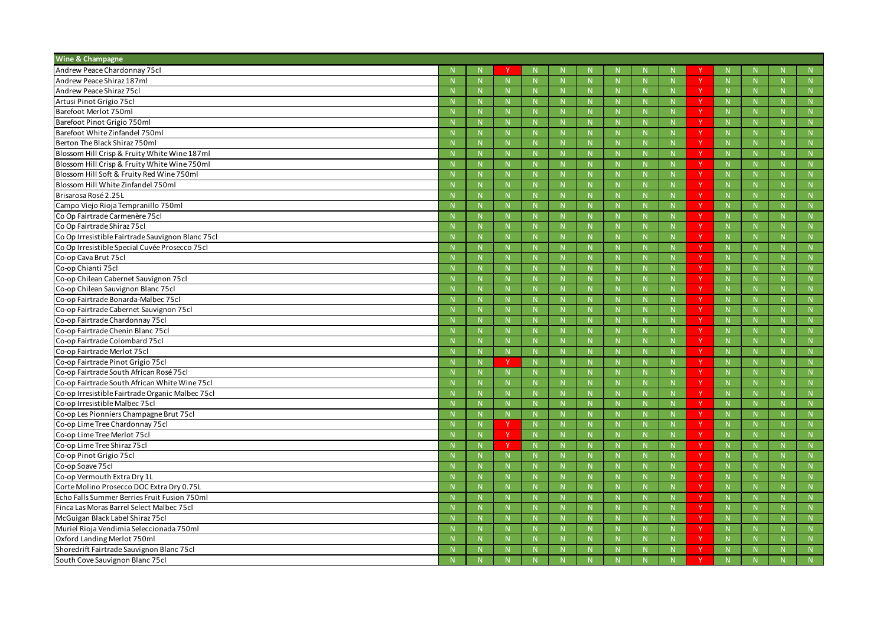| Wine & Champagne                                  |              |              |             |              |              |             |                  |              |              |              |       |
|---------------------------------------------------|--------------|--------------|-------------|--------------|--------------|-------------|------------------|--------------|--------------|--------------|-------|
| Andrew Peace Chardonnay 75cl                      |              |              |             |              |              |             |                  |              |              |              | N.    |
| Andrew Peace Shiraz 187ml                         | N            | $\mathbb N$  | N           | N            | $\mathbb N$  |             | -V               | N            |              |              | N     |
| Andrew Peace Shiraz 75cl                          |              | N.           |             | N            |              |             |                  | $\mathbf N$  |              |              | N     |
| Artusi Pinot Grigio 75cl                          |              | N.           |             | N.           |              |             | -Y               | $\mathbb N$  |              |              | N     |
| Barefoot Merlot 750ml                             | $\mathbf N$  | N            | N           | N.           | $\mathbb N$  | N.          | $\blacktriangle$ | N            |              |              | N     |
| Barefoot Pinot Grigio 750ml                       |              | N            |             | N            |              | N.          |                  | N            |              |              | N     |
| Barefoot White Zinfandel 750ml                    |              | $\mathbb N$  |             | N.           |              |             | <b>V</b>         | N            |              |              | N     |
| Berton The Black Shiraz 750ml                     | -N           | $\mathbb N$  | N           | <sup>N</sup> | $\mathbb N$  |             |                  | $\mathbb N$  |              |              | N     |
| Blossom Hill Crisp & Fruity White Wine 187ml      |              | N.           |             | N            |              |             |                  | $\mathbf N$  |              |              | N     |
| Blossom Hill Crisp & Fruity White Wine 750ml      |              | N            |             | N            |              |             | N                | N            |              |              | N     |
| Blossom Hill Soft & Fruity Red Wine 750ml         | -N           | $\mathbb N$  | N           | N.           | $\mathbb N$  |             | -V               | N            |              |              | N     |
| Blossom Hill White Zinfandel 750ml                |              | N            | N           | N            |              | N           |                  | N            | $\mathbf N$  |              | N     |
| Brisarosa Rosé 2.25L                              |              | N            |             | N.           |              |             |                  | $\mathbb{N}$ |              |              | N     |
| Campo Viejo Rioja Tempranillo 750ml               | -N           | $\mathbb N$  | -N          | <sup>N</sup> | -N           |             |                  | $\mathbb N$  |              |              | N     |
| Co Op Fairtrade Carmenère 75cl                    |              | N.           |             | N.           |              |             |                  | $\mathbf N$  |              |              | N     |
| Co Op Fairtrade Shiraz 75cl                       |              | N            |             | N            |              |             | N                | $\mathbb N$  |              |              | N     |
| Co Op Irresistible Fairtrade Sauvignon Blanc 75cl | $\mathbf N$  | $\mathbb N$  | N           | N.           | $\mathbb N$  |             | -V               | N            |              |              | N     |
| Co Op Irresistible Special Cuvée Prosecco 75cl    |              | N            | N           | N            |              | N           |                  | N            | $\mathsf{N}$ |              | N     |
| Co-op Cava Brut 75cl                              |              | N.           |             | N.           |              |             |                  | $\mathbb{N}$ |              |              | N     |
| Co-op Chianti 75cl                                |              | $\mathbb N$  | -N          | <sup>N</sup> | -N           |             |                  | $\mathbb N$  |              |              | N     |
| Co-op Chilean Cabernet Sauvignon 75cl             |              | N.           |             | N.           |              |             |                  | $\mathbf N$  |              |              | N     |
| Co-op Chilean Sauvignon Blanc 75cl                |              | N            |             | N            |              |             | N                | $\mathbb N$  |              |              | N     |
| Co-op Fairtrade Bonarda-Malbec 75cl               | $\mathbf N$  | N            | N           | N.           | $\mathbb N$  | N.          | -V               | N            |              |              | N     |
| Co-op Fairtrade Cabernet Sauvignon 75cl           |              | N            | N           | N            | $\mathbb N$  | N.          |                  | N            | $\mathsf{N}$ |              | N     |
| Co-op Fairtrade Chardonnay 75cl                   |              | N.           |             |              |              |             |                  | N            |              |              | N     |
| Co-op Fairtrade Chenin Blanc 75cl                 | -N           | $\mathsf{N}$ | $\mathbb N$ | N.           | -N           |             | -V               | N            |              |              | N     |
| Co-op Fairtrade Colombard 75cl                    |              | N.           |             | N            |              | N.          |                  | $\mathbf N$  |              |              | N     |
| Co-op Fairtrade Merlot 75cl                       |              | N            |             | N            | $\mathsf{N}$ |             | N                | N            |              |              | N     |
| Co-op Fairtrade Pinot Grigio 75cl                 | N            | $\mathbf{v}$ | N           | N.           | $\mathbb N$  |             | -V               | N            |              |              | N     |
| Co-op Fairtrade South African Rosé 75cl           |              | N.           |             |              |              |             |                  | $\mathbf N$  |              |              | N     |
| Co-op Fairtrade South African White Wine 75cl     |              |              |             |              |              |             |                  | $\mathsf{N}$ |              |              | N     |
| Co-op Irresistible Fairtrade Organic Malbec 75cl  | $\mathbb N$  | N            | $\mathbb N$ | N            | $\mathbb N$  |             |                  | N            |              |              | N     |
| Co-op Irresistible Malbec 75cl                    | $\mathsf{N}$ | N            | $\mathbb N$ | N            | $\mathbb N$  | N           |                  | N            | N            |              | N     |
| Co-op Les Pionniers Champagne Brut 75cl           | $\mathsf{N}$ | N            | N           | N            | $\mathbb N$  | N           | Υ                | N            | N            | <sup>N</sup> | N     |
| Co-op Lime Tree Chardonnay 75cl                   | $\mathbb N$  | $\mathsf{Y}$ | N           | N            | N            | N.          | Y.               | N            | N.           | $\mathbf N$  | N     |
| Co-op Lime Tree Merlot 75cl                       | N            | $\vee$       | N           | N            | N            | N.          |                  | N            | N            |              | N     |
| Co-op Lime Tree Shiraz 75cl                       | $\mathsf{N}$ | <b>Y</b>     | N           | N            | N            | N.          | Y                | N            | N.           | <sup>N</sup> | N     |
| Co-op Pinot Grigio 75cl                           | N            | N            | N           | N            | N            | N           | <b>V</b>         | N            | N            | $\mathbf N$  | N     |
| Co-op Soave 75cl                                  | $\mathbb N$  | N            | N           | N            | N            | N           |                  | N            | N            |              | N     |
| Co-op Vermouth Extra Dry 1L                       | $\mathsf{N}$ | N            | N           | N            | N            | N           | Υ                | ${\sf N}$    | N            |              | N     |
| Corte Molino Prosecco DOC Extra Dry 0.75L         | $\mathbb N$  | N            | N           | N            | N            | N.          | Y.               | N            | N.           | $\mathbf N$  | N     |
| Echo Falls Summer Berries Fruit Fusion 750ml      | $\mathsf{N}$ | N            | $\mathbb N$ | N            | $\mathbb N$  | N           |                  | N            | N            |              | N     |
| Finca Las Moras Barrel Select Malbec 75cl         | $\mathsf{N}$ | N            | N           | N            | N            | N.          | Y                | ${\sf N}$    | N            | $\mathbb N$  | N     |
| McGuigan Black Label Shiraz 75cl                  | N            | N            | N           | N            | N            | $N_{\odot}$ | <sup>V</sup>     | N            | N            | -N           | N     |
| Muriel Rioja Vendimia Seleccionada 750ml          | $\mathbb N$  | N            | N           | N            | N            | N           |                  | N            | N            |              | N     |
| Oxford Landing Merlot 750ml                       | $\mathsf{N}$ | N            | N           | N            | N            | N           | Υ                | ${\sf N}$    | N            | <sup>N</sup> | N     |
| Shoredrift Fairtrade Sauvignon Blanc 75cl         | N            | N.           | N           | N.           | $\mathbb N$  | N.          | Y.               | N            | N.           | $\mathbb N$  | N     |
| South Cove Sauvignon Blanc 75cl                   | $\mathbb N$  | N            | N           | N            | N            | N           |                  | N            | N            | N            | $N =$ |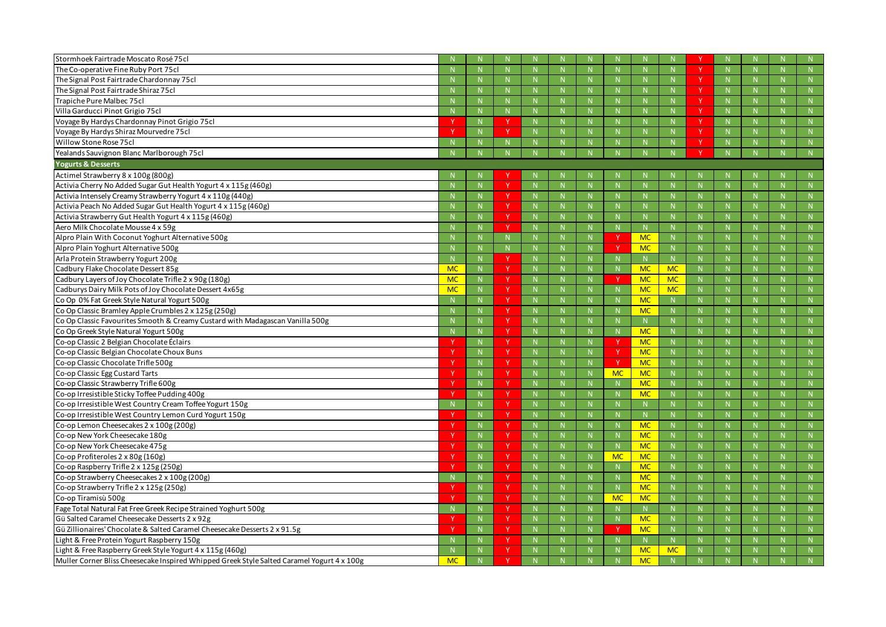| Stormhoek Fairtrade Moscato Rosé 75cl                                                      |           |              |                        |              |                |              |           |              |              |                |              |             |
|--------------------------------------------------------------------------------------------|-----------|--------------|------------------------|--------------|----------------|--------------|-----------|--------------|--------------|----------------|--------------|-------------|
| The Co-operative Fine Ruby Port 75cl                                                       |           | N            |                        |              | N              |              |           | -N           |              | N              | N            | N           |
| The Signal Post Fairtrade Chardonnay 75cl                                                  |           | $\mathbb N$  |                        |              | -N             |              |           |              |              | N              | N            | N           |
| The Signal Post Fairtrade Shiraz 75cl                                                      |           | $\mathbb N$  |                        |              | -N             |              |           |              |              | $\mathbf N$    | $\mathsf{N}$ |             |
| Trapiche Pure Malbec 75cl                                                                  |           | N            |                        |              | N              | N            |           | -N           | N            | $\mathbb N$    | N            | N           |
| Villa Garducci Pinot Grigio 75cl                                                           |           | $\mathbb{N}$ | N                      |              | -N             | N            |           | $\mathbf N$  | N            | $\mathbf N$    | N            | N           |
| Voyage By Hardys Chardonnay Pinot Grigio 75cl                                              |           | $\mathbb N$  | <b>Y</b>               |              | -N             | $\mathsf{N}$ |           | -N           | $\mathsf{N}$ | $\mathbf N$    | $\mathsf{N}$ |             |
| Voyage By Hardys Shiraz Mourvedre 75cl                                                     |           | N            | v                      |              | N              | N            |           | -N           | N            | $\mathbb{N}$   | N            | N           |
| Willow Stone Rose 75cl                                                                     |           |              |                        |              |                |              |           |              |              |                |              |             |
| Yealands Sauvignon Blanc Marlborough 75cl                                                  |           |              |                        |              |                |              |           |              |              |                |              |             |
| <b>Yogurts &amp; Desserts</b>                                                              |           |              |                        |              |                |              |           |              |              |                |              |             |
| Actimel Strawberry 8 x 100g (800g)                                                         |           |              |                        |              |                |              |           |              |              |                |              |             |
| Activia Cherry No Added Sugar Gut Health Yogurt 4 x 115g (460g)                            |           | N            | $\vee$                 | $\mathbf N$  | -N             |              |           | -N           | $\mathsf{N}$ | -N             | $\mathsf{N}$ | N           |
| Activia Intensely Creamy Strawberry Yogurt 4 x 110g (440g)                                 |           | N            | v                      |              | -N             | $\mathbb N$  |           | $\mathbf N$  | $\mathsf{N}$ | -N             | N            | N           |
| Activia Peach No Added Sugar Gut Health Yogurt 4 x 115g (460g)                             |           | $\mathbb N$  | <b>Y</b>               |              | -N             | $\mathsf{N}$ |           | -N           | $\mathsf{N}$ |                | $\mathsf{N}$ |             |
| Activia Strawberry Gut Health Yogurt 4 x 115g (460g)                                       |           | N            | <b>Y</b>               |              | N              | $\mathsf{N}$ |           | -N           | $\mathsf{N}$ | -N             | $\mathbb N$  | N           |
| Aero Milk Chocolate Mousse 4 x 59g                                                         |           | N            | <b>v</b>               |              | -N             | N            |           | N            | N            | $\mathbf N$    | N            | N           |
| Alpro Plain With Coconut Yoghurt Alternative 500g                                          |           | $\mathbb N$  |                        |              | -N             | $\mathbb N$  |           | <b>MC</b>    | N            | -N             | $\mathsf{N}$ |             |
| Alpro Plain Yoghurt Alternative 500g                                                       |           | N            |                        |              | -N             | N            |           | <b>MC</b>    | N            | -N             | N            | N           |
| Arla Protein Strawberry Yogurt 200g                                                        |           | N            | v                      |              | -N             |              |           |              | N            |                | N            | N           |
| Cadbury Flake Chocolate Dessert 85g                                                        | <b>MC</b> | $\mathbb N$  | <b>Y</b>               |              | -N             |              |           | <b>MC</b>    | <b>MC</b>    |                | $\mathsf{N}$ |             |
| Cadbury Layers of Joy Chocolate Trifle 2 x 90g (180g)                                      | <b>MC</b> | N            | <b>Y</b>               |              | -N             |              |           | <b>MC</b>    | <b>MC</b>    | $\mathbf N$    | $\mathsf{N}$ | N           |
| Cadburys Dairy Milk Pots of Joy Chocolate Dessert 4x65g                                    | <b>MC</b> | N            | v                      |              | -N             | $\mathbb N$  |           | <b>MC</b>    | <b>MC</b>    | $\mathbf N$    | N            | N           |
| Co Op 0% Fat Greek Style Natural Yogurt 500g                                               |           | N            | Y                      | N            | -N             | $\mathsf{N}$ |           | <b>MC</b>    | N            | $\Lambda$      | $\mathsf{N}$ |             |
| Co Op Classic Bramley Apple Crumbles 2 x 125g (250g)                                       |           | N            | <b>Y</b>               | -N           | N              | N            |           | <b>MC</b>    | N            | -N             | N            | N           |
| Co Op Classic Favourites Smooth & Creamy Custard with Madagascan Vanilla 500g              |           | N            | v                      |              | $\mathbf N$    | N            |           |              | N            |                | N            | N           |
| Co Op Greek Style Natural Yogurt 500g                                                      |           | N            | <sup>V</sup>           |              | -N             | N            |           | <b>MC</b>    | N            |                | $\mathsf{N}$ |             |
| Co-op Classic 2 Belgian Chocolate Éclairs                                                  |           | N            | <b>Y</b>               | -N           | N              | $\mathbb N$  |           | <b>MC</b>    | N            | -N             | N            | N           |
| Co-op Classic Belgian Chocolate Choux Buns                                                 |           | N            | v                      |              | -N             | $\mathbb N$  |           | <b>MC</b>    | N            | $\mathbf N$    | N            | N           |
| Co-op Classic Chocolate Trifle 500g                                                        |           | $\mathbb N$  |                        |              | -N             |              |           | <b>MC</b>    | $\mathsf{N}$ |                | $\mathsf{N}$ |             |
| Co-op Classic Egg Custard Tarts                                                            |           | -N           |                        |              |                |              | <b>MC</b> | <b>MC</b>    |              |                |              | N           |
| Co-op Classic Strawberry Trifle 600g                                                       |           | N            | $\mathbf v$            |              | $\overline{M}$ | $\mathbf{N}$ |           | MC           | N            | $\overline{M}$ | $\mathbf{N}$ | N           |
| Co-op Irresistible Sticky Toffee Pudding 400g                                              |           | N            | Y                      |              |                |              |           | <b>MC</b>    |              |                |              |             |
| Co-op Irresistible West Country Cream Toffee Yogurt 150g                                   |           | $\mathbb{N}$ | Y.                     | N            | N              | N            |           | $\mathbb N$  | N            | $\mathbb N$    | N            | N           |
| Co-op Irresistible West Country Lemon Curd Yogurt 150g                                     |           | N            | Y                      | N.           | N              | N            |           | $\mathbb N$  | N            |                | N            | N           |
| Co-op Lemon Cheesecakes 2 x 100g (200g)                                                    |           | N            | $\mathsf{I}\mathsf{Y}$ | <sup>N</sup> | N              | N            |           | <b>MC</b>    | N            | $\mathsf{N}$   | N            | N           |
| Co-op New York Cheesecake 180g                                                             |           | N            | Y.                     | N            | $\mathbb{N}$   | N            |           | <b>MC</b>    | N            | $\mathbb{N}$   | N            | N           |
| Co-op New York Cheesecake 475g                                                             |           | N            | Y                      | N.           | N              | N            |           | <b>MC</b>    | N            | $\mathbf N$    | N            | N           |
| Co-op Profiteroles 2 x 80g (160g)                                                          |           | ${\sf N}$    | Y                      | $\mathsf{N}$ | N              | N            | <b>MC</b> | <b>MC</b>    | ${\sf N}$    | $\mathbb{N}$   | N            | N           |
| Co-op Raspberry Trifle 2 x 125g (250g)                                                     |           | N            | Y.                     | N            | N              | N.           |           | <b>MC</b>    | N            | $\mathbb N$    | N            | N           |
| Co-op Strawberry Cheesecakes 2 x 100g (200g)                                               | -N        | N            | Y                      | N.           | N              | N            |           | <b>MC</b>    | N            | $\mathbf N$    | N            | N           |
| Co-op Strawberry Trifle 2 x 125g (250g)                                                    |           | N            | $\mathsf{I}\mathsf{Y}$ | <sup>N</sup> | N              | N            |           | <b>MC</b>    | N            | $\mathsf{N}$   | N            | N           |
| Co-op Tiramisù 500g                                                                        |           | N            | Y.                     | N            | $\mathbb{N}$   | N            | <b>MC</b> | <b>MC</b>    | N            | $\mathbb{N}$   | N            | N           |
| Fage Total Natural Fat Free Greek Recipe Strained Yoghurt 500g                             | -N        | N            | Y                      | N.           | N              | N            |           | N            | N            | $\mathbf N$    | N            | N           |
| Gü Salted Caramel Cheesecake Desserts 2 x 92g                                              |           | N            | Y                      | $\mathsf{N}$ | N              | N            |           | <b>MC</b>    | ${\sf N}$    | $\mathbb{N}$   | N            | N           |
| Gü Zillionaires' Chocolate & Salted Caramel Cheesecake Desserts 2 x 91.5g                  |           | $\mathbb{N}$ | Y.                     | N            | N              | N            |           | <b>MC</b>    | N            | $\mathbb N$    | N            | N           |
| Light & Free Protein Yogurt Raspberry 150g                                                 |           | N            | Y                      | N.           | N              | N            |           | $\mathbb{N}$ | N            | $\mathbf N$    | N            | $N_{\odot}$ |
| Light & Free Raspberry Greek Style Yogurt 4 x 115g (460g)                                  |           | N            | W                      |              | $\mathbb{N}$   |              |           | <b>MC</b>    | <b>MC</b>    |                |              | N           |
| Muller Corner Bliss Cheesecake Inspired Whipped Greek Style Salted Caramel Yogurt 4 x 100g | <b>MC</b> | $\mathbb{N}$ |                        | N            | N              |              |           | <b>MC</b>    |              |                |              | N           |
|                                                                                            |           |              |                        |              |                |              |           |              |              |                |              |             |